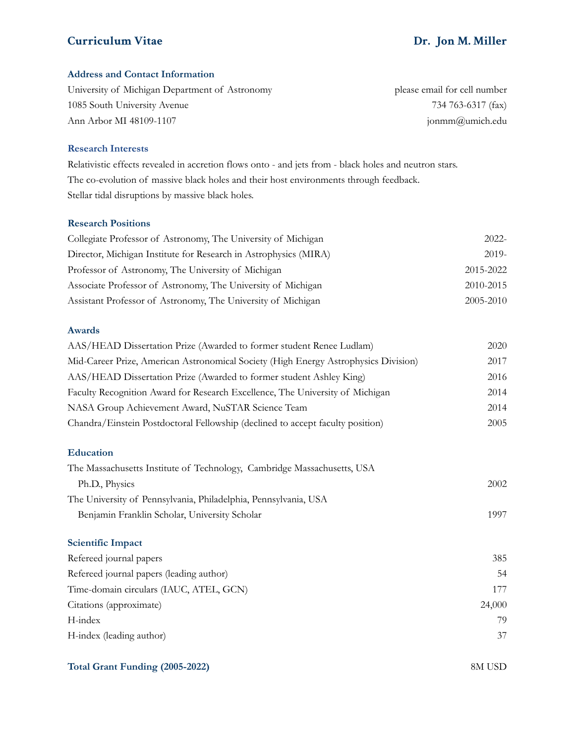#### **Address and Contact Information**

| University of Michigan Department of Astronomy | please email for cell number |
|------------------------------------------------|------------------------------|
| 1085 South University Avenue                   | 734 763-6317 (fax)           |
| Ann Arbor MI 48109-1107                        | jonmm@umich.edu              |

#### **Research Interests**

Relativistic effects revealed in accretion flows onto - and jets from - black holes and neutron stars. The co-evolution of massive black holes and their host environments through feedback. Stellar tidal disruptions by massive black holes.

#### **Research Positions**

| Collegiate Professor of Astronomy, The University of Michigan    | $2022 -$  |
|------------------------------------------------------------------|-----------|
| Director, Michigan Institute for Research in Astrophysics (MIRA) | $2019-$   |
| Professor of Astronomy, The University of Michigan               | 2015-2022 |
| Associate Professor of Astronomy, The University of Michigan     | 2010-2015 |
| Assistant Professor of Astronomy, The University of Michigan     | 2005-2010 |

#### **Awards**

| AAS/HEAD Dissertation Prize (Awarded to former student Renee Ludlam)                | 2020 |
|-------------------------------------------------------------------------------------|------|
| Mid-Career Prize, American Astronomical Society (High Energy Astrophysics Division) | 2017 |
| AAS/HEAD Dissertation Prize (Awarded to former student Ashley King)                 | 2016 |
| Faculty Recognition Award for Research Excellence, The University of Michigan       | 2014 |
| NASA Group Achievement Award, NuSTAR Science Team                                   | 2014 |
| Chandra/Einstein Postdoctoral Fellowship (declined to accept faculty position)      | 2005 |

#### **Education**

| The Massachusetts Institute of Technology, Cambridge Massachusetts, USA |      |
|-------------------------------------------------------------------------|------|
| Ph.D., Physics                                                          | 2002 |
| The University of Pennsylvania, Philadelphia, Pennsylvania, USA         |      |
| Benjamin Franklin Scholar, University Scholar                           | 1997 |
|                                                                         |      |

### **Scientific Impact**

| Refereed journal papers                  | 385    |
|------------------------------------------|--------|
| Refereed journal papers (leading author) | 54     |
| Time-domain circulars (IAUC, ATEL, GCN)  | 177    |
| Citations (approximate)                  | 24,000 |
| H-index                                  | 79     |
| H-index (leading author)                 | 37     |

#### **Total Grant Funding (2005-2022)** 8M USD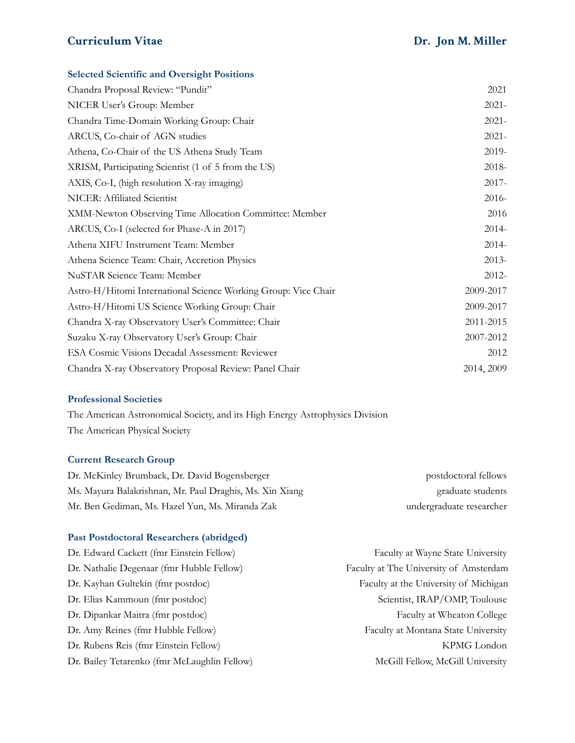# **Selected Scientific and Oversight Positions**

| Chandra Proposal Review: "Pundit"                              | 2021       |
|----------------------------------------------------------------|------------|
| NICER User's Group: Member                                     | $2021 -$   |
| Chandra Time-Domain Working Group: Chair                       | $2021 -$   |
| ARCUS, Co-chair of AGN studies                                 | $2021 -$   |
| Athena, Co-Chair of the US Athena Study Team                   | 2019-      |
| XRISM, Participating Scientist (1 of 5 from the US)            | 2018-      |
| AXIS, Co-I, (high resolution X-ray imaging)                    | $2017 -$   |
| NICER: Affiliated Scientist                                    | $2016-$    |
| XMM-Newton Observing Time Allocation Committee: Member         | 2016       |
| ARCUS, Co-I (selected for Phase-A in 2017)                     | $2014-$    |
| Athena XIFU Instrument Team: Member                            | $2014-$    |
| Athena Science Team: Chair, Accretion Physics                  | $2013-$    |
| NuSTAR Science Team: Member                                    | $2012 -$   |
| Astro-H/Hitomi International Science Working Group: Vice Chair | 2009-2017  |
| Astro-H/Hitomi US Science Working Group: Chair                 | 2009-2017  |
| Chandra X-ray Observatory User's Committee: Chair              | 2011-2015  |
| Suzaku X-ray Observatory User's Group: Chair                   | 2007-2012  |
| ESA Cosmic Visions Decadal Assessment: Reviewer                | 2012       |
| Chandra X-ray Observatory Proposal Review: Panel Chair         | 2014, 2009 |

#### **Professional Societies**

The American Astronomical Society, and its High Energy Astrophysics Division The American Physical Society

# **Current Research Group**

| Dr. McKinley Brumback, Dr. David Bogensberger            | postdoctoral fellows     |
|----------------------------------------------------------|--------------------------|
| Ms. Mayura Balakrishnan, Mr. Paul Draghis, Ms. Xin Xiang | graduate students        |
| Mr. Ben Gediman, Ms. Hazel Yun, Ms. Miranda Zak          | undergraduate researcher |

#### **Past Postdoctoral Researchers (abridged)**

| Dr. Edward Cackett (fmr Einstein Fellow)     | Faculty at Wayne State University      |
|----------------------------------------------|----------------------------------------|
| Dr. Nathalie Degenaar (fmr Hubble Fellow)    | Faculty at The University of Amsterdam |
| Dr. Kayhan Gultekin (fmr postdoc)            | Faculty at the University of Michigan  |
| Dr. Elias Kammoun (fmr postdoc)              | Scientist, IRAP/OMP, Toulouse          |
| Dr. Dipankar Maitra (fmr postdoc)            | Faculty at Wheaton College             |
| Dr. Amy Reines (fmr Hubble Fellow)           | Faculty at Montana State University    |
| Dr. Rubens Reis (fmr Einstein Fellow)        | KPMG London                            |
| Dr. Bailey Tetarenko (fmr McLaughlin Fellow) | McGill Fellow, McGill University       |
|                                              |                                        |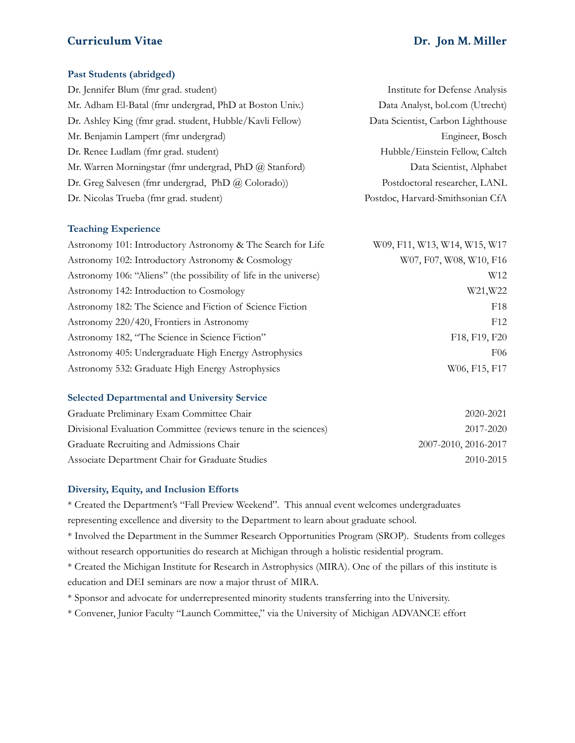#### **Past Students (abridged)**

| Dr. Jennifer Blum (fmr grad. student)                    | Institute for Defense Analysis    |
|----------------------------------------------------------|-----------------------------------|
| Mr. Adham El-Batal (fmr undergrad, PhD at Boston Univ.)  | Data Analyst, bol.com (Utrecht)   |
| Dr. Ashley King (fmr grad. student, Hubble/Kavli Fellow) | Data Scientist, Carbon Lighthouse |
| Mr. Benjamin Lampert (fmr undergrad)                     | Engineer, Bosch                   |
| Dr. Renee Ludlam (fmr grad. student)                     | Hubble/Einstein Fellow, Caltch    |
| Mr. Warren Morningstar (fmr undergrad, PhD @ Stanford)   | Data Scientist, Alphabet          |
| Dr. Greg Salvesen (fmr undergrad, PhD @ Colorado))       | Postdoctoral researcher, LANL     |
| Dr. Nicolas Trueba (fmr grad. student)                   | Postdoc, Harvard-Smithsonian CfA  |

#### **Teaching Experience**

| Astronomy 101: Introductory Astronomy & The Search for Life       | W09, F11, W13, W14, W15, W17 |
|-------------------------------------------------------------------|------------------------------|
| Astronomy 102: Introductory Astronomy & Cosmology                 | W07, F07, W08, W10, F16      |
| Astronomy 106: "Aliens" (the possibility of life in the universe) | W <sub>12</sub>              |
| Astronomy 142: Introduction to Cosmology                          | W21, W22                     |
| Astronomy 182: The Science and Fiction of Science Fiction         | F <sub>18</sub>              |
| Astronomy 220/420, Frontiers in Astronomy                         | F12                          |
| Astronomy 182, "The Science in Science Fiction"                   | F18, F19, F20                |
| Astronomy 405: Undergraduate High Energy Astrophysics             | F <sub>06</sub>              |
| Astronomy 532: Graduate High Energy Astrophysics                  | W06, F15, F17                |

#### **Selected Departmental and University Service**

| Graduate Preliminary Exam Committee Chair                        | 2020-2021            |
|------------------------------------------------------------------|----------------------|
| Divisional Evaluation Committee (reviews tenure in the sciences) | 2017-2020            |
| Graduate Recruiting and Admissions Chair                         | 2007-2010, 2016-2017 |
| Associate Department Chair for Graduate Studies                  | 2010-2015            |

#### **Diversity, Equity, and Inclusion Efforts**

\* Created the Department's "Fall Preview Weekend". This annual event welcomes undergraduates representing excellence and diversity to the Department to learn about graduate school. \* Involved the Department in the Summer Research Opportunities Program (SROP). Students from colleges without research opportunities do research at Michigan through a holistic residential program.

\* Created the Michigan Institute for Research in Astrophysics (MIRA). One of the pillars of this institute is education and DEI seminars are now a major thrust of MIRA.

\* Sponsor and advocate for underrepresented minority students transferring into the University.

\* Convener, Junior Faculty "Launch Committee," via the University of Michigan ADVANCE effort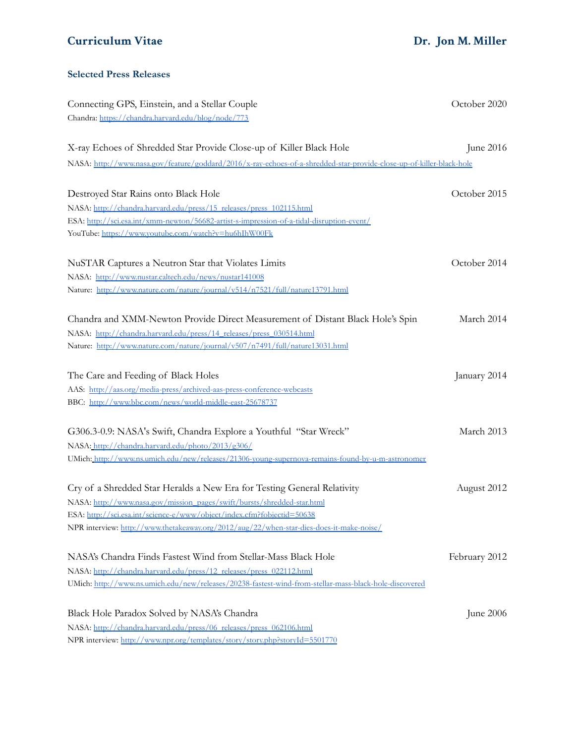#### **Selected Press Releases**

| Connecting GPS, Einstein, and a Stellar Couple                                                                       | October 2020  |
|----------------------------------------------------------------------------------------------------------------------|---------------|
| Chandra: https://chandra.harvard.edu/blog/node/773                                                                   |               |
| X-ray Echoes of Shredded Star Provide Close-up of Killer Black Hole                                                  | June 2016     |
| NASA: http://www.nasa.gov/feature/goddard/2016/x-ray-echoes-of-a-shredded-star-provide-close-up-of-killer-black-hole |               |
| Destroyed Star Rains onto Black Hole                                                                                 | October 2015  |
| NASA: http://chandra.harvard.edu/press/15 releases/press 102115.html                                                 |               |
| ESA: http://sci.esa.int/xmm-newton/56682-artist-s-impression-of-a-tidal-disruption-event/                            |               |
| YouTube: https://www.youtube.com/watch?v=hu6hIhW00Fk                                                                 |               |
| NuSTAR Captures a Neutron Star that Violates Limits                                                                  | October 2014  |
| NASA: http://www.nustar.caltech.edu/news/nustar141008                                                                |               |
| Nature: http://www.nature.com/nature/journal/v514/n7521/full/nature13791.html                                        |               |
| Chandra and XMM-Newton Provide Direct Measurement of Distant Black Hole's Spin                                       | March 2014    |
| NASA: http://chandra.harvard.edu/press/14_releases/press_030514.html                                                 |               |
| Nature: http://www.nature.com/nature/journal/v507/n7491/full/nature13031.html                                        |               |
| The Care and Feeding of Black Holes                                                                                  | January 2014  |
| AAS: http://aas.org/media-press/archived-aas-press-conference-webcasts                                               |               |
| BBC: http://www.bbc.com/news/world-middle-east-25678737                                                              |               |
| G306.3-0.9: NASA's Swift, Chandra Explore a Youthful "Star Wreck"                                                    | March 2013    |
| NASA: http://chandra.harvard.edu/photo/2013/g306/                                                                    |               |
| UMich: http://www.ns.umich.edu/new/releases/21306-young-supernova-remains-found-by-u-m-astronomer                    |               |
| Cry of a Shredded Star Heralds a New Era for Testing General Relativity                                              | August 2012   |
| NASA: http://www.nasa.gov/mission_pages/swift/bursts/shredded-star.html                                              |               |
| ESA: http://sci.esa.int/science-e/www/object/index.cfm?fobjectid=50638                                               |               |
| NPR interview: http://www.thetakeaway.org/2012/aug/22/when-star-dies-does-it-make-noise/                             |               |
| NASA's Chandra Finds Fastest Wind from Stellar-Mass Black Hole                                                       | February 2012 |
| NASA: http://chandra.harvard.edu/press/12_releases/press_022112.html                                                 |               |
| UMich: http://www.ns.umich.edu/new/releases/20238-fastest-wind-from-stellar-mass-black-hole-discovered               |               |
| Black Hole Paradox Solved by NASA's Chandra                                                                          | June 2006     |
| NASA: http://chandra.harvard.edu/press/06_releases/press_062106.html                                                 |               |
| NPR interview: http://www.npr.org/templates/story/story.php?storyId=5501770                                          |               |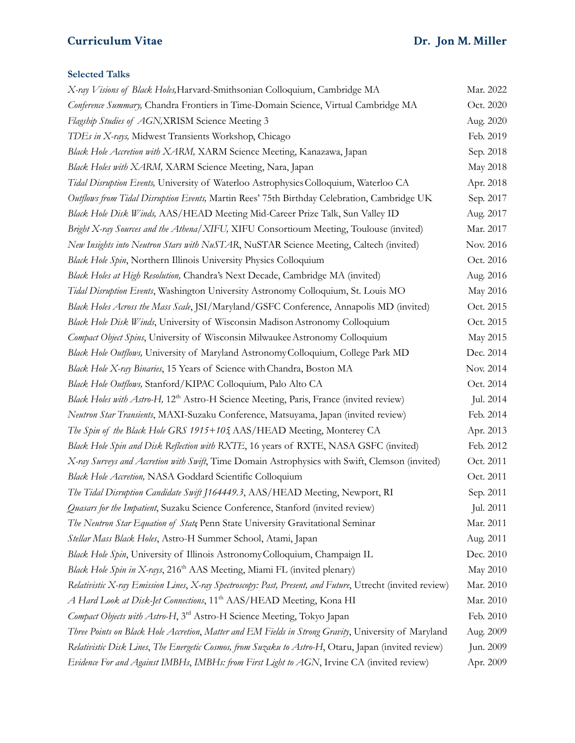# **Selected Talks**

| X-ray Visions of Black Holes, Harvard-Smithsonian Colloquium, Cambridge MA                                 | Mar. 2022 |
|------------------------------------------------------------------------------------------------------------|-----------|
| Conference Summary, Chandra Frontiers in Time-Domain Science, Virtual Cambridge MA                         |           |
| Flagship Studies of AGN, XRISM Science Meeting 3                                                           |           |
| TDEs in X-rays, Midwest Transients Workshop, Chicago                                                       |           |
| Black Hole Accretion with XARM, XARM Science Meeting, Kanazawa, Japan                                      |           |
| Black Holes with XARM, XARM Science Meeting, Nara, Japan                                                   | May 2018  |
| Tidal Disruption Events, University of Waterloo Astrophysics Colloquium, Waterloo CA                       |           |
| Outflows from Tidal Disruption Events, Martin Rees' 75th Birthday Celebration, Cambridge UK                | Sep. 2017 |
| Black Hole Disk Winds, AAS/HEAD Meeting Mid-Career Prize Talk, Sun Valley ID                               | Aug. 2017 |
| Bright X-ray Sources and the Athena/XIFU, XIFU Consortioum Meeting, Toulouse (invited)                     | Mar. 2017 |
| New Insights into Neutron Stars with NuSTAR, NuSTAR Science Meeting, Caltech (invited)                     | Nov. 2016 |
| Black Hole Spin, Northern Illinois University Physics Colloquium                                           | Oct. 2016 |
| Black Holes at High Resolution, Chandra's Next Decade, Cambridge MA (invited)                              | Aug. 2016 |
| Tidal Disruption Events, Washington University Astronomy Colloquium, St. Louis MO                          | May 2016  |
| Black Holes Across the Mass Scale, JSI/Maryland/GSFC Conference, Annapolis MD (invited)                    | Oct. 2015 |
| Black Hole Disk Winds, University of Wisconsin Madison Astronomy Colloquium                                | Oct. 2015 |
| Compact Object Spins, University of Wisconsin Milwaukee Astronomy Colloquium                               | May 2015  |
| Black Hole Outflows, University of Maryland Astronomy Colloquium, College Park MD                          | Dec. 2014 |
| Black Hole X-ray Binaries, 15 Years of Science with Chandra, Boston MA                                     | Nov. 2014 |
| Black Hole Outflows, Stanford/KIPAC Colloquium, Palo Alto CA                                               | Oct. 2014 |
| Black Holes with Astro-H, 12 <sup>th</sup> Astro-H Science Meeting, Paris, France (invited review)         | Jul. 2014 |
| Neutron Star Transients, MAXI-Suzaku Conference, Matsuyama, Japan (invited review)                         | Feb. 2014 |
| The Spin of the Black Hole GRS 1915+105 AAS/HEAD Meeting, Monterey CA                                      | Apr. 2013 |
| Black Hole Spin and Disk Reflection with RXTE, 16 years of RXTE, NASA GSFC (invited)                       | Feb. 2012 |
| X-ray Surveys and Accretion with Swift, Time Domain Astrophysics with Swift, Clemson (invited)             | Oct. 2011 |
| Black Hole Accretion, NASA Goddard Scientific Colloquium                                                   | Oct. 2011 |
| The Tidal Disruption Candidate Swift J164449.3, AAS/HEAD Meeting, Newport, RI                              | Sep. 2011 |
| Quasars for the Impatient, Suzaku Science Conference, Stanford (invited review)                            | Jul. 2011 |
| The Neutron Star Equation of State Penn State University Gravitational Seminar                             | Mar. 2011 |
| Stellar Mass Black Holes, Astro-H Summer School, Atami, Japan                                              | Aug. 2011 |
| Black Hole Spin, University of Illinois Astronomy Colloquium, Champaign IL                                 | Dec. 2010 |
| Black Hole Spin in X-rays, 216 <sup>th</sup> AAS Meeting, Miami FL (invited plenary)                       | May 2010  |
| Relativistic X-ray Emission Lines, X-ray Spectroscopy: Past, Present, and Future, Utrecht (invited review) | Mar. 2010 |
| A Hard Look at Disk-Jet Connections, 11 <sup>th</sup> AAS/HEAD Meeting, Kona HI                            | Mar. 2010 |
| Compact Objects with Astro-H, 3 <sup>rd</sup> Astro-H Science Meeting, Tokyo Japan                         | Feb. 2010 |
| Three Points on Black Hole Accretion, Matter and EM Fields in Strong Gravity, University of Maryland       | Aug. 2009 |
| Relativistic Disk Lines, The Energetic Cosmos, from Suzaku to Astro-H, Otaru, Japan (invited review)       | Jun. 2009 |
| Evidence For and Against IMBHs, IMBHs: from First Light to AGN, Irvine CA (invited review)                 | Apr. 2009 |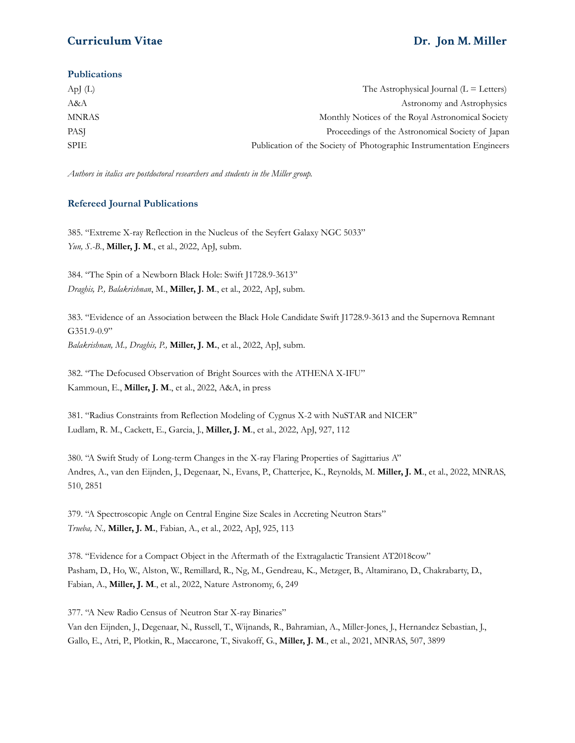#### **Publications**

| ApJ $(L)$    | The Astrophysical Journal $(L = \text{Leters})$                      |
|--------------|----------------------------------------------------------------------|
| A&A          | Astronomy and Astrophysics                                           |
| <b>MNRAS</b> | Monthly Notices of the Royal Astronomical Society                    |
| <b>PASI</b>  | Proceedings of the Astronomical Society of Japan                     |
| <b>SPIE</b>  | Publication of the Society of Photographic Instrumentation Engineers |

*Authors in italics are postdoctoral researchers and students in the Miller group.*

#### **Refereed Journal Publications**

385. "Extreme X-ray Reflection in the Nucleus of the Seyfert Galaxy NGC 5033" *Yun, S.-B.*, **Miller, J. M**., et al., 2022, ApJ, subm.

384. "The Spin of a Newborn Black Hole: Swift J1728.9-3613" *Draghis, P., Balakrishnan*, M., **Miller, J. M**., et al., 2022, ApJ, subm.

383. "Evidence of an Association between the Black Hole Candidate Swift J1728.9-3613 and the Supernova Remnant G351.9-0.9" *Balakrishnan, M., Draghis, P.,* **Miller, J. M.**, et al., 2022, ApJ, subm.

382. "The Defocused Observation of Bright Sources with the ATHENA X-IFU" Kammoun, E., **Miller, J. M**., et al., 2022, A&A, in press

381. "Radius Constraints from Reflection Modeling of Cygnus X-2 with NuSTAR and NICER" Ludlam, R. M., Cackett, E., Garcia, J., **Miller, J. M**., et al., 2022, ApJ, 927, 112

380. "A Swift Study of Long-term Changes in the X-ray Flaring Properties of Sagittarius A" Andres, A., van den Eijnden, J., Degenaar, N., Evans, P., Chatterjee, K., Reynolds, M. **Miller, J. M**., et al., 2022, MNRAS, 510, 2851

379. "A Spectroscopic Angle on Central Engine Size Scales in Accreting Neutron Stars" *Trueba, N.,* **Miller, J. M.**, Fabian, A., et al., 2022, ApJ, 925, 113

378. "Evidence for a Compact Object in the Aftermath of the Extragalactic Transient AT2018cow" Pasham, D., Ho, W., Alston, W., Remillard, R., Ng, M., Gendreau, K., Metzger, B., Altamirano, D., Chakrabarty, D., Fabian, A., **Miller, J. M**., et al., 2022, Nature Astronomy, 6, 249

377. "A New Radio Census of Neutron Star X-ray Binaries" Van den Eijnden, J., Degenaar, N., Russell, T., Wijnands, R., Bahramian, A., Miller-Jones, J., Hernandez Sebastian, J., Gallo, E., Atri, P., Plotkin, R., Maccarone, T., Sivakoff, G., **Miller, J. M**., et al., 2021, MNRAS, 507, 3899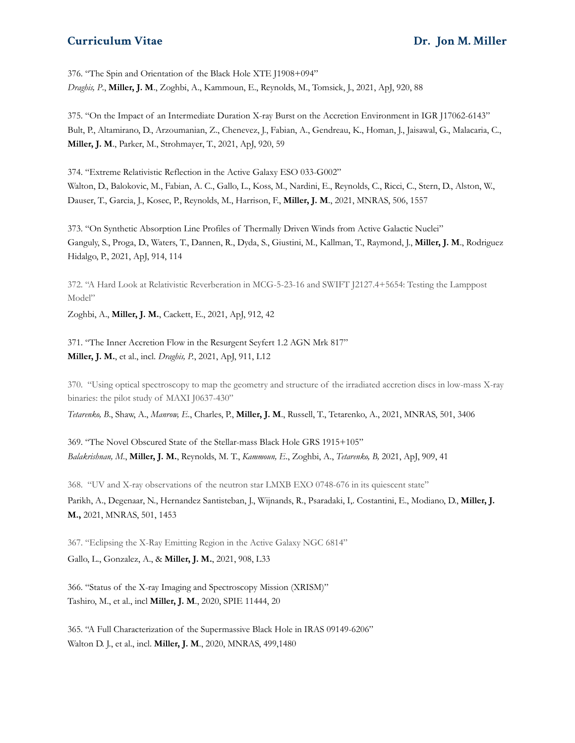376. "The Spin and Orientation of the Black Hole XTE J1908+094" *Draghis, P*., **Miller, J. M**., Zoghbi, A., Kammoun, E., Reynolds, M., Tomsick, J., 2021, ApJ, 920, 88

375. "On the Impact of an Intermediate Duration X-ray Burst on the Accretion Environment in IGR J17062-6143" Bult, P., Altamirano, D., Arzoumanian, Z., Chenevez, J., Fabian, A., Gendreau, K., Homan, J., Jaisawal, G., Malacaria, C., **Miller, J. M**., Parker, M., Strohmayer, T., 2021, ApJ, 920, 59

374. "Extreme Relativistic Reflection in the Active Galaxy ESO 033-G002" Walton, D., Balokovic, M., Fabian, A. C., Gallo, L., Koss, M., Nardini, E., Reynolds, C., Ricci, C., Stern, D., Alston, W., Dauser, T., Garcia, J., Kosec, P., Reynolds, M., Harrison, F., **Miller, J. M**., 2021, MNRAS, 506, 1557

373. "On Synthetic Absorption Line Profiles of Thermally Driven Winds from Active Galactic Nuclei" Ganguly, S., Proga, D., Waters, T., Dannen, R., Dyda, S., Giustini, M., Kallman, T., Raymond, J., **Miller, J. M**., Rodriguez Hidalgo, P., 2021, ApJ, 914, 114

372. "A Hard Look at Relativistic Reverberation in MCG-5-23-16 and SWIFT J2127.4+5654: Testing the Lamppost Model"

Zoghbi, A., **Miller, J. M.**, Cackett, E., 2021, ApJ, 912, 42

371. "The Inner Accretion Flow in the Resurgent Seyfert 1.2 AGN Mrk 817" **Miller, J. M.**, et al., incl. *Draghis, P.*, 2021, ApJ, 911, L12

370. "Using optical spectroscopy to map the geometry and structure of the irradiated accretion discs in low-mass X-ray binaries: the pilot study of MAXI J0637-430"

*Tetarenko, B*., Shaw, A., *Manrow, E.*, Charles, P., **Miller, J. M**., Russell, T., Tetarenko, A., 2021, MNRAS, 501, 3406

369. "The Novel Obscured State of the Stellar-mass Black Hole GRS 1915+105" *Balakrishnan, M*., **Miller, J. M.**, Reynolds, M. T., *Kammoun, E*., Zoghbi, A., *Tetarenko, B,* 2021, ApJ, 909, 41

368. "UV and X-ray observations of the neutron star LMXB EXO 0748-676 in its quiescent state"

Parikh, A., Degenaar, N., Hernandez Santisteban, J., Wijnands, R., Psaradaki, I,. Costantini, E., Modiano, D., **Miller, J. M.,** 2021, MNRAS, 501, 1453

367. "Eclipsing the X-Ray Emitting Region in the Active Galaxy NGC 6814" Gallo, L., Gonzalez, A., & **Miller, J. M.**, 2021, 908, L33

366. "Status of the X-ray Imaging and Spectroscopy Mission (XRISM)" Tashiro, M., et al., incl **Miller, J. M**., 2020, SPIE 11444, 20

365. "A Full Characterization of the Supermassive Black Hole in IRAS 09149-6206" Walton D. J., et al., incl. **Miller, J. M**., 2020, MNRAS, 499,1480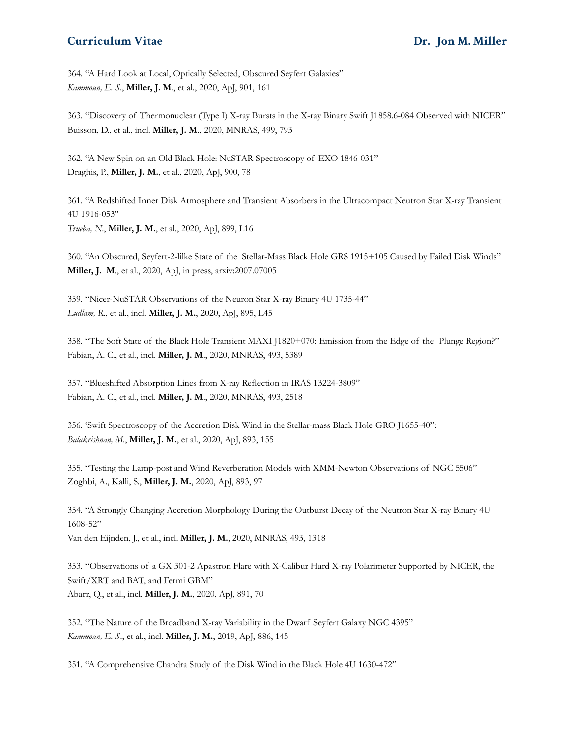364. "A Hard Look at Local, Optically Selected, Obscured Seyfert Galaxies" *Kammoun, E. S*., **Miller, J. M**., et al., 2020, ApJ, 901, 161

363. "Discovery of Thermonuclear (Type I) X-ray Bursts in the X-ray Binary Swift J1858.6-084 Observed with NICER" Buisson, D., et al., incl. **Miller, J. M**., 2020, MNRAS, 499, 793

362. "A New Spin on an Old Black Hole: NuSTAR Spectroscopy of EXO 1846-031" Draghis, P., **Miller, J. M.**, et al., 2020, ApJ, 900, 78

361. "A Redshifted Inner Disk Atmosphere and Transient Absorbers in the Ultracompact Neutron Star X-ray Transient 4U 1916-053" *Trueba, N*., **Miller, J. M.**, et al., 2020, ApJ, 899, L16

360. "An Obscured, Seyfert-2-lilke State of the Stellar-Mass Black Hole GRS 1915+105 Caused by Failed Disk Winds" **Miller, J. M**., et al., 2020, ApJ, in press, arxiv:2007.07005

359. "Nicer-NuSTAR Observations of the Neuron Star X-ray Binary 4U 1735-44" *Ludlam, R*., et al., incl. **Miller, J. M.**, 2020, ApJ, 895, L45

358. "The Soft State of the Black Hole Transient MAXI J1820+070: Emission from the Edge of the Plunge Region?" Fabian, A. C., et al., incl. **Miller, J. M**., 2020, MNRAS, 493, 5389

357. "Blueshifted Absorption Lines from X-ray Reflection in IRAS 13224-3809" Fabian, A. C., et al., incl. **Miller, J. M**., 2020, MNRAS, 493, 2518

356. 'Swift Spectroscopy of the Accretion Disk Wind in the Stellar-mass Black Hole GRO J1655-40": *Balakrishnan, M*., **Miller, J. M.**, et al., 2020, ApJ, 893, 155

355. "Testing the Lamp-post and Wind Reverberation Models with XMM-Newton Observations of NGC 5506" Zoghbi, A., Kalli, S., **Miller, J. M.**, 2020, ApJ, 893, 97

354. "A Strongly Changing Accretion Morphology During the Outburst Decay of the Neutron Star X-ray Binary 4U 1608-52" Van den Eijnden, J., et al., incl. **Miller, J. M.**, 2020, MNRAS, 493, 1318

353. "Observations of a GX 301-2 Apastron Flare with X-Calibur Hard X-ray Polarimeter Supported by NICER, the Swift/XRT and BAT, and Fermi GBM" Abarr, Q., et al., incl. **Miller, J. M.**, 2020, ApJ, 891, 70

352. "The Nature of the Broadband X-ray Variability in the Dwarf Seyfert Galaxy NGC 4395" *Kammoun, E. S.*, et al., incl. **Miller, J. M.**, 2019, ApJ, 886, 145

351. "A Comprehensive Chandra Study of the Disk Wind in the Black Hole 4U 1630-472"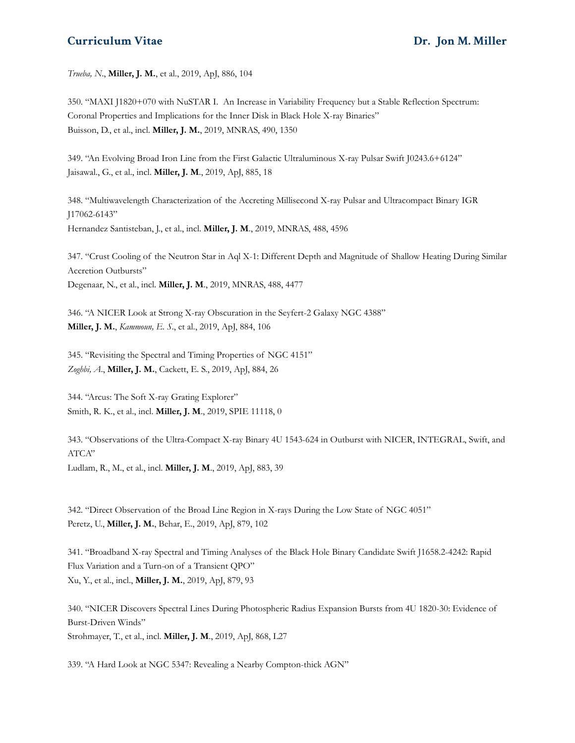*Trueba, N*., **Miller, J. M.**, et al., 2019, ApJ, 886, 104

350. "MAXI J1820+070 with NuSTAR I. An Increase in Variability Frequency but a Stable Reflection Spectrum: Coronal Properties and Implications for the Inner Disk in Black Hole X-ray Binaries" Buisson, D., et al., incl. **Miller, J. M.**, 2019, MNRAS, 490, 1350

349. "An Evolving Broad Iron Line from the First Galactic Ultraluminous X-ray Pulsar Swift J0243.6+6124" Jaisawal., G., et al., incl. **Miller, J. M**., 2019, ApJ, 885, 18

348. "Multiwavelength Characterization of the Accreting Millisecond X-ray Pulsar and Ultracompact Binary IGR J17062-6143" Hernandez Santisteban, J., et al., incl. **Miller, J. M**., 2019, MNRAS, 488, 4596

347. "Crust Cooling of the Neutron Star in Aql X-1: Different Depth and Magnitude of Shallow Heating During Similar Accretion Outbursts" Degenaar, N., et al., incl. **Miller, J. M**., 2019, MNRAS, 488, 4477

346. "A NICER Look at Strong X-ray Obscuration in the Seyfert-2 Galaxy NGC 4388" **Miller, J. M.**, *Kammoun, E. S*., et al., 2019, ApJ, 884, 106

345. "Revisiting the Spectral and Timing Properties of NGC 4151" *Zoghbi, A*., **Miller, J. M.**, Cackett, E. S., 2019, ApJ, 884, 26

344. "Arcus: The Soft X-ray Grating Explorer" Smith, R. K., et al., incl. **Miller, J. M**., 2019, SPIE 11118, 0

343. "Observations of the Ultra-Compact X-ray Binary 4U 1543-624 in Outburst with NICER, INTEGRAL, Swift, and ATCA" Ludlam, R., M., et al., incl. **Miller, J. M**., 2019, ApJ, 883, 39

342. "Direct Observation of the Broad Line Region in X-rays During the Low State of NGC 4051" Peretz, U., **Miller, J. M.**, Behar, E., 2019, ApJ, 879, 102

341. "Broadband X-ray Spectral and Timing Analyses of the Black Hole Binary Candidate Swift J1658.2-4242: Rapid Flux Variation and a Turn-on of a Transient QPO" Xu, Y., et al., incl., **Miller, J. M.**, 2019, ApJ, 879, 93

340. "NICER Discovers Spectral Lines During Photospheric Radius Expansion Bursts from 4U 1820-30: Evidence of Burst-Driven Winds" Strohmayer, T., et al., incl. **Miller, J. M**., 2019, ApJ, 868, L27

339. "A Hard Look at NGC 5347: Revealing a Nearby Compton-thick AGN"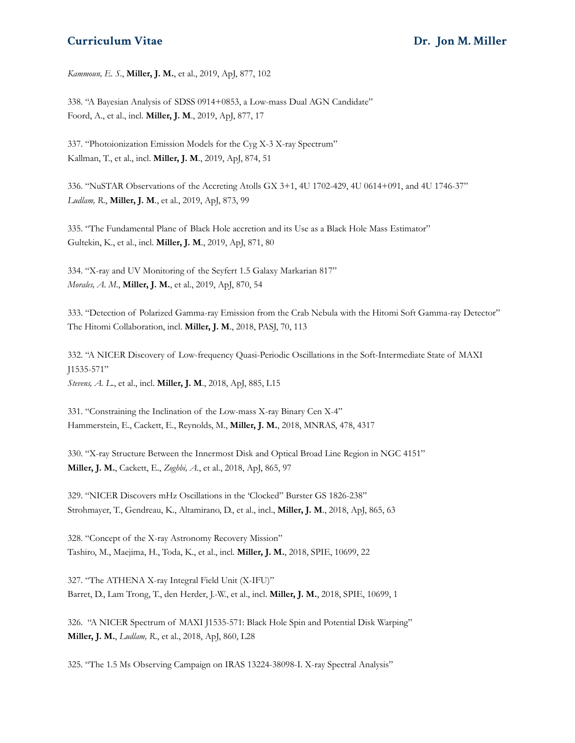*Kammoun, E. S*., **Miller, J. M.**, et al., 2019, ApJ, 877, 102

338. "A Bayesian Analysis of SDSS 0914+0853, a Low-mass Dual AGN Candidate" Foord, A., et al., incl. **Miller, J. M**., 2019, ApJ, 877, 17

337. "Photoionization Emission Models for the Cyg X-3 X-ray Spectrum" Kallman, T., et al., incl. **Miller, J. M**., 2019, ApJ, 874, 51

336. "NuSTAR Observations of the Accreting Atolls GX 3+1, 4U 1702-429, 4U 0614+091, and 4U 1746-37" *Ludlam, R*., **Miller, J. M**., et al., 2019, ApJ, 873, 99

335. "The Fundamental Plane of Black Hole accretion and its Use as a Black Hole Mass Estimator" Gultekin, K., et al., incl. **Miller, J. M**., 2019, ApJ, 871, 80

334. "X-ray and UV Monitoring of the Seyfert 1.5 Galaxy Markarian 817" *Morales, A. M*., **Miller, J. M.**, et al., 2019, ApJ, 870, 54

333. "Detection of Polarized Gamma-ray Emission from the Crab Nebula with the Hitomi Soft Gamma-ray Detector" The Hitomi Collaboration, incl. **Miller, J. M**., 2018, PASJ, 70, 113

332. "A NICER Discovery of Low-frequency Quasi-Periodic Oscillations in the Soft-Intermediate State of MAXI J1535-571" *Stevens, A. L*., et al., incl. **Miller, J. M**., 2018, ApJ, 885, L15

331. "Constraining the Inclination of the Low-mass X-ray Binary Cen X-4" Hammerstein, E., Cackett, E., Reynolds, M., **Miller, J. M.**, 2018, MNRAS, 478, 4317

330. "X-ray Structure Between the Innermost Disk and Optical Broad Line Region in NGC 4151" **Miller, J. M.**, Cackett, E., *Zoghbi, A.*, et al., 2018, ApJ, 865, 97

329. "NICER Discovers mHz Oscillations in the 'Clocked" Burster GS 1826-238" Strohmayer, T., Gendreau, K., Altamirano, D., et al., incl., **Miller, J. M**., 2018, ApJ, 865, 63

328. "Concept of the X-ray Astronomy Recovery Mission" Tashiro, M., Maejima, H., Toda, K., et al., incl. **Miller, J. M.**, 2018, SPIE, 10699, 22

327. "The ATHENA X-ray Integral Field Unit (X-IFU)" Barret, D., Lam Trong, T., den Herder, J.-W., et al., incl. **Miller, J. M.**, 2018, SPIE, 10699, 1

326. "A NICER Spectrum of MAXI J1535-571: Black Hole Spin and Potential Disk Warping" **Miller, J. M.**, *Ludlam, R*., et al., 2018, ApJ, 860, L28

325. "The 1.5 Ms Observing Campaign on IRAS 13224-38098-I. X-ray Spectral Analysis"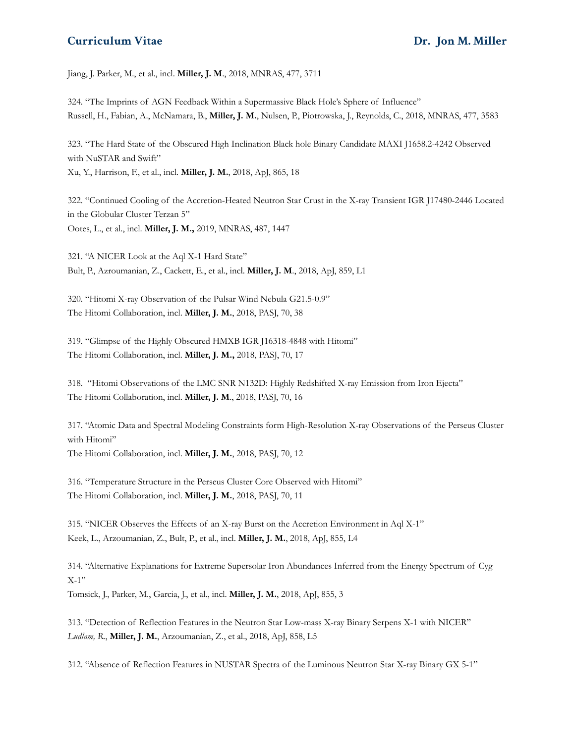Jiang, J. Parker, M., et al., incl. **Miller, J. M**., 2018, MNRAS, 477, 3711

324. "The Imprints of AGN Feedback Within a Supermassive Black Hole's Sphere of Influence" Russell, H., Fabian, A., McNamara, B., **Miller, J. M.**, Nulsen, P., Piotrowska, J., Reynolds, C., 2018, MNRAS, 477, 3583

323. "The Hard State of the Obscured High Inclination Black hole Binary Candidate MAXI J1658.2-4242 Observed with NuSTAR and Swift" Xu, Y., Harrison, F., et al., incl. **Miller, J. M.**, 2018, ApJ, 865, 18

322. "Continued Cooling of the Accretion-Heated Neutron Star Crust in the X-ray Transient IGR J17480-2446 Located in the Globular Cluster Terzan 5" Ootes, L., et al., incl. **Miller, J. M.,** 2019, MNRAS, 487, 1447

321. "A NICER Look at the Aql X-1 Hard State" Bult, P., Azroumanian, Z., Cackett, E., et al., incl. **Miller, J. M**., 2018, ApJ, 859, L1

320. "Hitomi X-ray Observation of the Pulsar Wind Nebula G21.5-0.9" The Hitomi Collaboration, incl. **Miller, J. M.**, 2018, PASJ, 70, 38

319. "Glimpse of the Highly Obscured HMXB IGR J16318-4848 with Hitomi" The Hitomi Collaboration, incl. **Miller, J. M.,** 2018, PASJ, 70, 17

318. "Hitomi Observations of the LMC SNR N132D: Highly Redshifted X-ray Emission from Iron Ejecta" The Hitomi Collaboration, incl. **Miller, J. M**., 2018, PASJ, 70, 16

317. "Atomic Data and Spectral Modeling Constraints form High-Resolution X-ray Observations of the Perseus Cluster with Hitomi" The Hitomi Collaboration, incl. **Miller, J. M.**, 2018, PASJ, 70, 12

316. "Temperature Structure in the Perseus Cluster Core Observed with Hitomi" The Hitomi Collaboration, incl. **Miller, J. M.**, 2018, PASJ, 70, 11

315. "NICER Observes the Effects of an X-ray Burst on the Accretion Environment in Aql X-1" Keek, L., Arzoumanian, Z., Bult, P., et al., incl. **Miller, J. M.**, 2018, ApJ, 855, L4

314. "Alternative Explanations for Extreme Supersolar Iron Abundances Inferred from the Energy Spectrum of Cyg  $X-1"$ 

Tomsick, J., Parker, M., Garcia, J., et al., incl. **Miller, J. M.**, 2018, ApJ, 855, 3

313. "Detection of Reflection Features in the Neutron Star Low-mass X-ray Binary Serpens X-1 with NICER" *Ludlam, R.*, **Miller, J. M.**, Arzoumanian, Z., et al., 2018, ApJ, 858, L5

312. "Absence of Reflection Features in NUSTAR Spectra of the Luminous Neutron Star X-ray Binary GX 5-1"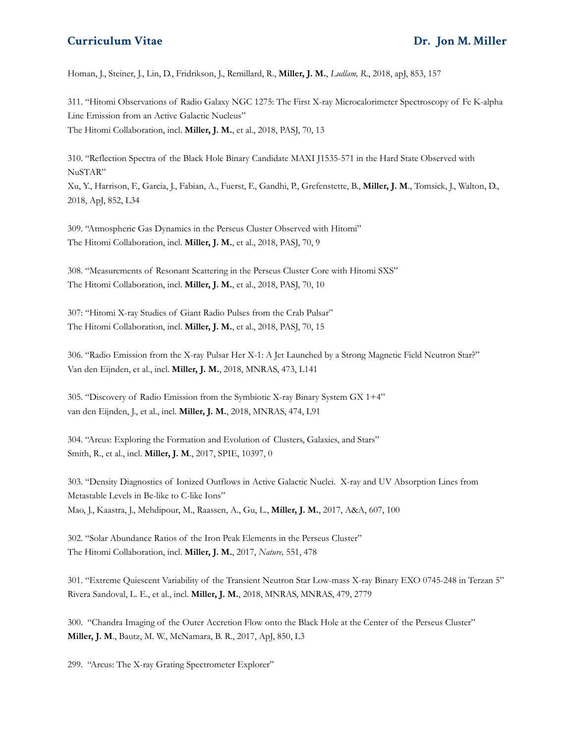Homan, J., Steiner, J., Lin, D., Fridrikson, J., Remillard, R., **Miller, J. M.**, *Ludlam, R*., 2018, apJ, 853, 157

311. "Hitomi Observations of Radio Galaxy NGC 1275: The First X-ray Microcalorimeter Spectroscopy of Fe K-alpha Line Emission from an Active Galactic Nucleus" The Hitomi Collaboration, incl. **Miller, J. M.**, et al., 2018, PASJ, 70, 13

310. "Reflection Spectra of the Black Hole Binary Candidate MAXI J1535-571 in the Hard State Observed with NuSTAR"

Xu, Y., Harrison, F., Garcia, J., Fabian, A., Fuerst, F., Gandhi, P., Grefenstette, B., **Miller, J. M**., Tomsick, J., Walton, D., 2018, ApJ, 852, L34

309. "Atmospheric Gas Dynamics in the Perseus Cluster Observed with Hitomi" The Hitomi Collaboration, incl. **Miller, J. M.**, et al., 2018, PASJ, 70, 9

308. "Measurements of Resonant Scattering in the Perseus Cluster Core with Hitomi SXS" The Hitomi Collaboration, incl. **Miller, J. M.**, et al., 2018, PASJ, 70, 10

307: "Hitomi X-ray Studies of Giant Radio Pulses from the Crab Pulsar" The Hitomi Collaboration, incl. **Miller, J. M.**, et al., 2018, PASJ, 70, 15

306. "Radio Emission from the X-ray Pulsar Her X-1: A Jet Launched by a Strong Magnetic Field Neutron Star?" Van den Eijnden, et al., incl. **Miller, J. M.**, 2018, MNRAS, 473, L141

305. "Discovery of Radio Emission from the Symbiotic X-ray Binary System GX 1+4" van den Eijnden, J., et al., incl. **Miller, J. M.**, 2018, MNRAS, 474, L91

304. "Arcus: Exploring the Formation and Evolution of Clusters, Galaxies, and Stars" Smith, R., et al., incl. **Miller, J. M**., 2017, SPIE, 10397, 0

303. "Density Diagnostics of Ionized Outflows in Active Galactic Nuclei. X-ray and UV Absorption Lines from Metastable Levels in Be-like to C-like Ions" Mao, J., Kaastra, J., Mehdipour, M., Raassen, A., Gu, L., **Miller, J. M.**, 2017, A&A, 607, 100

302. "Solar Abundance Ratios of the Iron Peak Elements in the Perseus Cluster" The Hitomi Collaboration, incl. **Miller, J. M.**, 2017, *Nature,* 551, 478

301. "Extreme Quiescent Variability of the Transient Neutron Star Low-mass X-ray Binary EXO 0745-248 in Terzan 5" Rivera Sandoval, L. E., et al., incl. **Miller, J. M.**, 2018, MNRAS, MNRAS, 479, 2779

300. "Chandra Imaging of the Outer Accretion Flow onto the Black Hole at the Center of the Perseus Cluster" **Miller, J. M**., Bautz, M. W., McNamara, B. R., 2017, ApJ, 850, L3

299. "Arcus: The X-ray Grating Spectrometer Explorer"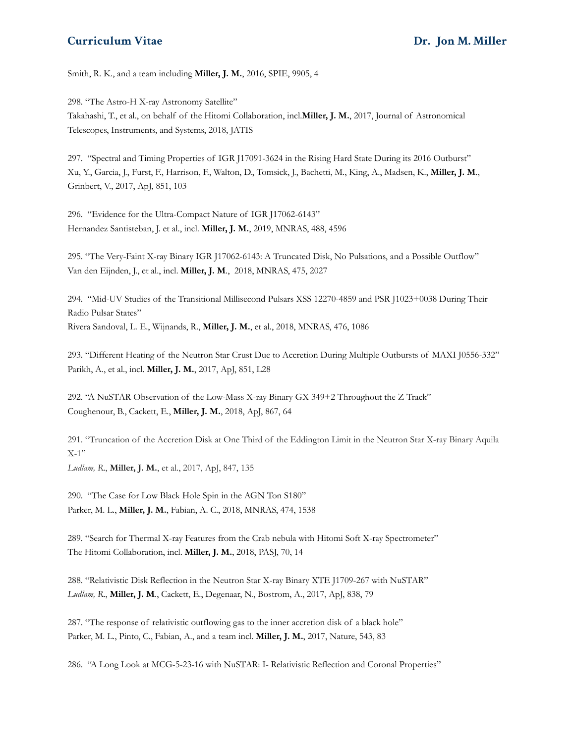Smith, R. K., and a team including **Miller, J. M.**, 2016, SPIE, 9905, 4

298. "The Astro-H X-ray Astronomy Satellite" Takahashi, T., et al., on behalf of the Hitomi Collaboration, incl.**Miller, J. M.**, 2017, Journal of Astronomical Telescopes, Instruments, and Systems, 2018, JATIS

297. "Spectral and Timing Properties of IGR J17091-3624 in the Rising Hard State During its 2016 Outburst" Xu, Y., Garcia, J., Furst, F., Harrison, F., Walton, D., Tomsick, J., Bachetti, M., King, A., Madsen, K., **Miller, J. M**., Grinbert, V., 2017, ApJ, 851, 103

296. "Evidence for the Ultra-Compact Nature of IGR J17062-6143" Hernandez Santisteban, J. et al., incl. **Miller, J. M.**, 2019, MNRAS, 488, 4596

295. "The Very-Faint X-ray Binary IGR J17062-6143: A Truncated Disk, No Pulsations, and a Possible Outflow" Van den Eijnden, J., et al., incl. **Miller, J. M**., 2018, MNRAS, 475, 2027

294. "Mid-UV Studies of the Transitional Millisecond Pulsars XSS 12270-4859 and PSR J1023+0038 During Their Radio Pulsar States" Rivera Sandoval, L. E., Wijnands, R., **Miller, J. M.**, et al., 2018, MNRAS, 476, 1086

293. "Different Heating of the Neutron Star Crust Due to Accretion During Multiple Outbursts of MAXI J0556-332" Parikh, A., et al., incl. **Miller, J. M.**, 2017, ApJ, 851, L28

292. "A NuSTAR Observation of the Low-Mass X-ray Binary GX 349+2 Throughout the Z Track" Coughenour, B., Cackett, E., **Miller, J. M.**, 2018, ApJ, 867, 64

291. "Truncation of the Accretion Disk at One Third of the Eddington Limit in the Neutron Star X-ray Binary Aquila  $X-1"$ 

*Ludlam, R*., **Miller, J. M.**, et al., 2017, ApJ, 847, 135

290. "The Case for Low Black Hole Spin in the AGN Ton S180" Parker, M. L., **Miller, J. M.**, Fabian, A. C., 2018, MNRAS, 474, 1538

289. "Search for Thermal X-ray Features from the Crab nebula with Hitomi Soft X-ray Spectrometer" The Hitomi Collaboration, incl. **Miller, J. M.**, 2018, PASJ, 70, 14

288. "Relativistic Disk Reflection in the Neutron Star X-ray Binary XTE J1709-267 with NuSTAR" *Ludlam, R*., **Miller, J. M**., Cackett, E., Degenaar, N., Bostrom, A., 2017, ApJ, 838, 79

287. "The response of relativistic outflowing gas to the inner accretion disk of a black hole" Parker, M. L., Pinto, C., Fabian, A., and a team incl. **Miller, J. M.**, 2017, Nature, 543, 83

286. "A Long Look at MCG-5-23-16 with NuSTAR: I- Relativistic Reflection and Coronal Properties"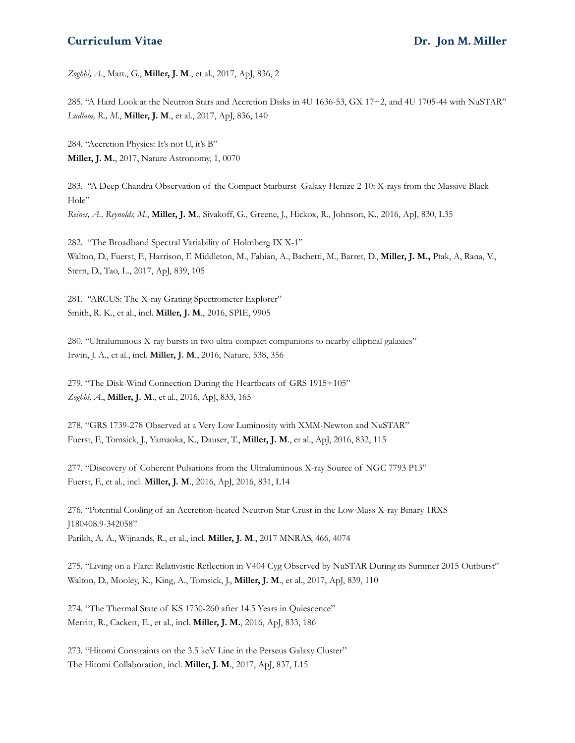*Zoghbi, A*., Matt., G., **Miller, J. M**., et al., 2017, ApJ, 836, 2

285. "A Hard Look at the Neutron Stars and Accretion Disks in 4U 1636-53, GX 17+2, and 4U 1705-44 with NuSTAR" *Ludlam, R., M*., **Miller, J. M**., et al., 2017, ApJ, 836, 140

284. "Accretion Physics: It's not U, it's B" **Miller, J. M.**, 2017, Nature Astronomy, 1, 0070

283. "A Deep Chandra Observation of the Compact Starburst Galaxy Henize 2-10: X-rays from the Massive Black Hole" *Reines, A., Reynolds, M.*, **Miller, J. M**., Sivakoff, G., Greene, J., Hickox, R., Johnson, K., 2016, ApJ, 830, L35

282. "The Broadband Spectral Variability of Holmberg IX X-1" Walton, D., Fuerst, F., Harrison, F. Middleton, M., Fabian, A., Bachetti, M., Barret, D., **Miller, J. M.,** Ptak, A, Rana, V., Stern, D., Tao, L., 2017, ApJ, 839, 105

281. "ARCUS: The X-ray Grating Spectrometer Explorer" Smith, R. K., et al., incl. **Miller, J. M**., 2016, SPIE, 9905

280. "Ultraluminous X-ray bursts in two ultra-compact companions to nearby elliptical galaxies" Irwin, J. A., et al., incl. **Miller, J. M**., 2016, Nature, 538, 356

279. "The Disk-Wind Connection During the Heartbeats of GRS 1915+105" *Zoghbi, A*., **Miller, J. M**., et al., 2016, ApJ, 833, 165

278. "GRS 1739-278 Observed at a Very Low Luminosity with XMM-Newton and NuSTAR" Fuerst, F., Tomsick, J., Yamaoka, K., Dauser, T., **Miller, J. M**., et al., ApJ, 2016, 832, 115

277. "Discovery of Coherent Pulsations from the Ultraluminous X-ray Source of NGC 7793 P13" Fuerst, F., et al., incl. **Miller, J. M**., 2016, ApJ, 2016, 831, L14

276. "Potential Cooling of an Accretion-heated Neutron Star Crust in the Low-Mass X-ray Binary 1RXS J180408.9-342058" Parikh, A. A., Wijnands, R., et al., incl. **Miller, J. M**., 2017 MNRAS, 466, 4074

275. "Living on a Flare: Relativistic Reflection in V404 Cyg Observed by NuSTAR During its Summer 2015 Outburst" Walton, D., Mooley, K., King, A., Tomsick, J., **Miller, J. M**., et al., 2017, ApJ, 839, 110

274. "The Thermal State of KS 1730-260 after 14.5 Years in Quiescence" Merritt, R., Cackett, E., et al., incl. **Miller, J. M.**, 2016, ApJ, 833, 186

273. "Hitomi Constraints on the 3.5 keV Line in the Perseus Galaxy Cluster" The Hitomi Collaboration, incl. **Miller, J. M**., 2017, ApJ, 837, L15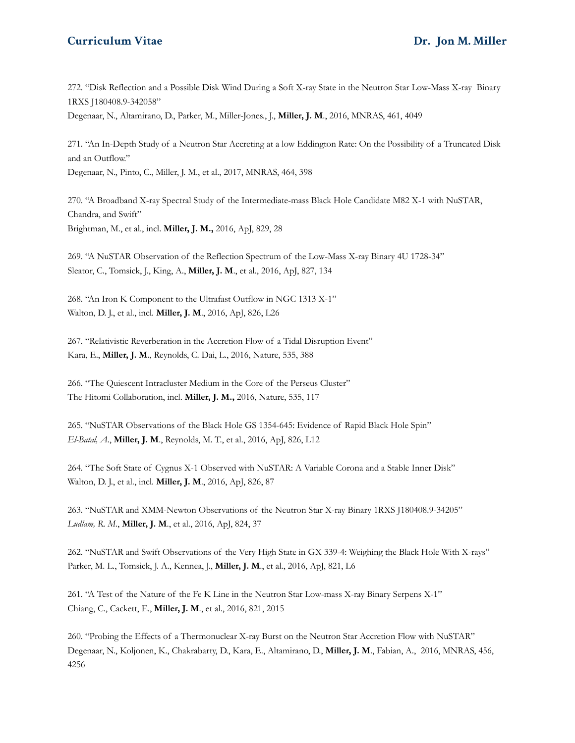272. "Disk Reflection and a Possible Disk Wind During a Soft X-ray State in the Neutron Star Low-Mass X-ray Binary 1RXS J180408.9-342058"

Degenaar, N., Altamirano, D., Parker, M., Miller-Jones., J., **Miller, J. M**., 2016, MNRAS, 461, 4049

271. "An In-Depth Study of a Neutron Star Accreting at a low Eddington Rate: On the Possibility of a Truncated Disk and an Outflow." Degenaar, N., Pinto, C., Miller, J. M., et al., 2017, MNRAS, 464, 398

270. "A Broadband X-ray Spectral Study of the Intermediate-mass Black Hole Candidate M82 X-1 with NuSTAR, Chandra, and Swift" Brightman, M., et al., incl. **Miller, J. M.,** 2016, ApJ, 829, 28

269. "A NuSTAR Observation of the Reflection Spectrum of the Low-Mass X-ray Binary 4U 1728-34" Sleator, C., Tomsick, J., King, A., **Miller, J. M**., et al., 2016, ApJ, 827, 134

268. "An Iron K Component to the Ultrafast Outflow in NGC 1313 X-1" Walton, D. J., et al., incl. **Miller, J. M**., 2016, ApJ, 826, L26

267. "Relativistic Reverberation in the Accretion Flow of a Tidal Disruption Event" Kara, E., **Miller, J. M**., Reynolds, C. Dai, L., 2016, Nature, 535, 388

266. "The Quiescent Intracluster Medium in the Core of the Perseus Cluster" The Hitomi Collaboration, incl. **Miller, J. M.,** 2016, Nature, 535, 117

265. "NuSTAR Observations of the Black Hole GS 1354-645: Evidence of Rapid Black Hole Spin" *El-Batal, A*., **Miller, J. M**., Reynolds, M. T., et al., 2016, ApJ, 826, L12

264. "The Soft State of Cygnus X-1 Observed with NuSTAR: A Variable Corona and a Stable Inner Disk" Walton, D. J., et al., incl. **Miller, J. M**., 2016, ApJ, 826, 87

263. "NuSTAR and XMM-Newton Observations of the Neutron Star X-ray Binary 1RXS J180408.9-34205" *Ludlam, R. M*., **Miller, J. M**., et al., 2016, ApJ, 824, 37

262. "NuSTAR and Swift Observations of the Very High State in GX 339-4: Weighing the Black Hole With X-rays" Parker, M. L., Tomsick, J. A., Kennea, J., **Miller, J. M**., et al., 2016, ApJ, 821, L6

261. "A Test of the Nature of the Fe K Line in the Neutron Star Low-mass X-ray Binary Serpens X-1" Chiang, C., Cackett, E., **Miller, J. M**., et al., 2016, 821, 2015

260. "Probing the Effects of a Thermonuclear X-ray Burst on the Neutron Star Accretion Flow with NuSTAR" Degenaar, N., Koljonen, K., Chakrabarty, D., Kara, E., Altamirano, D., **Miller, J. M**., Fabian, A., 2016, MNRAS, 456, 4256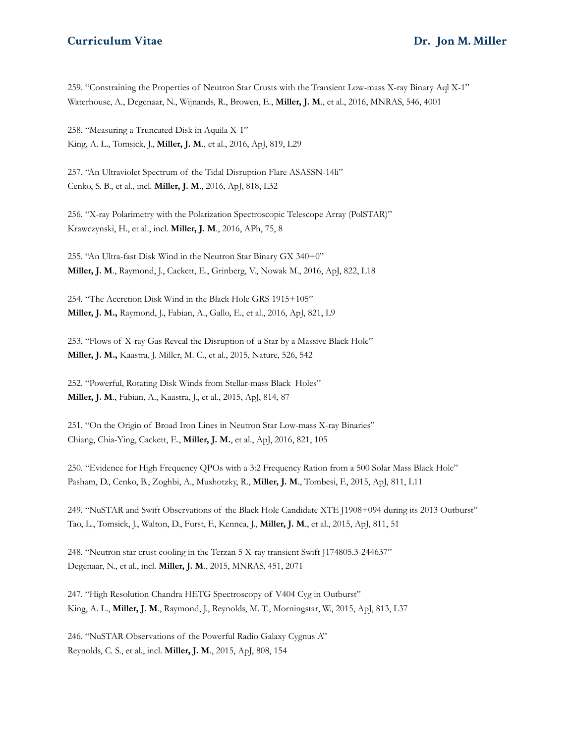259. "Constraining the Properties of Neutron Star Crusts with the Transient Low-mass X-ray Binary Aql X-1" Waterhouse, A., Degenaar, N., Wijnands, R., Browen, E., **Miller, J. M**., et al., 2016, MNRAS, 546, 4001

258. "Measuring a Truncated Disk in Aquila X-1" King, A. L., Tomsick, J., **Miller, J. M**., et al., 2016, ApJ, 819, L29

257. "An Ultraviolet Spectrum of the Tidal Disruption Flare ASASSN-14li" Cenko, S. B., et al., incl. **Miller, J. M**., 2016, ApJ, 818, L32

256. "X-ray Polarimetry with the Polarization Spectroscopic Telescope Array (PolSTAR)" Krawczynski, H., et al., incl. **Miller, J. M**., 2016, APh, 75, 8

255. "An Ultra-fast Disk Wind in the Neutron Star Binary GX 340+0" **Miller, J. M**., Raymond, J., Cackett, E., Grinberg, V., Nowak M., 2016, ApJ, 822, L18

254. "The Accretion Disk Wind in the Black Hole GRS 1915+105" **Miller, J. M.,** Raymond, J., Fabian, A., Gallo, E., et al., 2016, ApJ, 821, L9

253. "Flows of X-ray Gas Reveal the Disruption of a Star by a Massive Black Hole" **Miller, J. M.,** Kaastra, J. Miller, M. C., et al., 2015, Nature, 526, 542

252. "Powerful, Rotating Disk Winds from Stellar-mass Black Holes" **Miller, J. M**., Fabian, A., Kaastra, J., et al., 2015, ApJ, 814, 87

251. "On the Origin of Broad Iron Lines in Neutron Star Low-mass X-ray Binaries" Chiang, Chia-Ying, Cackett, E., **Miller, J. M.**, et al., ApJ, 2016, 821, 105

250. "Evidence for High Frequency QPOs with a 3:2 Frequency Ration from a 500 Solar Mass Black Hole" Pasham, D., Cenko, B., Zoghbi, A., Mushotzky, R., **Miller, J. M**., Tombesi, F., 2015, ApJ, 811, L11

249. "NuSTAR and Swift Observations of the Black Hole Candidate XTE J1908+094 during its 2013 Outburst" Tao, L., Tomsick, J., Walton, D., Furst, F., Kennea, J., **Miller, J. M**., et al., 2015, ApJ, 811, 51

248. "Neutron star crust cooling in the Terzan 5 X-ray transient Swift J174805.3-244637" Degenaar, N., et al., incl. **Miller, J. M**., 2015, MNRAS, 451, 2071

247. "High Resolution Chandra HETG Spectroscopy of V404 Cyg in Outburst" King, A. L., **Miller, J. M**., Raymond, J., Reynolds, M. T., Morningstar, W., 2015, ApJ, 813, L37

246. "NuSTAR Observations of the Powerful Radio Galaxy Cygnus A" Reynolds, C. S., et al., incl. **Miller, J. M**., 2015, ApJ, 808, 154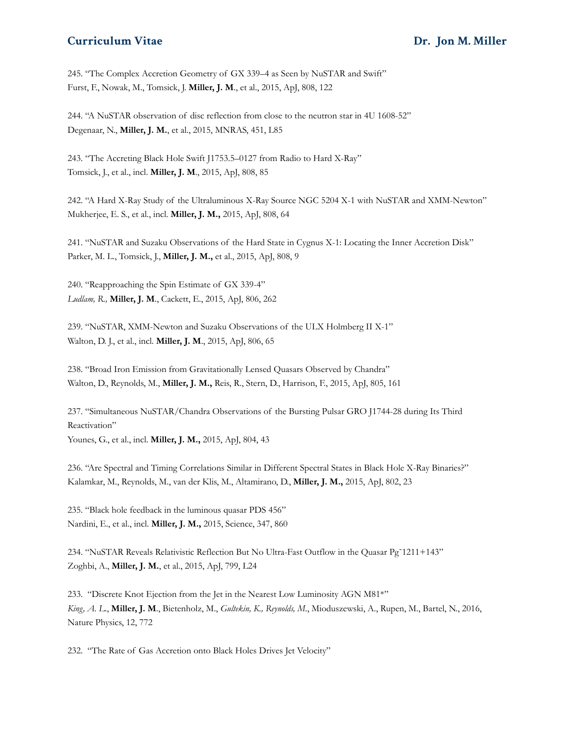245. "The Complex Accretion Geometry of GX 339–4 as Seen by NuSTAR and Swift" Furst, F., Nowak, M., Tomsick, J. **Miller, J. M**., et al., 2015, ApJ, 808, 122

244. "A NuSTAR observation of disc reflection from close to the neutron star in 4U 1608-52" Degenaar, N., **Miller, J. M.**, et al., 2015, MNRAS, 451, L85

243. "The Accreting Black Hole Swift J1753.5–0127 from Radio to Hard X-Ray" Tomsick, J., et al., incl. **Miller, J. M**., 2015, ApJ, 808, 85

242. "A Hard X-Ray Study of the Ultraluminous X-Ray Source NGC 5204 X-1 with NuSTAR and XMM-Newton" Mukherjee, E. S., et al., incl. **Miller, J. M.,** 2015, ApJ, 808, 64

241. "NuSTAR and Suzaku Observations of the Hard State in Cygnus X-1: Locating the Inner Accretion Disk" Parker, M. L., Tomsick, J., **Miller, J. M.,** et al., 2015, ApJ, 808, 9

240. "Reapproaching the Spin Estimate of GX 339-4" *Ludlam, R.,* **Miller, J. M**., Cackett, E., 2015, ApJ, 806, 262

239. "NuSTAR, XMM-Newton and Suzaku Observations of the ULX Holmberg II X-1" Walton, D. J., et al., incl. **Miller, J. M**., 2015, ApJ, 806, 65

238. "Broad Iron Emission from Gravitationally Lensed Quasars Observed by Chandra" Walton, D., Reynolds, M., **Miller, J. M.,** Reis, R., Stern, D., Harrison, F., 2015, ApJ, 805, 161

237. "Simultaneous NuSTAR/Chandra Observations of the Bursting Pulsar GRO J1744-28 during Its Third Reactivation" Younes, G., et al., incl. **Miller, J. M.,** 2015, ApJ, 804, 43

236. "Are Spectral and Timing Correlations Similar in Different Spectral States in Black Hole X-Ray Binaries?" Kalamkar, M., Reynolds, M., van der Klis, M., Altamirano, D., **Miller, J. M.,** 2015, ApJ, 802, 23

235. "Black hole feedback in the luminous quasar PDS 456" Nardini, E., et al., incl. **Miller, J. M.,** 2015, Science, 347, 860

234. "NuSTAR Reveals Relativistic Reflection But No Ultra-Fast Outflow in the Quasar Pg˜1211+143" Zoghbi, A., **Miller, J. M.**, et al., 2015, ApJ, 799, L24

233. "Discrete Knot Ejection from the Jet in the Nearest Low Luminosity AGN M81\*" *King, A. L*., **Miller, J. M**., Bietenholz, M., *Gultekin, K., Reynolds, M*., Mioduszewski, A., Rupen, M., Bartel, N., 2016, Nature Physics, 12, 772

232. "The Rate of Gas Accretion onto Black Holes Drives Jet Velocity"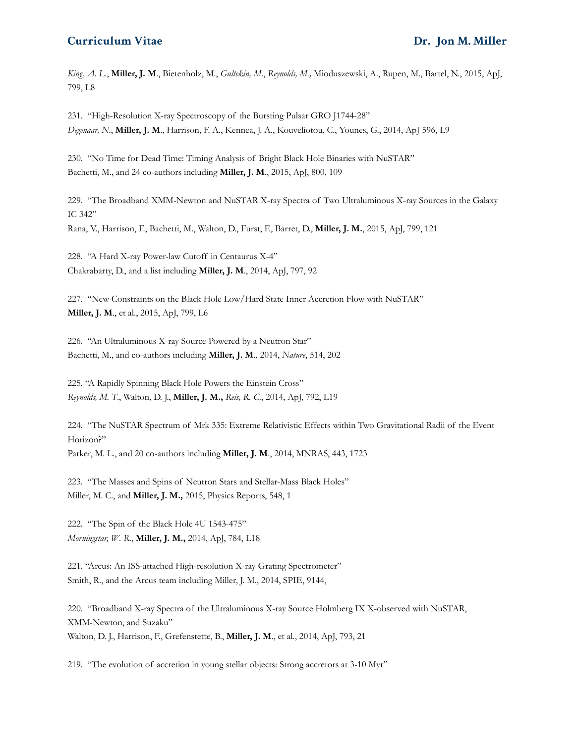*King, A. L*., **Miller, J. M**., Bietenholz, M., *Gultekin, M*., *Reynolds, M.,* Mioduszewski, A., Rupen, M., Bartel, N., 2015, ApJ, 799, L8

231. "High-Resolution X-ray Spectroscopy of the Bursting Pulsar GRO J1744-28" *Degenaar, N*., **Miller, J. M**., Harrison, F. A., Kennea, J. A., Kouveliotou, C., Younes, G., 2014, ApJ 596, L9

230. "No Time for Dead Time: Timing Analysis of Bright Black Hole Binaries with NuSTAR" Bachetti, M., and 24 co-authors including **Miller, J. M**., 2015, ApJ, 800, 109

229. "The Broadband XMM-Newton and NuSTAR X-ray Spectra of Two Ultraluminous X-ray Sources in the Galaxy IC 342" Rana, V., Harrison, F., Bachetti, M., Walton, D., Furst, F., Barret, D., **Miller, J. M.**, 2015, ApJ, 799, 121

228. "A Hard X-ray Power-law Cutoff in Centaurus X-4" Chakrabarty, D., and a list including **Miller, J. M**., 2014, ApJ, 797, 92

227. "New Constraints on the Black Hole Low/Hard State Inner Accretion Flow with NuSTAR" **Miller, J. M**., et al., 2015, ApJ, 799, L6

226. "An Ultraluminous X-ray Source Powered by a Neutron Star" Bachetti, M., and co-authors including **Miller, J. M**., 2014, *Nature*, 514, 202

225. "A Rapidly Spinning Black Hole Powers the Einstein Cross" *Reynolds, M. T*., Walton, D. J., **Miller, J. M.,** *Reis, R. C*., 2014, ApJ, 792, L19

224. "The NuSTAR Spectrum of Mrk 335: Extreme Relativistic Effects within Two Gravitational Radii of the Event Horizon?" Parker, M. L., and 20 co-authors including **Miller, J. M**., 2014, MNRAS, 443, 1723

223. "The Masses and Spins of Neutron Stars and Stellar-Mass Black Holes" Miller, M. C., and **Miller, J. M.,** 2015, Physics Reports, 548, 1

222. "The Spin of the Black Hole 4U 1543-475" *Morningstar, W. R*., **Miller, J. M.,** 2014, ApJ, 784, L18

221. "Arcus: An ISS-attached High-resolution X-ray Grating Spectrometer" Smith, R., and the Arcus team including Miller, J. M., 2014, SPIE, 9144,

220. "Broadband X-ray Spectra of the Ultraluminous X-ray Source Holmberg IX X-observed with NuSTAR, XMM-Newton, and Suzaku" Walton, D. J., Harrison, F., Grefenstette, B., **Miller, J. M**., et al., 2014, ApJ, 793, 21

219. "The evolution of accretion in young stellar objects: Strong accretors at 3-10 Myr"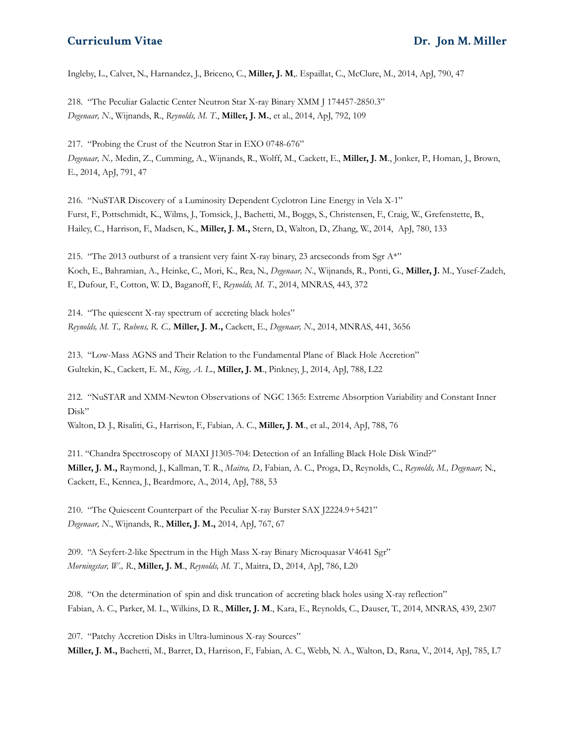Ingleby, L., Calvet, N., Harnandez, J., Briceno, C., **Miller, J. M**,. Espaillat, C., McClure, M., 2014, ApJ, 790, 47

218. "The Peculiar Galactic Center Neutron Star X-ray Binary XMM J 174457-2850.3" *Degenaar, N*., Wijnands, R., *Reynolds, M. T*., **Miller, J. M.**, et al., 2014, ApJ, 792, 109

217. "Probing the Crust of the Neutron Star in EXO 0748-676" *Degenaar, N.,* Medin, Z., Cumming, A., Wijnands, R., Wolff, M., Cackett, E., **Miller, J. M**., Jonker, P., Homan, J., Brown, E., 2014, ApJ, 791, 47

216. "NuSTAR Discovery of a Luminosity Dependent Cyclotron Line Energy in Vela X-1" Furst, F., Pottschmidt, K., Wilms, J., Tomsick, J., Bachetti, M., Boggs, S., Christensen, F., Craig, W., Grefenstette, B., Hailey, C., Harrison, F., Madsen, K., **Miller, J. M.,** Stern, D., Walton, D., Zhang, W., 2014, ApJ, 780, 133

215. "The 2013 outburst of a transient very faint X-ray binary, 23 arcseconds from Sgr A\*" Koch, E., Bahramian, A., Heinke, C., Mori, K., Rea, N., *Degenaar, N*., Wijnands, R., Ponti, G., **Miller, J.** M., Yusef-Zadeh, F., Dufour, F., Cotton, W. D., Baganoff, F., *Reynolds, M. T*., 2014, MNRAS, 443, 372

214. "The quiescent X-ray spectrum of accreting black holes" *Reynolds, M. T., Rubens, R. C.,* **Miller, J. M.,** Cackett, E., *Degenaar, N*., 2014, MNRAS, 441, 3656

213. "Low-Mass AGNS and Their Relation to the Fundamental Plane of Black Hole Accretion" Gultekin, K., Cackett, E. M., *King, A. L*., **Miller, J. M**., Pinkney, J., 2014, ApJ, 788, L22

212. "NuSTAR and XMM-Newton Observations of NGC 1365: Extreme Absorption Variability and Constant Inner Disk"

Walton, D. J., Risaliti, G., Harrison, F., Fabian, A. C., **Miller, J. M**., et al., 2014, ApJ, 788, 76

211. "Chandra Spectroscopy of MAXI J1305-704: Detection of an Infalling Black Hole Disk Wind?" **Miller, J. M.,** Raymond, J., Kallman, T. R., *Maitra, D.,* Fabian, A. C., Proga, D., Reynolds, C., *Reynolds, M., Degenaar,* N., Cackett, E., Kennea, J., Beardmore, A., 2014, ApJ, 788, 53

210. "The Quiescent Counterpart of the Peculiar X-ray Burster SAX J2224.9+5421" *Degenaar, N*., Wijnands, R., **Miller, J. M.,** 2014, ApJ, 767, 67

209. "A Seyfert-2-like Spectrum in the High Mass X-ray Binary Microquasar V4641 Sgr" *Morningstar, W., R*., **Miller, J. M**., *Reynolds, M. T*., Maitra, D., 2014, ApJ, 786, L20

208. "On the determination of spin and disk truncation of accreting black holes using X-ray reflection" Fabian, A. C., Parker, M. L., Wilkins, D. R., **Miller, J. M**., Kara, E., Reynolds, C., Dauser, T., 2014, MNRAS, 439, 2307

207. "Patchy Accretion Disks in Ultra-luminous X-ray Sources" **Miller, J. M.,** Bachetti, M., Barret, D., Harrison, F., Fabian, A. C., Webb, N. A., Walton, D., Rana, V., 2014, ApJ, 785, L7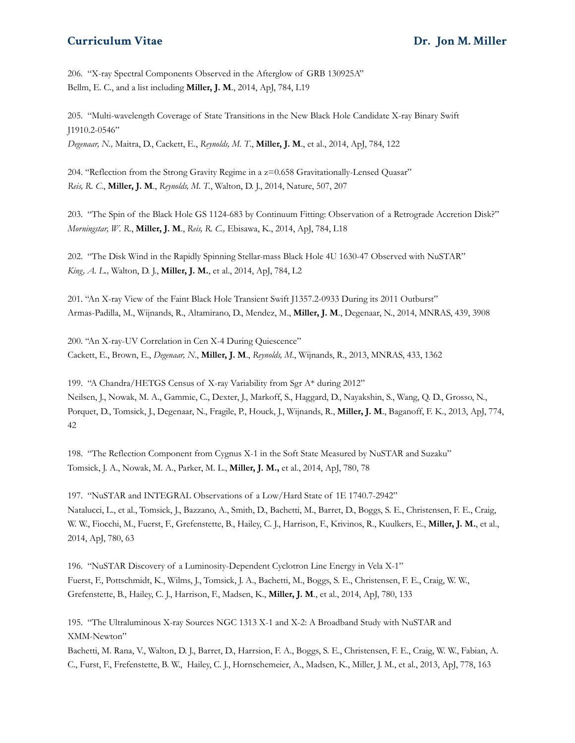206. "X-ray Spectral Components Observed in the Afterglow of GRB 130925A" Bellm, E. C., and a list including **Miller, J. M**., 2014, ApJ, 784, L19

205. "Multi-wavelength Coverage of State Transitions in the New Black Hole Candidate X-ray Binary Swift J1910.2-0546" *Degenaar, N.,* Maitra, D., Cackett, E., *Reynolds, M. T*., **Miller, J. M**., et al., 2014, ApJ, 784, 122

204. "Reflection from the Strong Gravity Regime in a z=0.658 Gravitationally-Lensed Quasar" *Reis, R. C*., **Miller, J. M**., *Reynolds, M. T.*, Walton, D. J., 2014, Nature, 507, 207

203. "The Spin of the Black Hole GS 1124-683 by Continuum Fitting: Observation of a Retrograde Accretion Disk?" *Morningstar, W. R*., **Miller, J. M**., *Reis, R. C.,* Ebisawa, K., 2014, ApJ, 784, L18

202. "The Disk Wind in the Rapidly Spinning Stellar-mass Black Hole 4U 1630-47 Observed with NuSTAR" *King, A. L.,* Walton, D. J., **Miller, J. M.**, et al., 2014, ApJ, 784, L2

201. "An X-ray View of the Faint Black Hole Transient Swift J1357.2-0933 During its 2011 Outburst" Armas-Padilla, M., Wijnands, R., Altamirano, D., Mendez, M., **Miller, J. M**., Degenaar, N., 2014, MNRAS, 439, 3908

200. "An X-ray-UV Correlation in Cen X-4 During Quiescence" Cackett, E., Brown, E., *Degenaar, N*., **Miller, J. M**., *Reynolds, M*., Wijnands, R., 2013, MNRAS, 433, 1362

199. "A Chandra/HETGS Census of X-ray Variability from Sgr A\* during 2012" Neilsen, J., Nowak, M. A., Gammie, C., Dexter, J., Markoff, S., Haggard, D., Nayakshin, S., Wang, Q. D., Grosso, N., Porquet, D., Tomsick, J., Degenaar, N., Fragile, P., Houck, J., Wijnands, R., **Miller, J. M**., Baganoff, F. K., 2013, ApJ, 774, 42

198. "The Reflection Component from Cygnus X-1 in the Soft State Measured by NuSTAR and Suzaku" Tomsick, J. A., Nowak, M. A., Parker, M. L., **Miller, J. M.,** et al., 2014, ApJ, 780, 78

197. "NuSTAR and INTEGRAL Observations of a Low/Hard State of 1E 1740.7-2942" Natalucci, L., et al., Tomsick, J., Bazzano, A., Smith, D., Bachetti, M., Barret, D., Boggs, S. E., Christensen, F. E., Craig, W. W., Fiocchi, M., Fuerst, F., Grefenstette, B., Hailey, C. J., Harrison, F., Krivinos, R., Kuulkers, E., **Miller, J. M.**, et al., 2014, ApJ, 780, 63

196. "NuSTAR Discovery of a Luminosity-Dependent Cyclotron Line Energy in Vela X-1" Fuerst, F., Pottschmidt, K., Wilms, J., Tomsick, J. A., Bachetti, M., Boggs, S. E., Christensen, F. E., Craig, W. W., Grefenstette, B., Hailey, C. J., Harrison, F., Madsen, K., **Miller, J. M**., et al., 2014, ApJ, 780, 133

195. "The Ultraluminous X-ray Sources NGC 1313 X-1 and X-2: A Broadband Study with NuSTAR and XMM-Newton"

Bachetti, M. Rana, V., Walton, D. J., Barret, D., Harrsion, F. A., Boggs, S. E., Christensen, F. E., Craig, W. W., Fabian, A. C., Furst, F., Frefenstette, B. W., Hailey, C. J., Hornschemeier, A., Madsen, K., Miller, J. M., et al., 2013, ApJ, 778, 163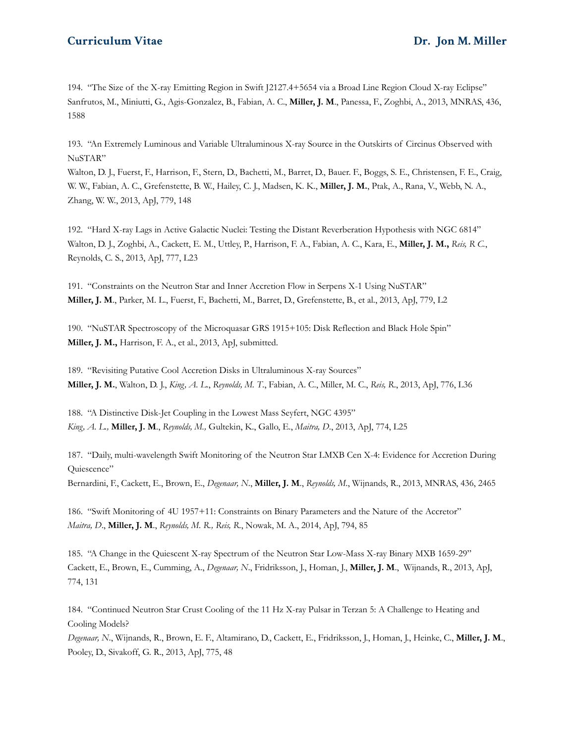194. "The Size of the X-ray Emitting Region in Swift J2127.4+5654 via a Broad Line Region Cloud X-ray Eclipse" Sanfrutos, M., Miniutti, G., Agis-Gonzalez, B., Fabian, A. C., **Miller, J. M**., Panessa, F., Zoghbi, A., 2013, MNRAS, 436, 1588

193. "An Extremely Luminous and Variable Ultraluminous X-ray Source in the Outskirts of Circinus Observed with NuSTAR"

Walton, D. J., Fuerst, F., Harrison, F., Stern, D., Bachetti, M., Barret, D., Bauer. F., Boggs, S. E., Christensen, F. E., Craig, W. W., Fabian, A. C., Grefenstette, B. W., Hailey, C. J., Madsen, K. K., **Miller, J. M.**, Ptak, A., Rana, V., Webb, N. A., Zhang, W. W., 2013, ApJ, 779, 148

192. "Hard X-ray Lags in Active Galactic Nuclei: Testing the Distant Reverberation Hypothesis with NGC 6814" Walton, D. J., Zoghbi, A., Cackett, E. M., Uttley, P., Harrison, F. A., Fabian, A. C., Kara, E., **Miller, J. M.,** *Reis, R C.*, Reynolds, C. S., 2013, ApJ, 777, L23

191. "Constraints on the Neutron Star and Inner Accretion Flow in Serpens X-1 Using NuSTAR" **Miller, J. M**., Parker, M. L., Fuerst, F., Bachetti, M., Barret, D., Grefenstette, B., et al., 2013, ApJ, 779, L2

190. "NuSTAR Spectroscopy of the Microquasar GRS 1915+105: Disk Reflection and Black Hole Spin" **Miller, J. M.,** Harrison, F. A., et al., 2013, ApJ, submitted.

189. "Revisiting Putative Cool Accretion Disks in Ultraluminous X-ray Sources" **Miller, J. M.**, Walton, D. J., *King, A. L*., *Reynolds, M. T*., Fabian, A. C., Miller, M. C., *Reis, R*., 2013, ApJ, 776, L36

188. "A Distinctive Disk-Jet Coupling in the Lowest Mass Seyfert, NGC 4395" *King, A. L.,* **Miller, J. M**., *Reynolds, M.,* Gultekin, K., Gallo, E., *Maitra, D*., 2013, ApJ, 774, L25

187. "Daily, multi-wavelength Swift Monitoring of the Neutron Star LMXB Cen X-4: Evidence for Accretion During Quiescence"

Bernardini, F., Cackett, E., Brown, E., *Degenaar, N*., **Miller, J. M**., *Reynolds, M*., Wijnands, R., 2013, MNRAS, 436, 2465

186. "Swift Monitoring of 4U 1957+11: Constraints on Binary Parameters and the Nature of the Accretor" *Maitra, D*., **Miller, J. M**., *Reynolds, M. R., Reis, R*., Nowak, M. A., 2014, ApJ, 794, 85

185. "A Change in the Quiescent X-ray Spectrum of the Neutron Star Low-Mass X-ray Binary MXB 1659-29" Cackett, E., Brown, E., Cumming, A., *Degenaar, N*., Fridriksson, J., Homan, J., **Miller, J. M**., Wijnands, R., 2013, ApJ, 774, 131

184. "Continued Neutron Star Crust Cooling of the 11 Hz X-ray Pulsar in Terzan 5: A Challenge to Heating and Cooling Models?

*Degenaar, N*., Wijnands, R., Brown, E. F., Altamirano, D., Cackett, E., Fridriksson, J., Homan, J., Heinke, C., **Miller, J. M**., Pooley, D., Sivakoff, G. R., 2013, ApJ, 775, 48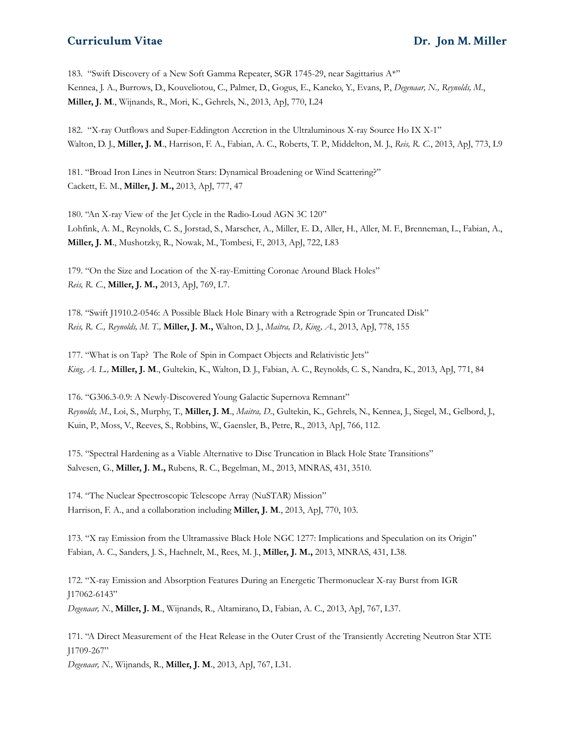183. "Swift Discovery of a New Soft Gamma Repeater, SGR 1745-29, near Sagittarius A\*" Kennea, J. A., Burrows, D., Kouveliotou, C., Palmer, D., Gogus, E., Kaneko, Y., Evans, P., *Degenaar, N., Reynolds, M.*, **Miller, J. M**., Wijnands, R., Mori, K., Gehrels, N., 2013, ApJ, 770, L24

182. "X-ray Outflows and Super-Eddington Accretion in the Ultraluminous X-ray Source Ho IX X-1" Walton, D. J., **Miller, J. M**., Harrison, F. A., Fabian, A. C., Roberts, T. P., Middelton, M. J., *Reis, R. C*., 2013, ApJ, 773, L9

181. "Broad Iron Lines in Neutron Stars: Dynamical Broadening or Wind Scattering?" Cackett, E. M., **Miller, J. M.,** 2013, ApJ, 777, 47

180. "An X-ray View of the Jet Cycle in the Radio-Loud AGN 3C 120" Lohfink, A. M., Reynolds, C. S., Jorstad, S., Marscher, A., Miller, E. D., Aller, H., Aller, M. F., Brenneman, L., Fabian, A., **Miller, J. M**., Mushotzky, R., Nowak, M., Tombesi, F., 2013, ApJ, 722, L83

179. "On the Size and Location of the X-ray-Emitting Coronae Around Black Holes" *Reis, R. C.*, **Miller, J. M.,** 2013, ApJ, 769, L7.

178. "Swift J1910.2-0546: A Possible Black Hole Binary with a Retrograde Spin or Truncated Disk" *Reis, R. C., Reynolds, M. T.,* **Miller, J. M.,** Walton, D. J., *Maitra, D., King, A.*, 2013, ApJ, 778, 155

177. "What is on Tap? The Role of Spin in Compact Objects and Relativistic Jets" *King, A. L.,* **Miller, J. M**., Gultekin, K., Walton, D. J., Fabian, A. C., Reynolds, C. S., Nandra, K., 2013, ApJ, 771, 84

176. "G306.3-0.9: A Newly-Discovered Young Galactic Supernova Remnant" *Reynolds, M*., Loi, S., Murphy, T., **Miller, J. M**., *Maitra, D*., Gultekin, K., Gehrels, N., Kennea, J., Siegel, M., Gelbord, J., Kuin, P., Moss, V., Reeves, S., Robbins, W., Gaensler, B., Petre, R., 2013, ApJ, 766, 112.

175. "Spectral Hardening as a Viable Alternative to Disc Truncation in Black Hole State Transitions" Salvesen, G., **Miller, J. M.,** Rubens, R. C., Begelman, M., 2013, MNRAS, 431, 3510.

174. "The Nuclear Spectroscopic Telescope Array (NuSTAR) Mission" Harrison, F. A., and a collaboration including **Miller, J. M**., 2013, ApJ, 770, 103.

173. "X ray Emission from the Ultramassive Black Hole NGC 1277: Implications and Speculation on its Origin" Fabian, A. C., Sanders, J. S., Haehnelt, M., Rees, M. J., **Miller, J. M.,** 2013, MNRAS, 431, L38.

172. "X-ray Emission and Absorption Features During an Energetic Thermonuclear X-ray Burst from IGR J17062-6143" *Degenaar, N.*, **Miller, J. M**., Wijnands, R., Altamirano, D., Fabian, A. C., 2013, ApJ, 767, L37.

171. "A Direct Measurement of the Heat Release in the Outer Crust of the Transiently Accreting Neutron Star XTE J1709-267"

*Degenaar, N.,* Wijnands, R., **Miller, J. M**., 2013, ApJ, 767, L31.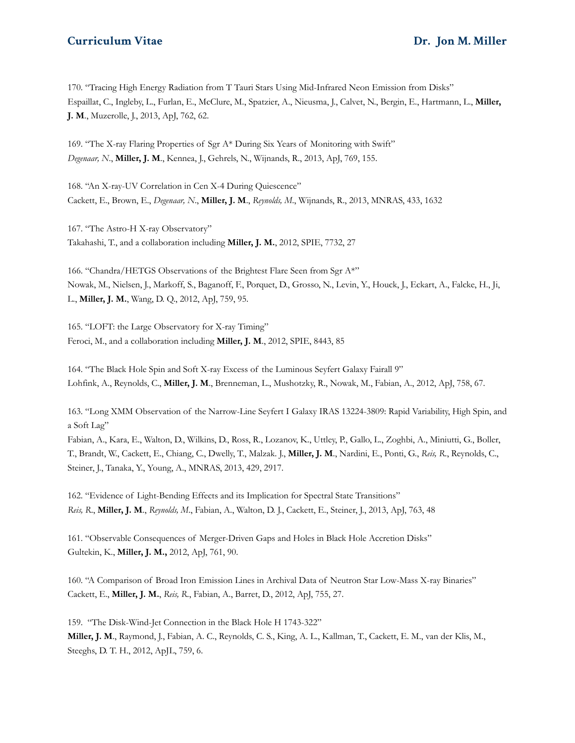170. "Tracing High Energy Radiation from T Tauri Stars Using Mid-Infrared Neon Emission from Disks" Espaillat, C., Ingleby, L., Furlan, E., McClure, M., Spatzier, A., Nieusma, J., Calvet, N., Bergin, E., Hartmann, L., **Miller, J. M**., Muzerolle, J., 2013, ApJ, 762, 62.

169. "The X-ray Flaring Properties of Sgr A\* During Six Years of Monitoring with Swift" *Degenaar, N*., **Miller, J. M**., Kennea, J., Gehrels, N., Wijnands, R., 2013, ApJ, 769, 155.

168. "An X-ray-UV Correlation in Cen X-4 During Quiescence" Cackett, E., Brown, E., *Degenaar, N*., **Miller, J. M**., *Reynolds, M*., Wijnands, R., 2013, MNRAS, 433, 1632

167. "The Astro-H X-ray Observatory" Takahashi, T., and a collaboration including **Miller, J. M.**, 2012, SPIE, 7732, 27

166. "Chandra/HETGS Observations of the Brightest Flare Seen from Sgr A\*" Nowak, M., Nielsen, J., Markoff, S., Baganoff, F., Porquet, D., Grosso, N., Levin, Y., Houck, J., Eckart, A., Falcke, H., Ji, L., **Miller, J. M.**, Wang, D. Q., 2012, ApJ, 759, 95.

165. "LOFT: the Large Observatory for X-ray Timing" Feroci, M., and a collaboration including **Miller, J. M**., 2012, SPIE, 8443, 85

164. "The Black Hole Spin and Soft X-ray Excess of the Luminous Seyfert Galaxy Fairall 9" Lohfink, A., Reynolds, C., **Miller, J. M**., Brenneman, L., Mushotzky, R., Nowak, M., Fabian, A., 2012, ApJ, 758, 67.

163. "Long XMM Observation of the Narrow-Line Seyfert I Galaxy IRAS 13224-3809: Rapid Variability, High Spin, and a Soft Lag"

Fabian, A., Kara, E., Walton, D., Wilkins, D., Ross, R., Lozanov, K., Uttley, P., Gallo, L., Zoghbi, A., Miniutti, G., Boller, T., Brandt, W., Cackett, E., Chiang, C., Dwelly, T., Malzak. J., **Miller, J. M**., Nardini, E., Ponti, G., *Reis, R*., Reynolds, C., Steiner, J., Tanaka, Y., Young, A., MNRAS, 2013, 429, 2917.

162. "Evidence of Light-Bending Effects and its Implication for Spectral State Transitions" *Reis, R*., **Miller, J. M**., *Reynolds, M*., Fabian, A., Walton, D. J., Cackett, E., Steiner, J., 2013, ApJ, 763, 48

161. "Observable Consequences of Merger-Driven Gaps and Holes in Black Hole Accretion Disks" Gultekin, K., **Miller, J. M.,** 2012, ApJ, 761, 90.

160. "A Comparison of Broad Iron Emission Lines in Archival Data of Neutron Star Low-Mass X-ray Binaries" Cackett, E., **Miller, J. M.**, *Reis, R*., Fabian, A., Barret, D., 2012, ApJ, 755, 27.

159. "The Disk-Wind-Jet Connection in the Black Hole H 1743-322" **Miller, J. M**., Raymond, J., Fabian, A. C., Reynolds, C. S., King, A. L., Kallman, T., Cackett, E. M., van der Klis, M., Steeghs, D. T. H., 2012, ApJL, 759, 6.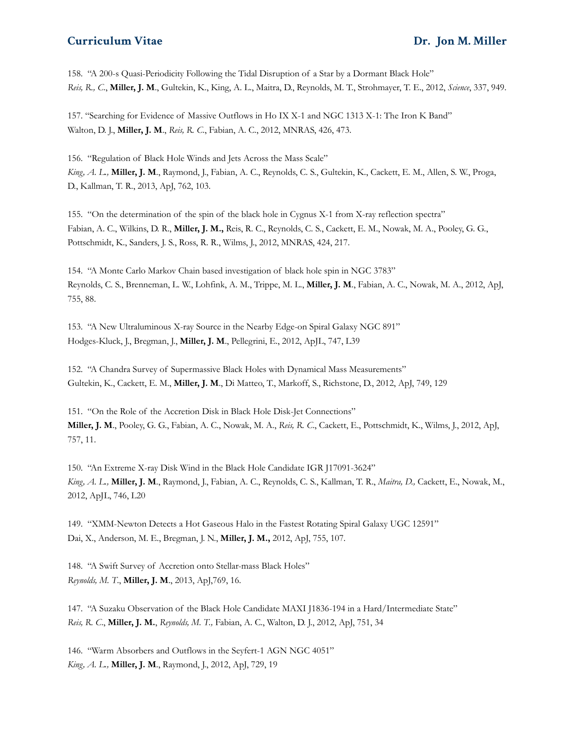158. "A 200-s Quasi-Periodicity Following the Tidal Disruption of a Star by a Dormant Black Hole" *Reis, R., C*., **Miller, J. M**., Gultekin, K., King, A. L., Maitra, D., Reynolds, M. T., Strohmayer, T. E., 2012, *Science*, 337, 949.

157. "Searching for Evidence of Massive Outflows in Ho IX X-1 and NGC 1313 X-1: The Iron K Band" Walton, D. J., **Miller, J. M**., *Reis, R. C*., Fabian, A. C., 2012, MNRAS, 426, 473.

156. "Regulation of Black Hole Winds and Jets Across the Mass Scale" *King, A. L.,* **Miller, J. M**., Raymond, J., Fabian, A. C., Reynolds, C. S., Gultekin, K., Cackett, E. M., Allen, S. W., Proga, D., Kallman, T. R., 2013, ApJ, 762, 103.

155. "On the determination of the spin of the black hole in Cygnus X-1 from X-ray reflection spectra" Fabian, A. C., Wilkins, D. R., **Miller, J. M.,** Reis, R. C., Reynolds, C. S., Cackett, E. M., Nowak, M. A., Pooley, G. G., Pottschmidt, K., Sanders, J. S., Ross, R. R., Wilms, J., 2012, MNRAS, 424, 217.

154. "A Monte Carlo Markov Chain based investigation of black hole spin in NGC 3783" Reynolds, C. S., Brenneman, L. W., Lohfink, A. M., Trippe, M. L., **Miller, J. M**., Fabian, A. C., Nowak, M. A., 2012, ApJ, 755, 88.

153. "A New Ultraluminous X-ray Source in the Nearby Edge-on Spiral Galaxy NGC 891" Hodges-Kluck, J., Bregman, J., **Miller, J. M**., Pellegrini, E., 2012, ApJL, 747, L39

152. "A Chandra Survey of Supermassive Black Holes with Dynamical Mass Measurements" Gultekin, K., Cackett, E. M., **Miller, J. M**., Di Matteo, T., Markoff, S., Richstone, D., 2012, ApJ, 749, 129

151. "On the Role of the Accretion Disk in Black Hole Disk-Jet Connections" **Miller, J. M**., Pooley, G. G., Fabian, A. C., Nowak, M. A., *Reis, R. C*., Cackett, E., Pottschmidt, K., Wilms, J., 2012, ApJ, 757, 11.

150. "An Extreme X-ray Disk Wind in the Black Hole Candidate IGR J17091-3624" *King, A. L.,* **Miller, J. M**., Raymond, J., Fabian, A. C., Reynolds, C. S., Kallman, T. R., *Maitra, D.,* Cackett, E., Nowak, M., 2012, ApJL, 746, L20

149. "XMM-Newton Detects a Hot Gaseous Halo in the Fastest Rotating Spiral Galaxy UGC 12591" Dai, X., Anderson, M. E., Bregman, J. N., **Miller, J. M.,** 2012, ApJ, 755, 107.

148. "A Swift Survey of Accretion onto Stellar-mass Black Holes" *Reynolds, M. T*., **Miller, J. M**., 2013, ApJ,769, 16.

147. "A Suzaku Observation of the Black Hole Candidate MAXI J1836-194 in a Hard/Intermediate State" *Reis, R. C*., **Miller, J. M.**, *Reynolds, M. T.,* Fabian, A. C., Walton, D. J., 2012, ApJ, 751, 34

146. "Warm Absorbers and Outflows in the Seyfert-1 AGN NGC 4051" *King, A. L.,* **Miller, J. M**., Raymond, J., 2012, ApJ, 729, 19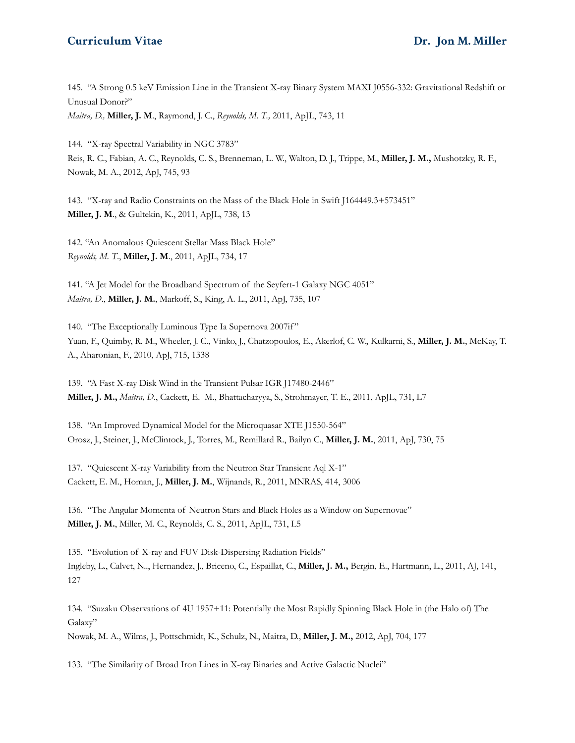145. "A Strong 0.5 keV Emission Line in the Transient X-ray Binary System MAXI J0556-332: Gravitational Redshift or Unusual Donor?"

*Maitra, D.,* **Miller, J. M**., Raymond, J. C., *Reynolds, M. T.,* 2011, ApJL, 743, 11

144. "X-ray Spectral Variability in NGC 3783" Reis, R. C., Fabian, A. C., Reynolds, C. S., Brenneman, L. W., Walton, D. J., Trippe, M., **Miller, J. M.,** Mushotzky, R. F., Nowak, M. A., 2012, ApJ, 745, 93

143. "X-ray and Radio Constraints on the Mass of the Black Hole in Swift J164449.3+573451" **Miller, J. M**., & Gultekin, K., 2011, ApJL, 738, 13

142. "An Anomalous Quiescent Stellar Mass Black Hole" *Reynolds, M. T*., **Miller, J. M**., 2011, ApJL, 734, 17

141. "A Jet Model for the Broadband Spectrum of the Seyfert-1 Galaxy NGC 4051" *Maitra, D*., **Miller, J. M.**, Markoff, S., King, A. L., 2011, ApJ, 735, 107

140. "The Exceptionally Luminous Type Ia Supernova 2007if" Yuan, F., Quimby, R. M., Wheeler, J. C., Vinko, J., Chatzopoulos, E., Akerlof, C. W., Kulkarni, S., **Miller, J. M.**, McKay, T. A., Aharonian, F., 2010, ApJ, 715, 1338

139. "A Fast X-ray Disk Wind in the Transient Pulsar IGR J17480-2446" **Miller, J. M.,** *Maitra, D*., Cackett, E. M., Bhattacharyya, S., Strohmayer, T. E., 2011, ApJL, 731, L7

138. "An Improved Dynamical Model for the Microquasar XTE J1550-564" Orosz, J., Steiner, J., McClintock, J., Torres, M., Remillard R., Bailyn C., **Miller, J. M.**, 2011, ApJ, 730, 75

137. "Quiescent X-ray Variability from the Neutron Star Transient Aql X-1" Cackett, E. M., Homan, J., **Miller, J. M.**, Wijnands, R., 2011, MNRAS, 414, 3006

136. "The Angular Momenta of Neutron Stars and Black Holes as a Window on Supernovae" **Miller, J. M.**, Miller, M. C., Reynolds, C. S., 2011, ApJL, 731, L5

135. "Evolution of X-ray and FUV Disk-Dispersing Radiation Fields" Ingleby, L., Calvet, N.., Hernandez, J., Briceno, C., Espaillat, C., **Miller, J. M.,** Bergin, E., Hartmann, L., 2011, AJ, 141, 127

134. "Suzaku Observations of 4U 1957+11: Potentially the Most Rapidly Spinning Black Hole in (the Halo of) The Galaxy"

Nowak, M. A., Wilms, J., Pottschmidt, K., Schulz, N., Maitra, D., **Miller, J. M.,** 2012, ApJ, 704, 177

133. "The Similarity of Broad Iron Lines in X-ray Binaries and Active Galactic Nuclei"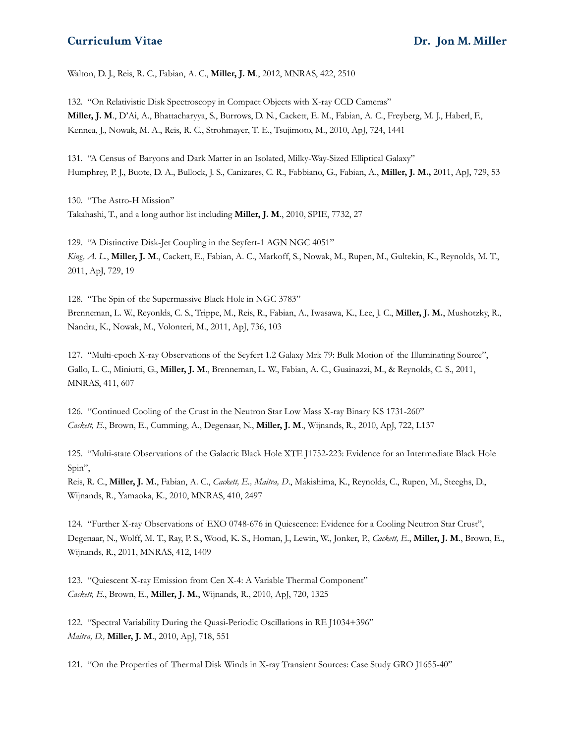Walton, D. J., Reis, R. C., Fabian, A. C., **Miller, J. M**., 2012, MNRAS, 422, 2510

132. "On Relativistic Disk Spectroscopy in Compact Objects with X-ray CCD Cameras" **Miller, J. M**., D'Ai, A., Bhattacharyya, S., Burrows, D. N., Cackett, E. M., Fabian, A. C., Freyberg, M. J., Haberl, F., Kennea, J., Nowak, M. A., Reis, R. C., Strohmayer, T. E., Tsujimoto, M., 2010, ApJ, 724, 1441

131. "A Census of Baryons and Dark Matter in an Isolated, Milky-Way-Sized Elliptical Galaxy" Humphrey, P. J., Buote, D. A., Bullock, J. S., Canizares, C. R., Fabbiano, G., Fabian, A., **Miller, J. M.,** 2011, ApJ, 729, 53

130. "The Astro-H Mission" Takahashi, T., and a long author list including **Miller, J. M**., 2010, SPIE, 7732, 27

129. "A Distinctive Disk-Jet Coupling in the Seyfert-1 AGN NGC 4051" *King, A. L*., **Miller, J. M**., Cackett, E., Fabian, A. C., Markoff, S., Nowak, M., Rupen, M., Gultekin, K., Reynolds, M. T., 2011, ApJ, 729, 19

128. "The Spin of the Supermassive Black Hole in NGC 3783" Brenneman, L. W., Reyonlds, C. S., Trippe, M., Reis, R., Fabian, A., Iwasawa, K., Lee, J. C., **Miller, J. M.**, Mushotzky, R., Nandra, K., Nowak, M., Volonteri, M., 2011, ApJ, 736, 103

127. "Multi-epoch X-ray Observations of the Seyfert 1.2 Galaxy Mrk 79: Bulk Motion of the Illuminating Source", Gallo, L. C., Miniutti, G., **Miller, J. M**., Brenneman, L. W., Fabian, A. C., Guainazzi, M., & Reynolds, C. S., 2011, MNRAS, 411, 607

126. "Continued Cooling of the Crust in the Neutron Star Low Mass X-ray Binary KS 1731-260" *Cackett, E*., Brown, E., Cumming, A., Degenaar, N., **Miller, J. M**., Wijnands, R., 2010, ApJ, 722, L137

125. "Multi-state Observations of the Galactic Black Hole XTE J1752-223: Evidence for an Intermediate Black Hole Spin",

Reis, R. C., **Miller, J. M.**, Fabian, A. C., *Cackett, E., Maitra, D*., Makishima, K., Reynolds, C., Rupen, M., Steeghs, D., Wijnands, R., Yamaoka, K., 2010, MNRAS, 410, 2497

124. "Further X-ray Observations of EXO 0748-676 in Quiescence: Evidence for a Cooling Neutron Star Crust", Degenaar, N., Wolff, M. T., Ray, P. S., Wood, K. S., Homan, J., Lewin, W., Jonker, P., *Cackett, E*., **Miller, J. M**., Brown, E., Wijnands, R., 2011, MNRAS, 412, 1409

123. "Quiescent X-ray Emission from Cen X-4: A Variable Thermal Component" *Cackett, E.*, Brown, E., **Miller, J. M.**, Wijnands, R., 2010, ApJ, 720, 1325

122. "Spectral Variability During the Quasi-Periodic Oscillations in RE J1034+396" *Maitra, D.,* **Miller, J. M**., 2010, ApJ, 718, 551

121. "On the Properties of Thermal Disk Winds in X-ray Transient Sources: Case Study GRO J1655-40"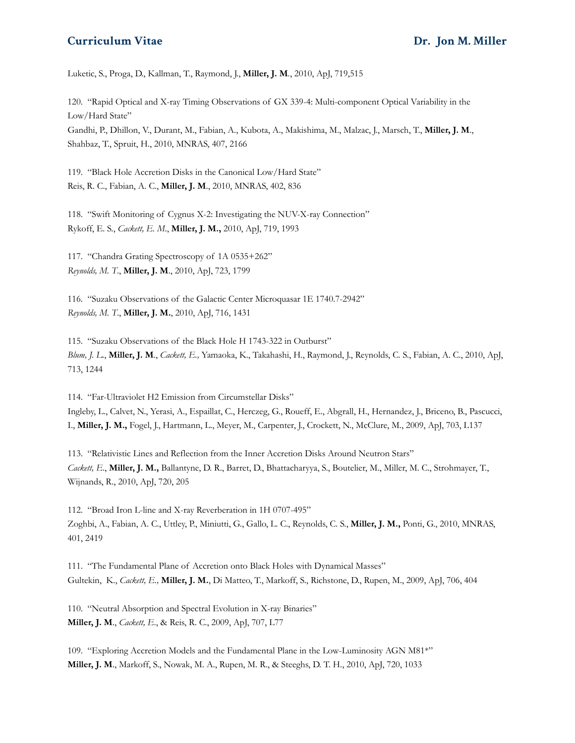Luketic, S., Proga, D., Kallman, T., Raymond, J., **Miller, J. M***.*, 2010, ApJ, 719,515

120. "Rapid Optical and X-ray Timing Observations of GX 339-4: Multi-component Optical Variability in the Low/Hard State" Gandhi, P., Dhillon, V., Durant, M., Fabian, A., Kubota, A., Makishima, M., Malzac, J., Marsch, T., **Miller, J. M**., Shahbaz, T., Spruit, H., 2010, MNRAS, 407, 2166

119. "Black Hole Accretion Disks in the Canonical Low/Hard State" Reis, R. C., Fabian, A. C., **Miller, J. M**., 2010, MNRAS, 402, 836

118. "Swift Monitoring of Cygnus X-2: Investigating the NUV-X-ray Connection" Rykoff, E. S., *Cackett, E. M*., **Miller, J. M.,** 2010, ApJ, 719, 1993

117. "Chandra Grating Spectroscopy of 1A 0535+262" *Reynolds, M. T*., **Miller, J. M**., 2010, ApJ, 723, 1799

116. "Suzaku Observations of the Galactic Center Microquasar 1E 1740.7-2942" *Reynolds, M. T*., **Miller, J. M.**, 2010, ApJ, 716, 1431

115. "Suzaku Observations of the Black Hole H 1743-322 in Outburst" *Blum, J. L*., **Miller, J. M**., *Cackett, E.,* Yamaoka, K., Takahashi, H., Raymond, J., Reynolds, C. S., Fabian, A. C., 2010, ApJ, 713, 1244

114. "Far-Ultraviolet H2 Emission from Circumstellar Disks" Ingleby, L., Calvet, N., Yerasi, A., Espaillat, C., Herczeg, G., Roueff, E., Abgrall, H., Hernandez, J., Briceno, B., Pascucci, I., **Miller, J. M.,** Fogel, J., Hartmann, L., Meyer, M., Carpenter, J., Crockett, N., McClure, M., 2009, ApJ, 703, L137

113. "Relativistic Lines and Reflection from the Inner Accretion Disks Around Neutron Stars" *Cackett, E*., **Miller, J. M.,** Ballantyne, D. R., Barret, D., Bhattacharyya, S., Boutelier, M., Miller, M. C., Strohmayer, T., Wijnands, R., 2010, ApJ, 720, 205

112. "Broad Iron L-line and X-ray Reverberation in 1H 0707-495" Zoghbi, A., Fabian, A. C., Uttley, P., Miniutti, G., Gallo, L. C., Reynolds, C. S., **Miller, J. M.,** Ponti, G., 2010, MNRAS, 401, 2419

111. "The Fundamental Plane of Accretion onto Black Holes with Dynamical Masses" Gultekin, K., *Cackett, E.,* **Miller, J. M.**, Di Matteo, T., Markoff, S., Richstone, D., Rupen, M., 2009, ApJ, 706, 404

110. "Neutral Absorption and Spectral Evolution in X-ray Binaries" **Miller, J. M**., *Cackett, E*., & Reis, R. C., 2009, ApJ, 707, L77

109. "Exploring Accretion Models and the Fundamental Plane in the Low-Luminosity AGN M81\*" **Miller, J. M**., Markoff, S., Nowak, M. A., Rupen, M. R., & Steeghs, D. T. H., 2010, ApJ, 720, 1033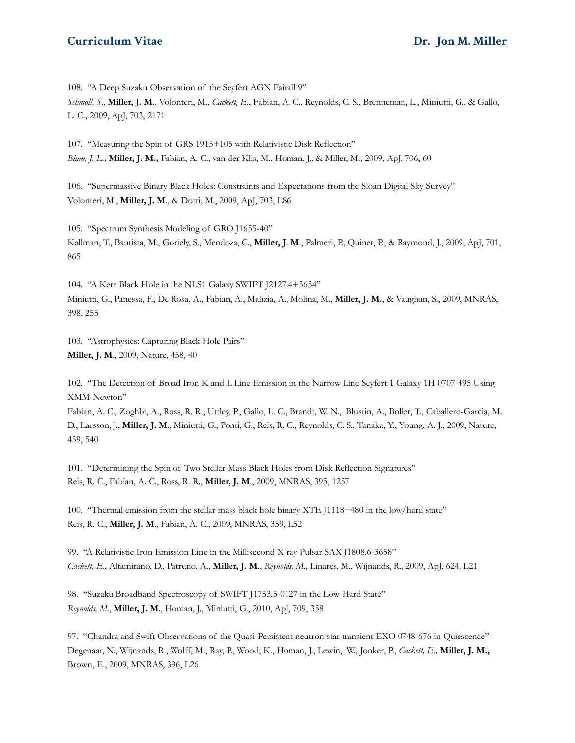108. "A Deep Suzaku Observation of the Seyfert AGN Fairall 9" *Schmoll, S*., **Miller, J. M**., Volonteri, M., *Cackett, E*., Fabian, A. C., Reynolds, C. S., Brenneman, L., Miniutti, G., & Gallo, L. C., 2009, ApJ, 703, 2171

107. "Measuring the Spin of GRS 1915+105 with Relativistic Disk Reflection" *Blum, J. L.,* **Miller, J. M.,** Fabian, A. C., van der Klis, M., Homan, J., & Miller, M., 2009, ApJ, 706, 60

106. "Supermassive Binary Black Holes: Constraints and Expectations from the Sloan Digital Sky Survey" Volonteri, M., **Miller, J. M**., & Dotti, M., 2009, ApJ, 703, L86

105. "Spectrum Synthesis Modeling of GRO J1655-40" Kallman, T., Bautista, M., Goriely, S., Mendoza, C., **Miller, J. M**., Palmeri, P., Quinet, P., & Raymond, J., 2009, ApJ, 701, 865

104. "A Kerr Black Hole in the NLS1 Galaxy SWIFT J2127.4+5654" Miniutti, G., Panessa, F., De Rosa, A., Fabian, A., Malizia, A., Molina, M., **Miller, J. M.**, & Vaughan, S., 2009, MNRAS, 398, 255

103. "Astrophysics: Capturing Black Hole Pairs" **Miller, J. M**., 2009, Nature, 458, 40

102. "The Detection of Broad Iron K and L Line Emission in the Narrow Line Seyfert 1 Galaxy 1H 0707-495 Using XMM-Newton"

Fabian, A. C., Zoghbi, A., Ross, R. R., Uttley, P., Gallo, L. C., Brandt, W. N., Blustin, A., Boller, T., Caballero-Garcia, M. D., Larsson, J., **Miller, J. M**., Miniutti, G., Ponti, G., Reis, R. C., Reynolds, C. S., Tanaka, Y., Young, A. J., 2009, Nature, 459, 540

101. "Determining the Spin of Two Stellar-Mass Black Holes from Disk Reflection Signatures" Reis, R. C., Fabian, A. C., Ross, R. R., **Miller, J. M**., 2009, MNRAS, 395, 1257

100. "Thermal emission from the stellar-mass black hole binary XTE J1118+480 in the low/hard state" Reis, R. C., **Miller, J. M**., Fabian, A. C., 2009, MNRAS, 359, L52

99. "A Relativistic Iron Emission Line in the Millisecond X-ray Pulsar SAX J1808.6-3658" *Cackett, E*., Altamirano, D., Patruno, A., **Miller, J. M**., *Reynolds, M.,* Linares, M., Wijnands, R., 2009, ApJ, 624, L21

98. "Suzaku Broadband Spectroscopy of SWIFT J1753.5-0127 in the Low-Hard State" *Reynolds, M.*, **Miller, J. M**., Homan, J., Miniutti, G., 2010, ApJ, 709, 358

97. "Chandra and Swift Observations of the Quasi-Persistent neutron star transient EXO 0748-676 in Quiescence" Degenaar, N., Wijnands, R., Wolff, M., Ray, P., Wood, K., Homan, J., Lewin, W., Jonker, P., *Cackett, E.,* **Miller, J. M.,** Brown, E., 2009, MNRAS, 396, L26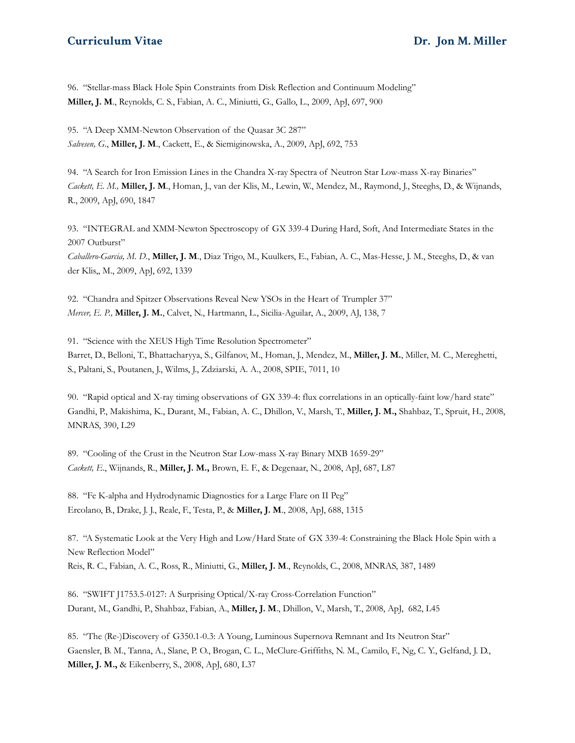96. "Stellar-mass Black Hole Spin Constraints from Disk Reflection and Continuum Modeling" **Miller, J. M**., Reynolds, C. S., Fabian, A. C., Miniutti, G., Gallo, L., 2009, ApJ, 697, 900

95. "A Deep XMM-Newton Observation of the Quasar 3C 287" *Salvesen, G*., **Miller, J. M**., Cackett, E., & Siemiginowska, A., 2009, ApJ, 692, 753

94. "A Search for Iron Emission Lines in the Chandra X-ray Spectra of Neutron Star Low-mass X-ray Binaries" *Cackett, E. M.,* **Miller, J. M**., Homan, J., van der Klis, M., Lewin, W., Mendez, M., Raymond, J., Steeghs, D., & Wijnands, R., 2009, ApJ, 690, 1847

93. "INTEGRAL and XMM-Newton Spectroscopy of GX 339-4 During Hard, Soft, And Intermediate States in the 2007 Outburst"

*Caballero-Garcia, M. D*., **Miller, J. M**., Diaz Trigo, M., Kuulkers, E., Fabian, A. C., Mas-Hesse, J. M., Steeghs, D., & van der Klis,, M., 2009, ApJ, 692, 1339

92. "Chandra and Spitzer Observations Reveal New YSOs in the Heart of Trumpler 37" *Mercer, E. P.,* **Miller, J. M.**, Calvet, N., Hartmann, L., Sicilia-Aguilar, A., 2009, AJ, 138, 7

91. "Science with the XEUS High Time Resolution Spectrometer" Barret, D., Belloni, T., Bhattacharyya, S., Gilfanov, M., Homan, J., Mendez, M., **Miller, J. M.**, Miller, M. C., Mereghetti, S., Paltani, S., Poutanen, J., Wilms, J., Zdziarski, A. A., 2008, SPIE, 7011, 10

90. "Rapid optical and X-ray timing observations of GX 339-4: flux correlations in an optically-faint low/hard state" Gandhi, P., Makishima, K., Durant, M., Fabian, A. C., Dhillon, V., Marsh, T., **Miller, J. M.,** Shahbaz, T., Spruit, H., 2008, MNRAS, 390, L29

89. "Cooling of the Crust in the Neutron Star Low-mass X-ray Binary MXB 1659-29" *Cackett, E*., Wijnands, R., **Miller, J. M.,** Brown, E. F., & Degenaar, N., 2008, ApJ, 687, L87

88. "Fe K-alpha and Hydrodynamic Diagnostics for a Large Flare on II Peg" Ercolano, B., Drake, J. J., Reale, F., Testa, P., & **Miller, J. M**., 2008, ApJ, 688, 1315

87. "A Systematic Look at the Very High and Low/Hard State of GX 339-4: Constraining the Black Hole Spin with a New Reflection Model" Reis, R. C., Fabian, A. C., Ross, R., Miniutti, G., **Miller, J. M**., Reynolds, C., 2008, MNRAS, 387, 1489

86. "SWIFT J1753.5-0127: A Surprising Optical/X-ray Cross-Correlation Function" Durant, M., Gandhi, P., Shahbaz, Fabian, A., **Miller, J. M**., Dhillon, V., Marsh, T., 2008, ApJ, 682, L45

85. "The (Re-)Discovery of G350.1-0.3: A Young, Luminous Supernova Remnant and Its Neutron Star" Gaensler, B. M., Tanna, A., Slane, P. O., Brogan, C. L., McClure-Griffiths, N. M., Camilo, F., Ng, C. Y., Gelfand, J. D., **Miller, J. M.,** & Eikenberry, S., 2008, ApJ, 680, L37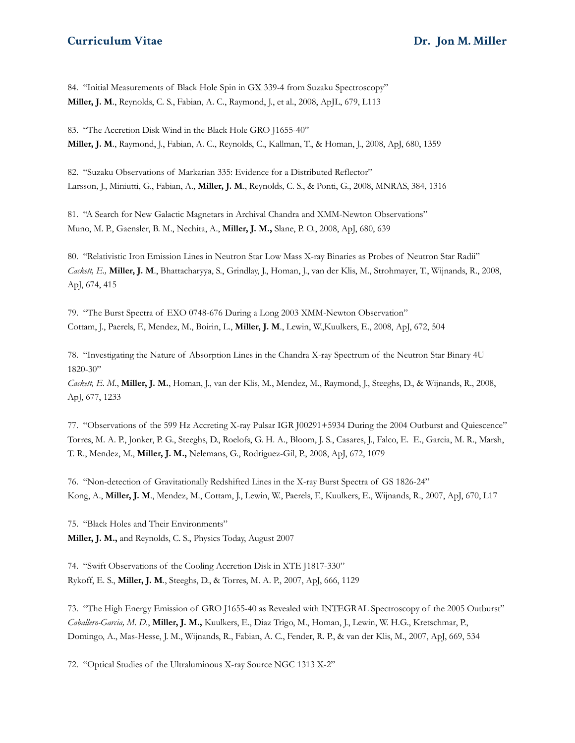84. "Initial Measurements of Black Hole Spin in GX 339-4 from Suzaku Spectroscopy" **Miller, J. M**., Reynolds, C. S., Fabian, A. C., Raymond, J., et al., 2008, ApJL, 679, L113

83. "The Accretion Disk Wind in the Black Hole GRO J1655-40" **Miller, J. M**., Raymond, J., Fabian, A. C., Reynolds, C., Kallman, T., & Homan, J., 2008, ApJ, 680, 1359

82. "Suzaku Observations of Markarian 335: Evidence for a Distributed Reflector" Larsson, J., Miniutti, G., Fabian, A., **Miller, J. M**., Reynolds, C. S., & Ponti, G., 2008, MNRAS, 384, 1316

81. "A Search for New Galactic Magnetars in Archival Chandra and XMM-Newton Observations" Muno, M. P., Gaensler, B. M., Nechita, A., **Miller, J. M.,** Slane, P. O., 2008, ApJ, 680, 639

80. "Relativistic Iron Emission Lines in Neutron Star Low Mass X-ray Binaries as Probes of Neutron Star Radii" *Cackett, E.,* **Miller, J. M**., Bhattacharyya, S., Grindlay, J., Homan, J., van der Klis, M., Strohmayer, T., Wijnands, R., 2008, ApJ, 674, 415

79. "The Burst Spectra of EXO 0748-676 During a Long 2003 XMM-Newton Observation" Cottam, J., Paerels, F., Mendez, M., Boirin, L., **Miller, J. M**., Lewin, W.,Kuulkers, E., 2008, ApJ, 672, 504

78. "Investigating the Nature of Absorption Lines in the Chandra X-ray Spectrum of the Neutron Star Binary 4U 1820-30"

*Cackett, E. M*., **Miller, J. M.**, Homan, J., van der Klis, M., Mendez, M., Raymond, J., Steeghs, D., & Wijnands, R., 2008, ApJ, 677, 1233

77. "Observations of the 599 Hz Accreting X-ray Pulsar IGR J00291+5934 During the 2004 Outburst and Quiescence" Torres, M. A. P., Jonker, P. G., Steeghs, D., Roelofs, G. H. A., Bloom, J. S., Casares, J., Falco, E. E., Garcia, M. R., Marsh, T. R., Mendez, M., **Miller, J. M.,** Nelemans, G., Rodriguez-Gil, P., 2008, ApJ, 672, 1079

76. "Non-detection of Gravitationally Redshifted Lines in the X-ray Burst Spectra of GS 1826-24" Kong, A., **Miller, J. M**., Mendez, M., Cottam, J., Lewin, W., Paerels, F., Kuulkers, E., Wijnands, R., 2007, ApJ, 670, L17

75. "Black Holes and Their Environments" **Miller, J. M.,** and Reynolds, C. S., Physics Today, August 2007

74. "Swift Observations of the Cooling Accretion Disk in XTE J1817-330" Rykoff, E. S., **Miller, J. M**., Steeghs, D., & Torres, M. A. P., 2007, ApJ, 666, 1129

73. "The High Energy Emission of GRO J1655-40 as Revealed with INTEGRAL Spectroscopy of the 2005 Outburst" *Caballero-Garcia, M. D*., **Miller, J. M.,** Kuulkers, E., Diaz Trigo, M., Homan, J., Lewin, W. H.G., Kretschmar, P., Domingo, A., Mas-Hesse, J. M., Wijnands, R., Fabian, A. C., Fender, R. P., & van der Klis, M., 2007, ApJ, 669, 534

72. "Optical Studies of the Ultraluminous X-ray Source NGC 1313 X-2"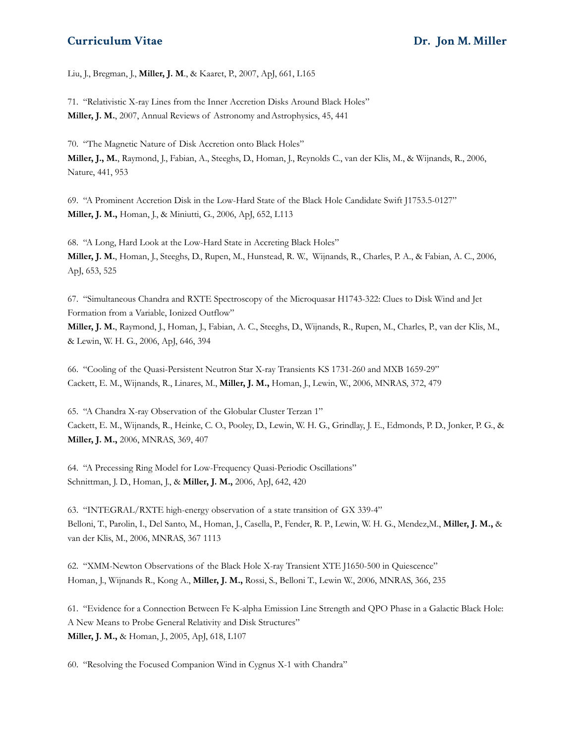Liu, J., Bregman, J., **Miller, J. M**., & Kaaret, P., 2007, ApJ, 661, L165

71. "Relativistic X-ray Lines from the Inner Accretion Disks Around Black Holes" **Miller, J. M.**, 2007, Annual Reviews of Astronomy andAstrophysics, 45, 441

70. "The Magnetic Nature of Disk Accretion onto Black Holes" **Miller, J., M.**, Raymond, J., Fabian, A., Steeghs, D., Homan, J., Reynolds C., van der Klis, M., & Wijnands, R., 2006, Nature, 441, 953

69. "A Prominent Accretion Disk in the Low-Hard State of the Black Hole Candidate Swift J1753.5-0127" **Miller, J. M.,** Homan, J., & Miniutti, G., 2006, ApJ, 652, L113

68. "A Long, Hard Look at the Low-Hard State in Accreting Black Holes" **Miller, J. M.**, Homan, J., Steeghs, D., Rupen, M., Hunstead, R. W., Wijnands, R., Charles, P. A., & Fabian, A. C., 2006, ApJ, 653, 525

67. "Simultaneous Chandra and RXTE Spectroscopy of the Microquasar H1743-322: Clues to Disk Wind and Jet Formation from a Variable, Ionized Outflow" **Miller, J. M.**, Raymond, J., Homan, J., Fabian, A. C., Steeghs, D., Wijnands, R., Rupen, M., Charles, P., van der Klis, M., & Lewin, W. H. G., 2006, ApJ, 646, 394

66. "Cooling of the Quasi-Persistent Neutron Star X-ray Transients KS 1731-260 and MXB 1659-29" Cackett, E. M., Wijnands, R., Linares, M., **Miller, J. M.,** Homan, J., Lewin, W., 2006, MNRAS, 372, 479

65. "A Chandra X-ray Observation of the Globular Cluster Terzan 1" Cackett, E. M., Wijnands, R., Heinke, C. O., Pooley, D., Lewin, W. H. G., Grindlay, J. E., Edmonds, P. D., Jonker, P. G., & **Miller, J. M.,** 2006, MNRAS, 369, 407

64. "A Precessing Ring Model for Low-Frequency Quasi-Periodic Oscillations" Schnittman, J. D., Homan, J., & **Miller, J. M.,** 2006, ApJ, 642, 420

63. "INTEGRAL/RXTE high-energy observation of a state transition of GX 339-4" Belloni, T., Parolin, I., Del Santo, M., Homan, J., Casella, P., Fender, R. P., Lewin, W. H. G., Mendez,M., **Miller, J. M.,** & van der Klis, M., 2006, MNRAS, 367 1113

62. "XMM-Newton Observations of the Black Hole X-ray Transient XTE J1650-500 in Quiescence" Homan, J., Wijnands R., Kong A., **Miller, J. M.,** Rossi, S., Belloni T., Lewin W., 2006, MNRAS, 366, 235

61. "Evidence for a Connection Between Fe K-alpha Emission Line Strength and QPO Phase in a Galactic Black Hole: A New Means to Probe General Relativity and Disk Structures" **Miller, J. M.,** & Homan, J., 2005, ApJ, 618, L107

60. "Resolving the Focused Companion Wind in Cygnus X-1 with Chandra"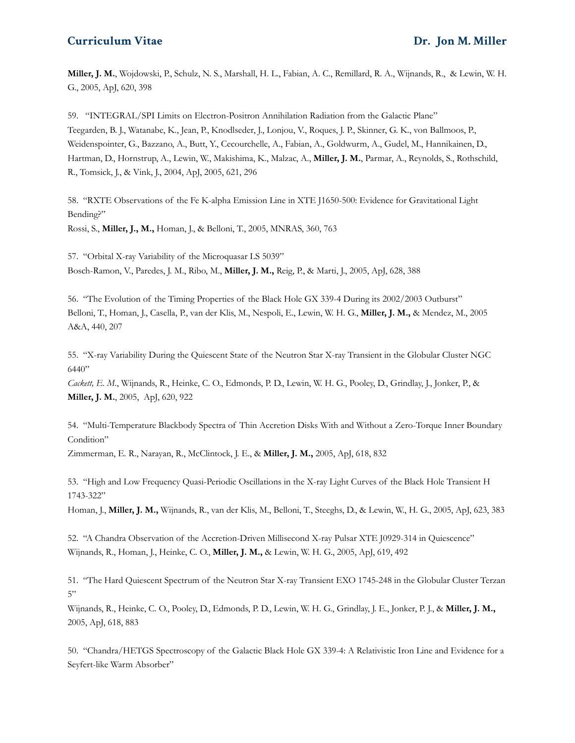**Miller, J. M.**, Wojdowski, P., Schulz, N. S., Marshall, H. L., Fabian, A. C., Remillard, R. A., Wijnands, R., & Lewin, W. H. G., 2005, ApJ, 620, 398

59. "INTEGRAL/SPI Limits on Electron-Positron Annihilation Radiation from the Galactic Plane" Teegarden, B. J., Watanabe, K., Jean, P., Knodlseder, J., Lonjou, V., Roques, J. P., Skinner, G. K., von Ballmoos, P., Weidenspointer, G., Bazzano, A., Butt, Y., Cecourchelle, A., Fabian, A., Goldwurm, A., Gudel, M., Hannikainen, D., Hartman, D., Hornstrup, A., Lewin, W., Makishima, K., Malzac, A., **Miller, J. M.**, Parmar, A., Reynolds, S., Rothschild, R., Tomsick, J., & Vink, J., 2004, ApJ, 2005, 621, 296

58. "RXTE Observations of the Fe K-alpha Emission Line in XTE J1650-500: Evidence for Gravitational Light Bending?"

Rossi, S., **Miller, J., M.,** Homan, J., & Belloni, T., 2005, MNRAS, 360, 763

57. "Orbital X-ray Variability of the Microquasar LS 5039" Bosch-Ramon, V., Paredes, J. M., Ribo, M., **Miller, J. M.,** Reig, P., & Marti, J., 2005, ApJ, 628, 388

56. "The Evolution of the Timing Properties of the Black Hole GX 339-4 During its 2002/2003 Outburst" Belloni, T., Homan, J., Casella, P., van der Klis, M., Nespoli, E., Lewin, W. H. G., **Miller, J. M.,** & Mendez, M., 2005 A&A, 440, 207

55. "X-ray Variability During the Quiescent State of the Neutron Star X-ray Transient in the Globular Cluster NGC 6440"

*Cackett, E. M*., Wijnands, R., Heinke, C. O., Edmonds, P. D., Lewin, W. H. G., Pooley, D., Grindlay, J., Jonker, P., & **Miller, J. M.**, 2005, ApJ, 620, 922

54. "Multi-Temperature Blackbody Spectra of Thin Accretion Disks With and Without a Zero-Torque Inner Boundary Condition"

Zimmerman, E. R., Narayan, R., McClintock, J. E., & **Miller, J. M.,** 2005, ApJ, 618, 832

53. "High and Low Frequency Quasi-Periodic Oscillations in the X-ray Light Curves of the Black Hole Transient H 1743-322"

Homan, J., **Miller, J. M.,** Wijnands, R., van der Klis, M., Belloni, T., Steeghs, D., & Lewin, W., H. G., 2005, ApJ, 623, 383

52. "A Chandra Observation of the Accretion-Driven Millisecond X-ray Pulsar XTE J0929-314 in Quiescence" Wijnands, R., Homan, J., Heinke, C. O., **Miller, J. M.,** & Lewin, W. H. G., 2005, ApJ, 619, 492

51. "The Hard Quiescent Spectrum of the Neutron Star X-ray Transient EXO 1745-248 in the Globular Cluster Terzan 5"

Wijnands, R., Heinke, C. O., Pooley, D., Edmonds, P. D., Lewin, W. H. G., Grindlay, J. E., Jonker, P. J., & **Miller, J. M.,** 2005, ApJ, 618, 883

50. "Chandra/HETGS Spectroscopy of the Galactic Black Hole GX 339-4: A Relativistic Iron Line and Evidence for a Seyfert-like Warm Absorber"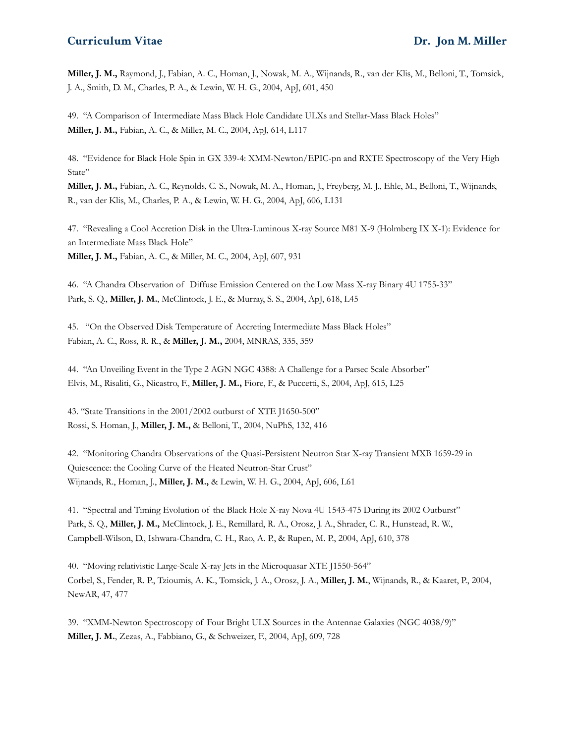**Miller, J. M.,** Raymond, J., Fabian, A. C., Homan, J., Nowak, M. A., Wijnands, R., van der Klis, M., Belloni, T., Tomsick, J. A., Smith, D. M., Charles, P. A., & Lewin, W. H. G., 2004, ApJ, 601, 450

49. "A Comparison of Intermediate Mass Black Hole Candidate ULXs and Stellar-Mass Black Holes" **Miller, J. M.,** Fabian, A. C., & Miller, M. C., 2004, ApJ, 614, L117

48. "Evidence for Black Hole Spin in GX 339-4: XMM-Newton/EPIC-pn and RXTE Spectroscopy of the Very High State"

**Miller, J. M.,** Fabian, A. C., Reynolds, C. S., Nowak, M. A., Homan, J., Freyberg, M. J., Ehle, M., Belloni, T., Wijnands, R., van der Klis, M., Charles, P. A., & Lewin, W. H. G., 2004, ApJ, 606, L131

47. "Revealing a Cool Accretion Disk in the Ultra-Luminous X-ray Source M81 X-9 (Holmberg IX X-1): Evidence for an Intermediate Mass Black Hole"

**Miller, J. M.,** Fabian, A. C., & Miller, M. C., 2004, ApJ, 607, 931

46. "A Chandra Observation of Diffuse Emission Centered on the Low Mass X-ray Binary 4U 1755-33" Park, S. Q., **Miller, J. M.**, McClintock, J. E., & Murray, S. S., 2004, ApJ, 618, L45

45. "On the Observed Disk Temperature of Accreting Intermediate Mass Black Holes" Fabian, A. C., Ross, R. R., & **Miller, J. M.,** 2004, MNRAS, 335, 359

44. "An Unveiling Event in the Type 2 AGN NGC 4388: A Challenge for a Parsec Scale Absorber" Elvis, M., Risaliti, G., Nicastro, F., **Miller, J. M.,** Fiore, F., & Puccetti, S., 2004, ApJ, 615, L25

43. "State Transitions in the 2001/2002 outburst of XTE J1650-500" Rossi, S. Homan, J., **Miller, J. M.,** & Belloni, T., 2004, NuPhS, 132, 416

42. "Monitoring Chandra Observations of the Quasi-Persistent Neutron Star X-ray Transient MXB 1659-29 in Quiescence: the Cooling Curve of the Heated Neutron-Star Crust" Wijnands, R., Homan, J., **Miller, J. M.,** & Lewin, W. H. G., 2004, ApJ, 606, L61

41. "Spectral and Timing Evolution of the Black Hole X-ray Nova 4U 1543-475 During its 2002 Outburst" Park, S. Q., **Miller, J. M.,** McClintock, J. E., Remillard, R. A., Orosz, J. A., Shrader, C. R., Hunstead, R. W., Campbell-Wilson, D., Ishwara-Chandra, C. H., Rao, A. P., & Rupen, M. P., 2004, ApJ, 610, 378

40. "Moving relativistic Large-Scale X-ray Jets in the Microquasar XTE J1550-564" Corbel, S., Fender, R. P., Tzioumis, A. K., Tomsick, J. A., Orosz, J. A., **Miller, J. M.**, Wijnands, R., & Kaaret, P., 2004, NewAR, 47, 477

39. "XMM-Newton Spectroscopy of Four Bright ULX Sources in the Antennae Galaxies (NGC 4038/9)" **Miller, J. M.**, Zezas, A., Fabbiano, G., & Schweizer, F., 2004, ApJ, 609, 728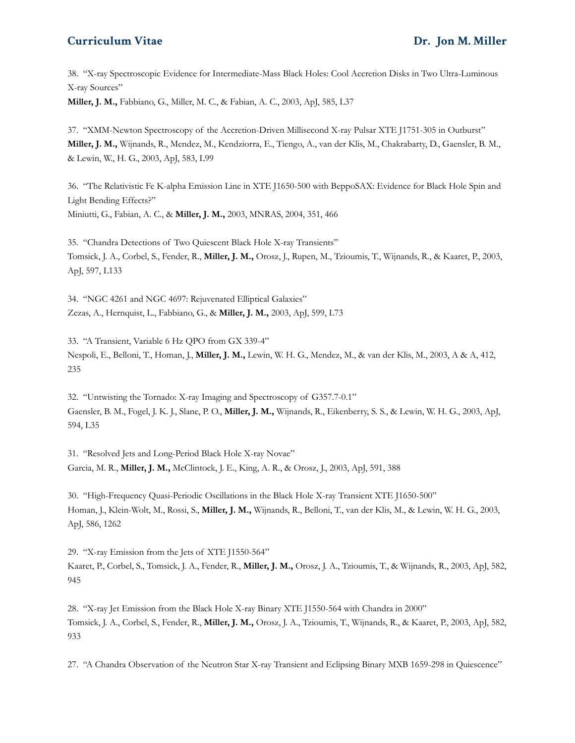38. "X-ray Spectroscopic Evidence for Intermediate-Mass Black Holes: Cool Accretion Disks in Two Ultra-Luminous X-ray Sources"

**Miller, J. M.,** Fabbiano, G., Miller, M. C., & Fabian, A. C., 2003, ApJ, 585, L37

37. "XMM-Newton Spectroscopy of the Accretion-Driven Millisecond X-ray Pulsar XTE J1751-305 in Outburst" **Miller, J. M.,** Wijnands, R., Mendez, M., Kendziorra, E., Tiengo, A., van der Klis, M., Chakrabarty, D., Gaensler, B. M., & Lewin, W., H. G., 2003, ApJ, 583, L99

36. "The Relativistic Fe K-alpha Emission Line in XTE J1650-500 with BeppoSAX: Evidence for Black Hole Spin and Light Bending Effects?" Miniutti, G., Fabian, A. C., & **Miller, J. M.,** 2003, MNRAS, 2004, 351, 466

35. "Chandra Detections of Two Quiescent Black Hole X-ray Transients" Tomsick, J. A., Corbel, S., Fender, R., **Miller, J. M.,** Orosz, J., Rupen, M., Tzioumis, T., Wijnands, R., & Kaaret, P., 2003, ApJ, 597, L133

34. "NGC 4261 and NGC 4697: Rejuvenated Elliptical Galaxies" Zezas, A., Hernquist, L., Fabbiano, G., & **Miller, J. M.,** 2003, ApJ, 599, L73

33. "A Transient, Variable 6 Hz QPO from GX 339-4" Nespoli, E., Belloni, T., Homan, J., **Miller, J. M.,** Lewin, W. H. G., Mendez, M., & van der Klis, M., 2003, A & A, 412, 235

32. "Untwisting the Tornado: X-ray Imaging and Spectroscopy of G357.7-0.1" Gaensler, B. M., Fogel, J. K. J., Slane, P. O., **Miller, J. M.,** Wijnands, R., Eikenberry, S. S., & Lewin, W. H. G., 2003, ApJ, 594, L35

31. "Resolved Jets and Long-Period Black Hole X-ray Novae" Garcia, M. R., **Miller, J. M.,** McClintock, J. E., King, A. R., & Orosz, J., 2003, ApJ, 591, 388

30. "High-Frequency Quasi-Periodic Oscillations in the Black Hole X-ray Transient XTE J1650-500" Homan, J., Klein-Wolt, M., Rossi, S., **Miller, J. M.,** Wijnands, R., Belloni, T., van der Klis, M., & Lewin, W. H. G., 2003, ApJ, 586, 1262

29. "X-ray Emission from the Jets of XTE J1550-564"

Kaaret, P., Corbel, S., Tomsick, J. A., Fender, R., **Miller, J. M.,** Orosz, J. A., Tzioumis, T., & Wijnands, R., 2003, ApJ, 582, 945

28. "X-ray Jet Emission from the Black Hole X-ray Binary XTE J1550-564 with Chandra in 2000" Tomsick, J. A., Corbel, S., Fender, R., **Miller, J. M.,** Orosz, J. A., Tzioumis, T., Wijnands, R., & Kaaret, P., 2003, ApJ, 582, 933

27. "A Chandra Observation of the Neutron Star X-ray Transient and Eclipsing Binary MXB 1659-298 in Quiescence"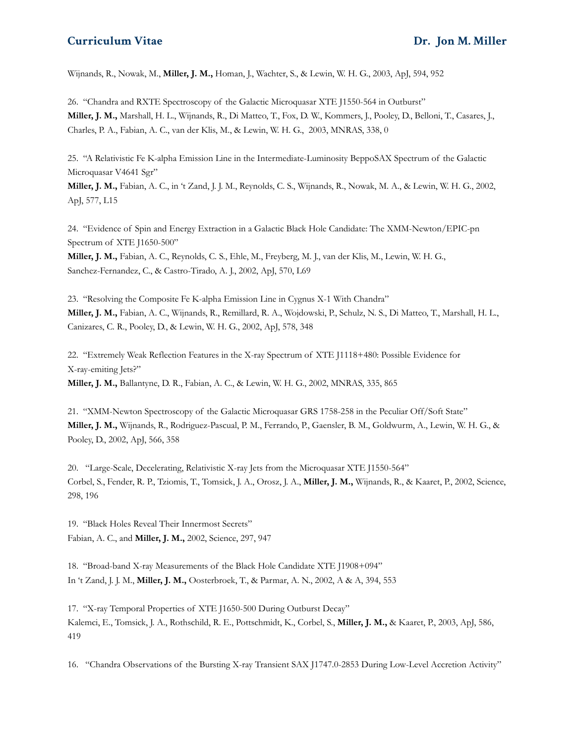Wijnands, R., Nowak, M., **Miller, J. M.,** Homan, J., Wachter, S., & Lewin, W. H. G., 2003, ApJ, 594, 952

26. "Chandra and RXTE Spectroscopy of the Galactic Microquasar XTE J1550-564 in Outburst" **Miller, J. M.,** Marshall, H. L., Wijnands, R., Di Matteo, T., Fox, D. W., Kommers, J., Pooley, D., Belloni, T., Casares, J., Charles, P. A., Fabian, A. C., van der Klis, M., & Lewin, W. H. G., 2003, MNRAS, 338, 0

25. "A Relativistic Fe K-alpha Emission Line in the Intermediate-Luminosity BeppoSAX Spectrum of the Galactic Microquasar V4641 Sgr"

**Miller, J. M.,** Fabian, A. C., in 't Zand, J. J. M., Reynolds, C. S., Wijnands, R., Nowak, M. A., & Lewin, W. H. G., 2002, ApJ, 577, L15

24. "Evidence of Spin and Energy Extraction in a Galactic Black Hole Candidate: The XMM-Newton/EPIC-pn Spectrum of XTE J1650-500"

**Miller, J. M.,** Fabian, A. C., Reynolds, C. S., Ehle, M., Freyberg, M. J., van der Klis, M., Lewin, W. H. G., Sanchez-Fernandez, C., & Castro-Tirado, A. J., 2002, ApJ, 570, L69

23. "Resolving the Composite Fe K-alpha Emission Line in Cygnus X-1 With Chandra" **Miller, J. M.,** Fabian, A. C., Wijnands, R., Remillard, R. A., Wojdowski, P., Schulz, N. S., Di Matteo, T., Marshall, H. L., Canizares, C. R., Pooley, D., & Lewin, W. H. G., 2002, ApJ, 578, 348

22. "Extremely Weak Reflection Features in the X-ray Spectrum of XTE J1118+480: Possible Evidence for X-ray-emiting Jets?" **Miller, J. M.,** Ballantyne, D. R., Fabian, A. C., & Lewin, W. H. G., 2002, MNRAS, 335, 865

21. "XMM-Newton Spectroscopy of the Galactic Microquasar GRS 1758-258 in the Peculiar Off/Soft State" **Miller, J. M.,** Wijnands, R., Rodriguez-Pascual, P. M., Ferrando, P., Gaensler, B. M., Goldwurm, A., Lewin, W. H. G., & Pooley, D., 2002, ApJ, 566, 358

20. "Large-Scale, Decelerating, Relativistic X-ray Jets from the Microquasar XTE J1550-564" Corbel, S., Fender, R. P., Tziomis, T., Tomsick, J. A., Orosz, J. A., **Miller, J. M.,** Wijnands, R., & Kaaret, P., 2002, Science, 298, 196

19. "Black Holes Reveal Their Innermost Secrets" Fabian, A. C., and **Miller, J. M.,** 2002, Science, 297, 947

18. "Broad-band X-ray Measurements of the Black Hole Candidate XTE J1908+094" In 't Zand, J. J. M., **Miller, J. M.,** Oosterbroek, T., & Parmar, A. N., 2002, A & A, 394, 553

17. "X-ray Temporal Properties of XTE J1650-500 During Outburst Decay" Kalemci, E., Tomsick, J. A., Rothschild, R. E., Pottschmidt, K., Corbel, S., **Miller, J. M.,** & Kaaret, P., 2003, ApJ, 586, 419

16. "Chandra Observations of the Bursting X-ray Transient SAX J1747.0-2853 During Low-Level Accretion Activity"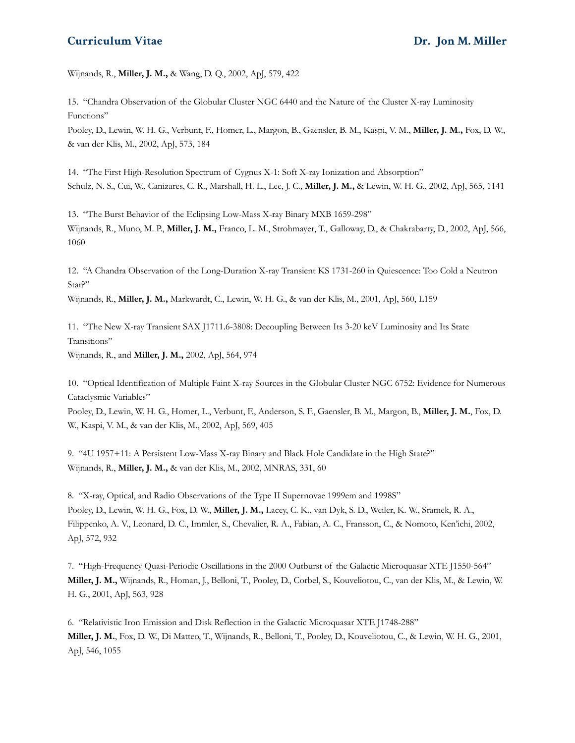Wijnands, R., **Miller, J. M.,** & Wang, D. Q., 2002, ApJ, 579, 422

15. "Chandra Observation of the Globular Cluster NGC 6440 and the Nature of the Cluster X-ray Luminosity Functions"

Pooley, D., Lewin, W. H. G., Verbunt, F., Homer, L., Margon, B., Gaensler, B. M., Kaspi, V. M., **Miller, J. M.,** Fox, D. W., & van der Klis, M., 2002, ApJ, 573, 184

14. "The First High-Resolution Spectrum of Cygnus X-1: Soft X-ray Ionization and Absorption" Schulz, N. S., Cui, W., Canizares, C. R., Marshall, H. L., Lee, J. C., **Miller, J. M.,** & Lewin, W. H. G., 2002, ApJ, 565, 1141

13. "The Burst Behavior of the Eclipsing Low-Mass X-ray Binary MXB 1659-298" Wijnands, R., Muno, M. P., **Miller, J. M.,** Franco, L. M., Strohmayer, T., Galloway, D., & Chakrabarty, D., 2002, ApJ, 566, 1060

12. "A Chandra Observation of the Long-Duration X-ray Transient KS 1731-260 in Quiescence: Too Cold a Neutron Star?"

Wijnands, R., **Miller, J. M.,** Markwardt, C., Lewin, W. H. G., & van der Klis, M., 2001, ApJ, 560, L159

11. "The New X-ray Transient SAX J1711.6-3808: Decoupling Between Its 3-20 keV Luminosity and Its State Transitions" Wijnands, R., and **Miller, J. M.,** 2002, ApJ, 564, 974

10. "Optical Identification of Multiple Faint X-ray Sources in the Globular Cluster NGC 6752: Evidence for Numerous Cataclysmic Variables"

Pooley, D., Lewin, W. H. G., Homer, L., Verbunt, F., Anderson, S. F., Gaensler, B. M., Margon, B., **Miller, J. M.**, Fox, D. W., Kaspi, V. M., & van der Klis, M., 2002, ApJ, 569, 405

9. "4U 1957+11: A Persistent Low-Mass X-ray Binary and Black Hole Candidate in the High State?" Wijnands, R., **Miller, J. M.,** & van der Klis, M., 2002, MNRAS, 331, 60

8. "X-ray, Optical, and Radio Observations of the Type II Supernovae 1999em and 1998S" Pooley, D., Lewin, W. H. G., Fox, D. W., **Miller, J. M.,** Lacey, C. K., van Dyk, S. D., Weiler, K. W., Sramek, R. A., Filippenko, A. V., Leonard, D. C., Immler, S., Chevalier, R. A., Fabian, A. C., Fransson, C., & Nomoto, Ken'ichi, 2002, ApJ, 572, 932

7. "High-Frequency Quasi-Periodic Oscillations in the 2000 Outburst of the Galactic Microquasar XTE J1550-564" **Miller, J. M.,** Wijnands, R., Homan, J., Belloni, T., Pooley, D., Corbel, S., Kouveliotou, C., van der Klis, M., & Lewin, W. H. G., 2001, ApJ, 563, 928

6. "Relativistic Iron Emission and Disk Reflection in the Galactic Microquasar XTE J1748-288" **Miller, J. M.**, Fox, D. W., Di Matteo, T., Wijnands, R., Belloni, T., Pooley, D., Kouveliotou, C., & Lewin, W. H. G., 2001, ApJ, 546, 1055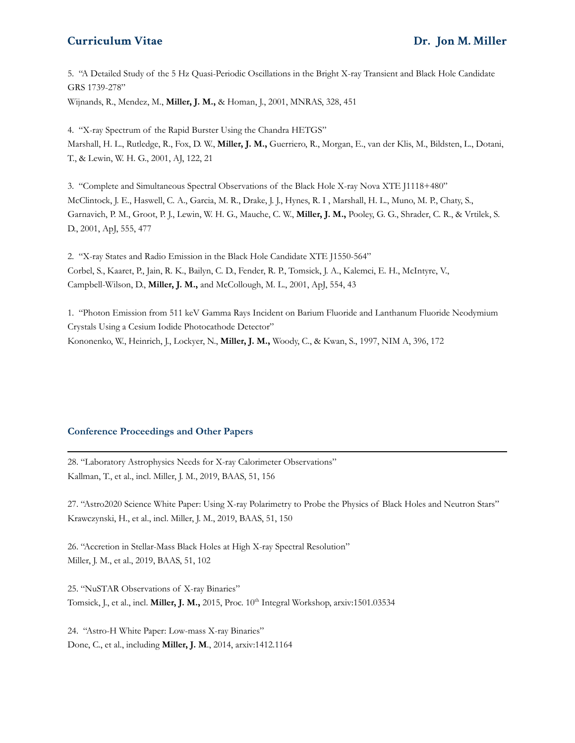5. "A Detailed Study of the 5 Hz Quasi-Periodic Oscillations in the Bright X-ray Transient and Black Hole Candidate GRS 1739-278" Wijnands, R., Mendez, M., **Miller, J. M.,** & Homan, J., 2001, MNRAS, 328, 451

4. "X-ray Spectrum of the Rapid Burster Using the Chandra HETGS" Marshall, H. L., Rutledge, R., Fox, D. W., **Miller, J. M.,** Guerriero, R., Morgan, E., van der Klis, M., Bildsten, L., Dotani, T., & Lewin, W. H. G., 2001, AJ, 122, 21

3. "Complete and Simultaneous Spectral Observations of the Black Hole X-ray Nova XTE J1118+480" McClintock, J. E., Haswell, C. A., Garcia, M. R., Drake, J. J., Hynes, R. I , Marshall, H. L., Muno, M. P., Chaty, S., Garnavich, P. M., Groot, P. J., Lewin, W. H. G., Mauche, C. W., **Miller, J. M.,** Pooley, G. G., Shrader, C. R., & Vrtilek, S. D., 2001, ApJ, 555, 477

2. "X-ray States and Radio Emission in the Black Hole Candidate XTE J1550-564" Corbel, S., Kaaret, P., Jain, R. K., Bailyn, C. D., Fender, R. P., Tomsick, J. A., Kalemci, E. H., McIntyre, V., Campbell-Wilson, D., **Miller, J. M.,** and McCollough, M. L., 2001, ApJ, 554, 43

1. "Photon Emission from 511 keV Gamma Rays Incident on Barium Fluoride and Lanthanum Fluoride Neodymium Crystals Using a Cesium Iodide Photocathode Detector" Kononenko, W., Heinrich, J., Lockyer, N., **Miller, J. M.,** Woody, C., & Kwan, S., 1997, NIM A, 396, 172

#### **Conference Proceedings and Other Papers**

28. "Laboratory Astrophysics Needs for X-ray Calorimeter Observations" Kallman, T., et al., incl. Miller, J. M., 2019, BAAS, 51, 156

27. "Astro2020 Science White Paper: Using X-ray Polarimetry to Probe the Physics of Black Holes and Neutron Stars" Krawczynski, H., et al., incl. Miller, J. M., 2019, BAAS, 51, 150

26. "Accretion in Stellar-Mass Black Holes at High X-ray Spectral Resolution" Miller, J. M., et al., 2019, BAAS, 51, 102

25. "NuSTAR Observations of X-ray Binaries" Tomsick, J., et al., incl. **Miller, J. M.,** 2015, Proc. 10 th Integral Workshop, arxiv:1501.03534

24. "Astro-H White Paper: Low-mass X-ray Binaries" Done, C., et al., including **Miller, J. M**., 2014, arxiv:1412.1164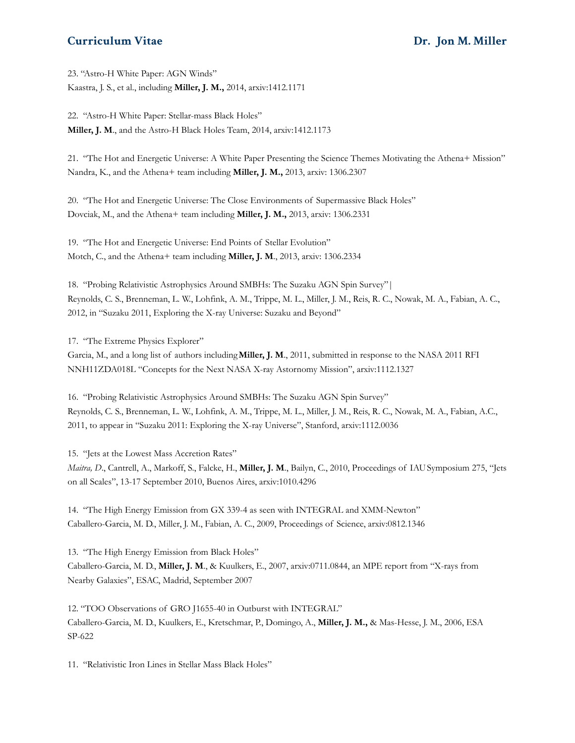23. "Astro-H White Paper: AGN Winds" Kaastra, J. S., et al., including **Miller, J. M.,** 2014, arxiv:1412.1171

22. "Astro-H White Paper: Stellar-mass Black Holes" **Miller, J. M**., and the Astro-H Black Holes Team, 2014, arxiv:1412.1173

21. "The Hot and Energetic Universe: A White Paper Presenting the Science Themes Motivating the Athena+ Mission" Nandra, K., and the Athena+ team including **Miller, J. M.,** 2013, arxiv: 1306.2307

20. "The Hot and Energetic Universe: The Close Environments of Supermassive Black Holes" Dovciak, M., and the Athena+ team including **Miller, J. M.,** 2013, arxiv: 1306.2331

19. "The Hot and Energetic Universe: End Points of Stellar Evolution" Motch, C., and the Athena+ team including **Miller, J. M**., 2013, arxiv: 1306.2334

18. "Probing Relativistic Astrophysics Around SMBHs: The Suzaku AGN Spin Survey"| Reynolds, C. S., Brenneman, L. W., Lohfink, A. M., Trippe, M. L., Miller, J. M., Reis, R. C., Nowak, M. A., Fabian, A. C., 2012, in "Suzaku 2011, Exploring the X-ray Universe: Suzaku and Beyond"

17. "The Extreme Physics Explorer"

Garcia, M., and a long list of authors including**Miller, J. M**., 2011, submitted in response to the NASA 2011 RFI NNH11ZDA018L "Concepts for the Next NASA X-ray Astornomy Mission", arxiv:1112.1327

16. "Probing Relativistic Astrophysics Around SMBHs: The Suzaku AGN Spin Survey" Reynolds, C. S., Brenneman, L. W., Lohfink, A. M., Trippe, M. L., Miller, J. M., Reis, R. C., Nowak, M. A., Fabian, A.C., 2011, to appear in "Suzaku 2011: Exploring the X-ray Universe", Stanford, arxiv:1112.0036

15. "Jets at the Lowest Mass Accretion Rates" *Maitra, D*., Cantrell, A., Markoff, S., Falcke, H., **Miller, J. M**., Bailyn, C., 2010, Proceedings of IAUSymposium 275, "Jets on all Scales", 13-17 September 2010, Buenos Aires, arxiv:1010.4296

14. "The High Energy Emission from GX 339-4 as seen with INTEGRAL and XMM-Newton" Caballero-Garcia, M. D., Miller, J. M., Fabian, A. C., 2009, Proceedings of Science, arxiv:0812.1346

13. "The High Energy Emission from Black Holes" Caballero-Garcia, M. D., **Miller, J. M**., & Kuulkers, E., 2007, arxiv:0711.0844, an MPE report from "X-rays from Nearby Galaxies", ESAC, Madrid, September 2007

12. "TOO Observations of GRO J1655-40 in Outburst with INTEGRAL" Caballero-Garcia, M. D., Kuulkers, E., Kretschmar, P., Domingo, A., **Miller, J. M.,** & Mas-Hesse, J. M., 2006, ESA SP-622

11. "Relativistic Iron Lines in Stellar Mass Black Holes"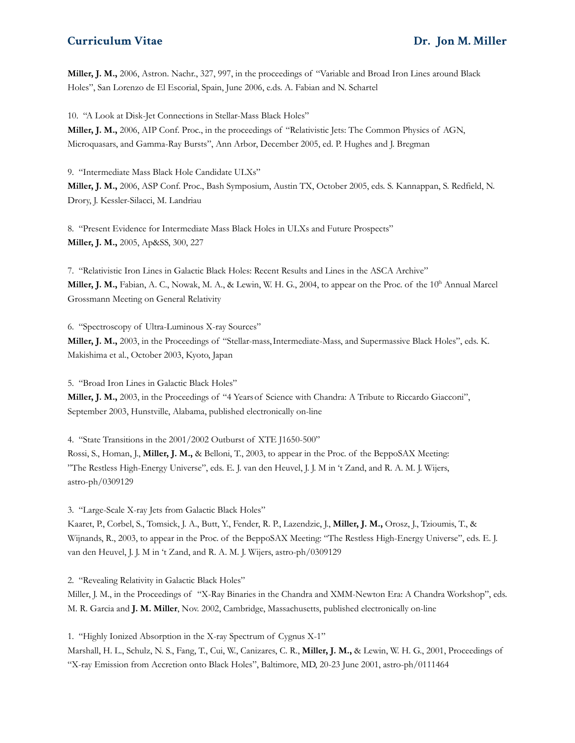**Miller, J. M.,** 2006, Astron. Nachr., 327, 997, in the proceedings of "Variable and Broad Iron Lines around Black Holes", San Lorenzo de El Escorial, Spain, June 2006, e.ds. A. Fabian and N. Schartel

10. "A Look at Disk-Jet Connections in Stellar-Mass Black Holes"

**Miller, J. M.,** 2006, AIP Conf. Proc., in the proceedings of "Relativistic Jets: The Common Physics of AGN, Microquasars, and Gamma-Ray Bursts", Ann Arbor, December 2005, ed. P. Hughes and J. Bregman

9. "Intermediate Mass Black Hole Candidate ULXs"

**Miller, J. M.,** 2006, ASP Conf. Proc., Bash Symposium, Austin TX, October 2005, eds. S. Kannappan, S. Redfield, N. Drory, J. Kessler-Silacci, M. Landriau

8. "Present Evidence for Intermediate Mass Black Holes in ULXs and Future Prospects" **Miller, J. M.,** 2005, Ap&SS, 300, 227

7. "Relativistic Iron Lines in Galactic Black Holes: Recent Results and Lines in the ASCA Archive" Miller, J. M., Fabian, A. C., Nowak, M. A., & Lewin, W. H. G., 2004, to appear on the Proc. of the 10<sup>th</sup> Annual Marcel Grossmann Meeting on General Relativity

6. "Spectroscopy of Ultra-Luminous X-ray Sources"

**Miller, J. M.,** 2003, in the Proceedings of "Stellar-mass,Intermediate-Mass, and Supermassive Black Holes", eds. K. Makishima et al., October 2003, Kyoto, Japan

5. "Broad Iron Lines in Galactic Black Holes" **Miller, J. M.,** 2003, in the Proceedings of "4 Yearsof Science with Chandra: A Tribute to Riccardo Giacconi", September 2003, Hunstville, Alabama, published electronically on-line

4. "State Transitions in the 2001/2002 Outburst of XTE J1650-500"

Rossi, S., Homan, J., **Miller, J. M.,** & Belloni, T., 2003, to appear in the Proc. of the BeppoSAX Meeting: "The Restless High-Energy Universe", eds. E. J. van den Heuvel, J. J. M in 't Zand, and R. A. M. J. Wijers, astro-ph/0309129

3. "Large-Scale X-ray Jets from Galactic Black Holes"

Kaaret, P., Corbel, S., Tomsick, J. A., Butt, Y., Fender, R. P., Lazendzic, J., **Miller, J. M.,** Orosz, J., Tzioumis, T., & Wijnands, R., 2003, to appear in the Proc. of the BeppoSAX Meeting: "The Restless High-Energy Universe", eds. E. J. van den Heuvel, J. J. M in 't Zand, and R. A. M. J. Wijers, astro-ph/0309129

2. "Revealing Relativity in Galactic Black Holes"

Miller, J. M., in the Proceedings of "X-Ray Binaries in the Chandra and XMM-Newton Era: A Chandra Workshop", eds. M. R. Garcia and **J. M. Miller**, Nov. 2002, Cambridge, Massachusetts, published electronically on-line

1. "Highly Ionized Absorption in the X-ray Spectrum of Cygnus X-1"

Marshall, H. L., Schulz, N. S., Fang, T., Cui, W., Canizares, C. R., **Miller, J. M.,** & Lewin, W. H. G., 2001, Proceedings of "X-ray Emission from Accretion onto Black Holes", Baltimore, MD, 20-23 June 2001, astro-ph/0111464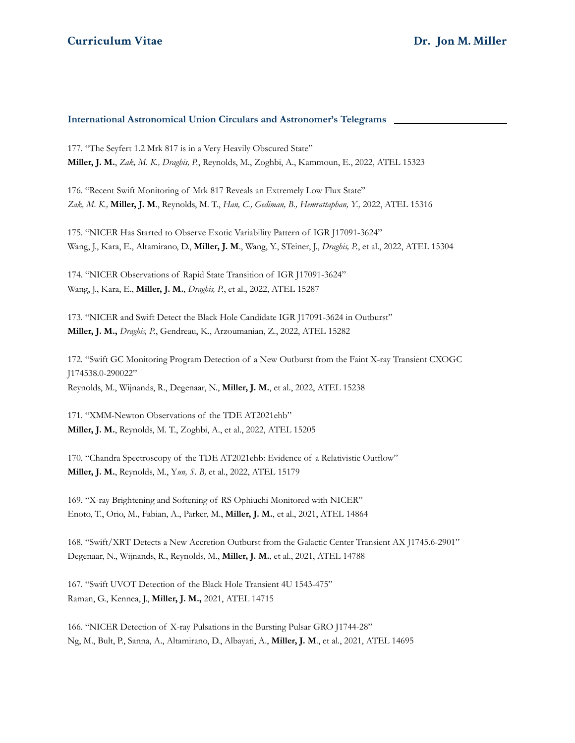#### **International Astronomical Union Circulars and Astronomer's Telegrams**

177. "The Seyfert 1.2 Mrk 817 is in a Very Heavily Obscured State" **Miller, J. M.**, *Zak, M. K., Draghis, P.*, Reynolds, M., Zoghbi, A., Kammoun, E., 2022, ATEL 15323

176. "Recent Swift Monitoring of Mrk 817 Reveals an Extremely Low Flux State" *Zak, M. K.,* **Miller, J. M**., Reynolds, M. T., *Han, C., Gediman, B., Hemrattaphan, Y.,* 2022, ATEL 15316

175. "NICER Has Started to Observe Exotic Variability Pattern of IGR J17091-3624" Wang, J., Kara, E., Altamirano, D., **Miller, J. M**., Wang, Y., STeiner, J., *Draghis, P.*, et al., 2022, ATEL 15304

174. "NICER Observations of Rapid State Transition of IGR J17091-3624" Wang, J., Kara, E., **Miller, J. M.**, *Draghis, P.*, et al., 2022, ATEL 15287

173. "NICER and Swift Detect the Black Hole Candidate IGR J17091-3624 in Outburst" **Miller, J. M.,** *Draghis, P.*, Gendreau, K., Arzoumanian, Z., 2022, ATEL 15282

172. "Swift GC Monitoring Program Detection of a New Outburst from the Faint X-ray Transient CXOGC J174538.0-290022" Reynolds, M., Wijnands, R., Degenaar, N., **Miller, J. M.**, et al., 2022, ATEL 15238

171. "XMM-Newton Observations of the TDE AT2021ehb" **Miller, J. M.**, Reynolds, M. T., Zoghbi, A., et al., 2022, ATEL 15205

170. "Chandra Spectroscopy of the TDE AT2021ehb: Evidence of a Relativistic Outflow" **Miller, J. M.**, Reynolds, M., Y*un, S. B,* et al., 2022, ATEL 15179

169. "X-ray Brightening and Softening of RS Ophiuchi Monitored with NICER" Enoto, T., Orio, M., Fabian, A., Parker, M., **Miller, J. M.**, et al., 2021, ATEL 14864

168. "Swift/XRT Detects a New Accretion Outburst from the Galactic Center Transient AX J1745.6-2901" Degenaar, N., Wijnands, R., Reynolds, M., **Miller, J. M.**, et al., 2021, ATEL 14788

167. "Swift UVOT Detection of the Black Hole Transient 4U 1543-475" Raman, G., Kennea, J., **Miller, J. M.,** 2021, ATEL 14715

166. "NICER Detection of X-ray Pulsations in the Bursting Pulsar GRO J1744-28" Ng, M., Bult, P., Sanna, A., Altamirano, D., Albayati, A., **Miller, J. M**., et al., 2021, ATEL 14695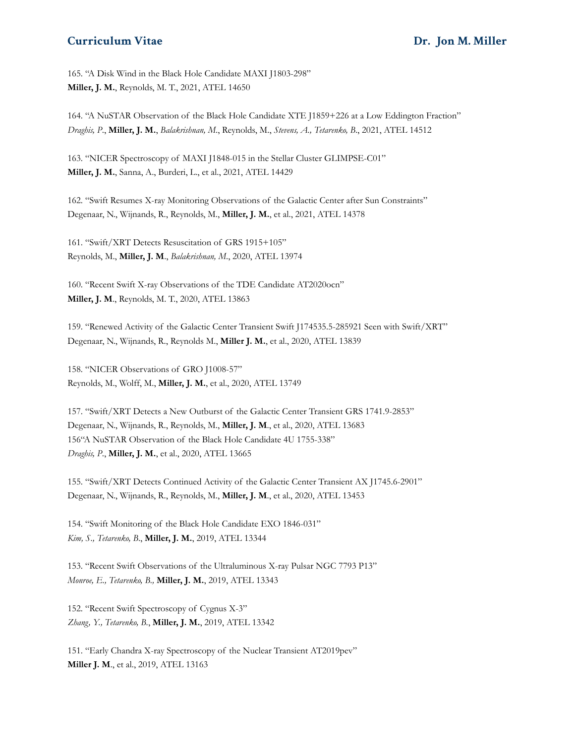165. "A Disk Wind in the Black Hole Candidate MAXI J1803-298" **Miller, J. M.**, Reynolds, M. T., 2021, ATEL 14650

164. "A NuSTAR Observation of the Black Hole Candidate XTE J1859+226 at a Low Eddington Fraction" *Draghis, P*., **Miller, J. M.**, *Balakrishnan, M*., Reynolds, M., *Stevens, A., Tetarenko, B*., 2021, ATEL 14512

163. "NICER Spectroscopy of MAXI J1848-015 in the Stellar Cluster GLIMPSE-C01" **Miller, J. M.**, Sanna, A., Burderi, L., et al., 2021, ATEL 14429

162. "Swift Resumes X-ray Monitoring Observations of the Galactic Center after Sun Constraints" Degenaar, N., Wijnands, R., Reynolds, M., **Miller, J. M.**, et al., 2021, ATEL 14378

161. "Swift/XRT Detects Resuscitation of GRS 1915+105" Reynolds, M., **Miller, J. M**., *Balakrishnan, M*., 2020, ATEL 13974

160. "Recent Swift X-ray Observations of the TDE Candidate AT2020ocn" **Miller, J. M**., Reynolds, M. T., 2020, ATEL 13863

159. "Renewed Activity of the Galactic Center Transient Swift J174535.5-285921 Seen with Swift/XRT" Degenaar, N., Wijnands, R., Reynolds M., **Miller J. M.**, et al., 2020, ATEL 13839

158. "NICER Observations of GRO J1008-57" Reynolds, M., Wolff, M., **Miller, J. M.**, et al., 2020, ATEL 13749

157. "Swift/XRT Detects a New Outburst of the Galactic Center Transient GRS 1741.9-2853" Degenaar, N., Wijnands, R., Reynolds, M., **Miller, J. M**., et al., 2020, ATEL 13683 156"A NuSTAR Observation of the Black Hole Candidate 4U 1755-338" *Draghis, P*., **Miller, J. M.**, et al., 2020, ATEL 13665

155. "Swift/XRT Detects Continued Activity of the Galactic Center Transient AX J1745.6-2901" Degenaar, N., Wijnands, R., Reynolds, M., **Miller, J. M**., et al., 2020, ATEL 13453

154. "Swift Monitoring of the Black Hole Candidate EXO 1846-031" *Kim, S., Tetarenko, B*., **Miller, J. M.**, 2019, ATEL 13344

153. "Recent Swift Observations of the Ultraluminous X-ray Pulsar NGC 7793 P13" *Monroe, E., Tetarenko, B.,* **Miller, J. M.**, 2019, ATEL 13343

152. "Recent Swift Spectroscopy of Cygnus X-3" *Zhang, Y., Tetarenko, B.*, **Miller, J. M.**, 2019, ATEL 13342

151. "Early Chandra X-ray Spectroscopy of the Nuclear Transient AT2019pev" **Miller J. M**., et al., 2019, ATEL 13163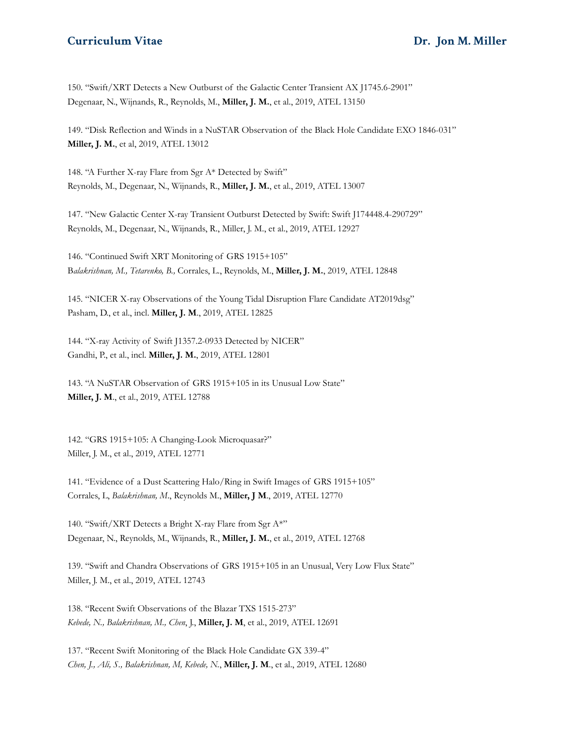150. "Swift/XRT Detects a New Outburst of the Galactic Center Transient AX J1745.6-2901" Degenaar, N., Wijnands, R., Reynolds, M., **Miller, J. M.**, et al., 2019, ATEL 13150

149. "Disk Reflection and Winds in a NuSTAR Observation of the Black Hole Candidate EXO 1846-031" **Miller, J. M.**, et al, 2019, ATEL 13012

148. "A Further X-ray Flare from Sgr A\* Detected by Swift" Reynolds, M., Degenaar, N., Wijnands, R., **Miller, J. M.**, et al., 2019, ATEL 13007

147. "New Galactic Center X-ray Transient Outburst Detected by Swift: Swift J174448.4-290729" Reynolds, M., Degenaar, N., Wijnands, R., Miller, J. M., et al., 2019, ATEL 12927

146. "Continued Swift XRT Monitoring of GRS 1915+105" B*alakrishnan, M., Tetarenko, B.,* Corrales, L., Reynolds, M., **Miller, J. M.**, 2019, ATEL 12848

145. "NICER X-ray Observations of the Young Tidal Disruption Flare Candidate AT2019dsg" Pasham, D., et al., incl. **Miller, J. M**., 2019, ATEL 12825

144. "X-ray Activity of Swift J1357.2-0933 Detected by NICER" Gandhi, P., et al., incl. **Miller, J. M.**, 2019, ATEL 12801

143. "A NuSTAR Observation of GRS 1915+105 in its Unusual Low State" **Miller, J. M**., et al., 2019, ATEL 12788

142. "GRS 1915+105: A Changing-Look Microquasar?" Miller, J. M., et al., 2019, ATEL 12771

141. "Evidence of a Dust Scattering Halo/Ring in Swift Images of GRS 1915+105" Corrales, L, *Balakrishnan, M*., Reynolds M., **Miller, J M**., 2019, ATEL 12770

140. "Swift/XRT Detects a Bright X-ray Flare from Sgr A\*" Degenaar, N., Reynolds, M., Wijnands, R., **Miller, J. M.**, et al., 2019, ATEL 12768

139. "Swift and Chandra Observations of GRS 1915+105 in an Unusual, Very Low Flux State" Miller, J. M., et al., 2019, ATEL 12743

138. "Recent Swift Observations of the Blazar TXS 1515-273" *Kebede, N., Balakrishnan, M., Chen*, J., **Miller, J. M**, et al., 2019, ATEL 12691

137. "Recent Swift Monitoring of the Black Hole Candidate GX 339-4" *Chen, J., Ali, S., Balakrishnan, M, Kebede, N.*, **Miller, J. M**., et al., 2019, ATEL 12680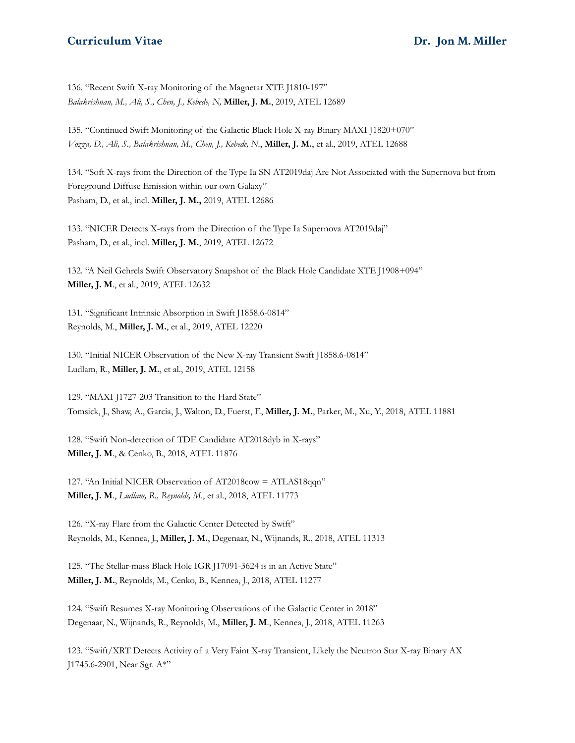136. "Recent Swift X-ray Monitoring of the Magnetar XTE J1810-197" *Balakrishnan, M., Ali, S., Chen, J., Kebede, N,* **Miller, J. M.**, 2019, ATEL 12689

135. "Continued Swift Monitoring of the Galactic Black Hole X-ray Binary MAXI J1820+070" *Vozza, D., Ali, S., Balakrishnan, M., Chen, J., Kebede, N.*, **Miller, J. M.**, et al., 2019, ATEL 12688

134. "Soft X-rays from the Direction of the Type Ia SN AT2019daj Are Not Associated with the Supernova but from Foreground Diffuse Emission within our own Galaxy" Pasham, D., et al., incl. **Miller, J. M.,** 2019, ATEL 12686

133. "NICER Detects X-rays from the Direction of the Type Ia Supernova AT2019daj" Pasham, D., et al., incl. **Miller, J. M.**, 2019, ATEL 12672

132. "A Neil Gehrels Swift Observatory Snapshot of the Black Hole Candidate XTE J1908+094" **Miller, J. M**., et al., 2019, ATEL 12632

131. "Significant Intrinsic Absorption in Swift J1858.6-0814" Reynolds, M., **Miller, J. M.**, et al., 2019, ATEL 12220

130. "Initial NICER Observation of the New X-ray Transient Swift J1858.6-0814" Ludlam, R., **Miller, J. M.**, et al., 2019, ATEL 12158

129. "MAXI J1727-203 Transition to the Hard State" Tomsick, J., Shaw, A., Garcia, J., Walton, D., Fuerst, F., **Miller, J. M.**, Parker, M., Xu, Y., 2018, ATEL 11881

128. "Swift Non-detection of TDE Candidate AT2018dyb in X-rays" **Miller, J. M**., & Cenko, B., 2018, ATEL 11876

127. "An Initial NICER Observation of AT2018cow = ATLAS18qqn" **Miller, J. M**., *Ludlam, R., Reynolds, M*., et al., 2018, ATEL 11773

126. "X-ray Flare from the Galactic Center Detected by Swift" Reynolds, M., Kennea, J., **Miller, J. M.**, Degenaar, N., Wijnands, R., 2018, ATEL 11313

125. "The Stellar-mass Black Hole IGR J17091-3624 is in an Active State" **Miller, J. M.**, Reynolds, M., Cenko, B., Kennea, J., 2018, ATEL 11277

124. "Swift Resumes X-ray Monitoring Observations of the Galactic Center in 2018" Degenaar, N., Wijnands, R., Reynolds, M., **Miller, J. M**., Kennea, J., 2018, ATEL 11263

123. "Swift/XRT Detects Activity of a Very Faint X-ray Transient, Likely the Neutron Star X-ray Binary AX J1745.6-2901, Near Sgr. A\*"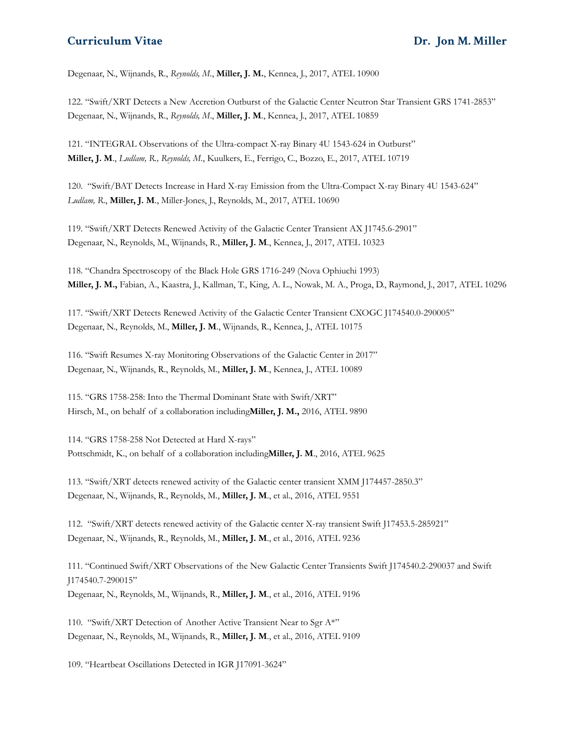Degenaar, N., Wijnands, R., *Reynolds, M.*, **Miller, J. M.**, Kennea, J., 2017, ATEL 10900

122. "Swift/XRT Detects a New Accretion Outburst of the Galactic Center Neutron Star Transient GRS 1741-2853" Degenaar, N., Wijnands, R., *Reynolds, M*., **Miller, J. M**., Kennea, J., 2017, ATEL 10859

121. "INTEGRAL Observations of the Ultra-compact X-ray Binary 4U 1543-624 in Outburst" **Miller, J. M**., *Ludlam, R., Reynolds, M.*, Kuulkers, E., Ferrigo, C., Bozzo, E., 2017, ATEL 10719

120. "Swift/BAT Detects Increase in Hard X-ray Emission from the Ultra-Compact X-ray Binary 4U 1543-624" *Ludlam, R*., **Miller, J. M**., Miller-Jones, J., Reynolds, M., 2017, ATEL 10690

119. "Swift/XRT Detects Renewed Activity of the Galactic Center Transient AX J1745.6-2901" Degenaar, N., Reynolds, M., Wijnands, R., **Miller, J. M**., Kennea, J., 2017, ATEL 10323

118. "Chandra Spectroscopy of the Black Hole GRS 1716-249 (Nova Ophiuchi 1993) **Miller, J. M.,** Fabian, A., Kaastra, J., Kallman, T., King, A. L., Nowak, M. A., Proga, D., Raymond, J., 2017, ATEL 10296

117. "Swift/XRT Detects Renewed Activity of the Galactic Center Transient CXOGC J174540.0-290005" Degenaar, N., Reynolds, M., **Miller, J. M**., Wijnands, R., Kennea, J., ATEL 10175

116. "Swift Resumes X-ray Monitoring Observations of the Galactic Center in 2017" Degenaar, N., Wijnands, R., Reynolds, M., **Miller, J. M**., Kennea, J., ATEL 10089

115. "GRS 1758-258: Into the Thermal Dominant State with Swift/XRT" Hirsch, M., on behalf of a collaboration including**Miller, J. M.,** 2016, ATEL 9890

114. "GRS 1758-258 Not Detected at Hard X-rays" Pottschmidt, K., on behalf of a collaboration including**Miller, J. M**., 2016, ATEL 9625

113. "Swift/XRT detects renewed activity of the Galactic center transient XMM J174457-2850.3" Degenaar, N., Wijnands, R., Reynolds, M., **Miller, J. M**., et al., 2016, ATEL 9551

112. "Swift/XRT detects renewed activity of the Galactic center X-ray transient Swift J17453.5-285921" Degenaar, N., Wijnands, R., Reynolds, M., **Miller, J. M**., et al., 2016, ATEL 9236

111. "Continued Swift/XRT Observations of the New Galactic Center Transients Swift J174540.2-290037 and Swift J174540.7-290015" Degenaar, N., Reynolds, M., Wijnands, R., **Miller, J. M**., et al., 2016, ATEL 9196

110. "Swift/XRT Detection of Another Active Transient Near to Sgr A\*" Degenaar, N., Reynolds, M., Wijnands, R., **Miller, J. M**., et al., 2016, ATEL 9109

109. "Heartbeat Oscillations Detected in IGR J17091-3624"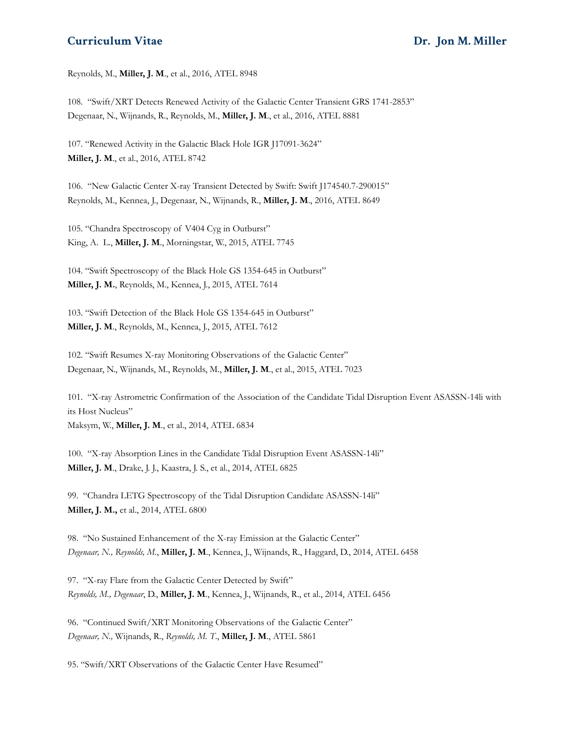Reynolds, M., **Miller, J. M**., et al., 2016, ATEL 8948

108. "Swift/XRT Detects Renewed Activity of the Galactic Center Transient GRS 1741-2853" Degenaar, N., Wijnands, R., Reynolds, M., **Miller, J. M**., et al., 2016, ATEL 8881

107. "Renewed Activity in the Galactic Black Hole IGR J17091-3624" **Miller, J. M**., et al., 2016, ATEL 8742

106. "New Galactic Center X-ray Transient Detected by Swift: Swift J174540.7-290015" Reynolds, M., Kennea, J., Degenaar, N., Wijnands, R., **Miller, J. M**., 2016, ATEL 8649

105. "Chandra Spectroscopy of V404 Cyg in Outburst" King, A. L., **Miller, J. M**., Morningstar, W., 2015, ATEL 7745

104. "Swift Spectroscopy of the Black Hole GS 1354-645 in Outburst" **Miller, J. M.**, Reynolds, M., Kennea, J., 2015, ATEL 7614

103. "Swift Detection of the Black Hole GS 1354-645 in Outburst" **Miller, J. M**., Reynolds, M., Kennea, J., 2015, ATEL 7612

102. "Swift Resumes X-ray Monitoring Observations of the Galactic Center" Degenaar, N., Wijnands, M., Reynolds, M., **Miller, J. M**., et al., 2015, ATEL 7023

101. "X-ray Astrometric Confirmation of the Association of the Candidate Tidal Disruption Event ASASSN-14li with its Host Nucleus" Maksym, W., **Miller, J. M**., et al., 2014, ATEL 6834

100. "X-ray Absorption Lines in the Candidate Tidal Disruption Event ASASSN-14li" **Miller, J. M**., Drake, J. J., Kaastra, J. S., et al., 2014, ATEL 6825

99. "Chandra LETG Spectroscopy of the Tidal Disruption Candidate ASASSN-14li" **Miller, J. M.,** et al., 2014, ATEL 6800

98. "No Sustained Enhancement of the X-ray Emission at the Galactic Center" *Degenaar, N., Reynolds, M*., **Miller, J. M**., Kennea, J., Wijnands, R., Haggard, D., 2014, ATEL 6458

97. "X-ray Flare from the Galactic Center Detected by Swift" *Reynolds, M., Degenaar*, D., **Miller, J. M**., Kennea, J., Wijnands, R., et al., 2014, ATEL 6456

96. "Continued Swift/XRT Monitoring Observations of the Galactic Center" *Degenaar, N.,* Wijnands, R., *Reynolds, M. T*., **Miller, J. M**., ATEL 5861

95. "Swift/XRT Observations of the Galactic Center Have Resumed"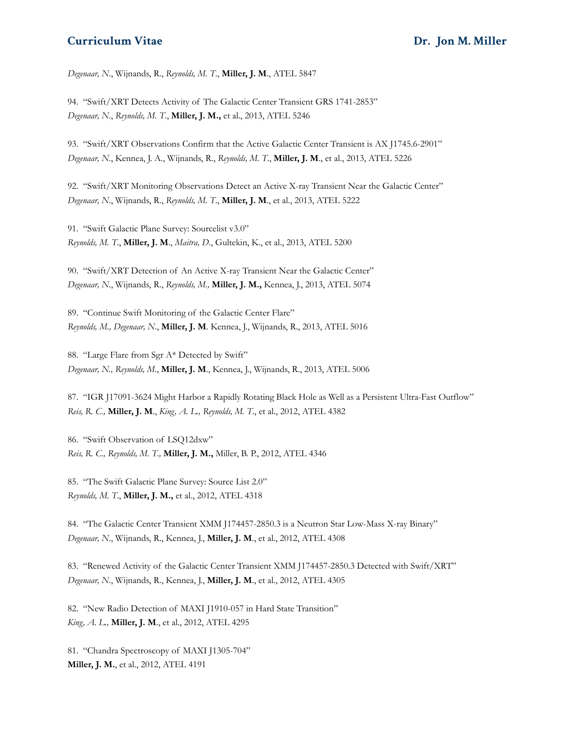*Degenaar, N*., Wijnands, R., *Reynolds, M. T*., **Miller, J. M**., ATEL 5847

94. "Swift/XRT Detects Activity of The Galactic Center Transient GRS 1741-2853" *Degenaar, N*., *Reynolds, M. T*., **Miller, J. M.,** et al., 2013, ATEL 5246

93. "Swift/XRT Observations Confirm that the Active Galactic Center Transient is AX J1745.6-2901" *Degenaar, N*., Kennea, J. A., Wijnands, R., *Reynolds, M. T*., **Miller, J. M**., et al., 2013, ATEL 5226

92. "Swift/XRT Monitoring Observations Detect an Active X-ray Transient Near the Galactic Center" *Degenaar, N*., Wijnands, R., *Reynolds, M. T*., **Miller, J. M**., et al., 2013, ATEL 5222

91. "Swift Galactic Plane Survey: Sourcelist v3.0" *Reynolds, M. T*., **Miller, J. M**., *Maitra, D*., Gultekin, K., et al., 2013, ATEL 5200

90. "Swift/XRT Detection of An Active X-ray Transient Near the Galactic Center" *Degenaar, N*., Wijnands, R., *Reynolds, M.,* **Miller, J. M.,** Kennea, J., 2013, ATEL 5074

89. "Continue Swift Monitoring of the Galactic Center Flare" *Reynolds, M., Degenaar, N*., **Miller, J. M**. Kennea, J., Wijnands, R., 2013, ATEL 5016

88. "Large Flare from Sgr A\* Detected by Swift" *Degenaar, N., Reynolds, M*., **Miller, J. M**., Kennea, J., Wijnands, R., 2013, ATEL 5006

87. "IGR J17091-3624 Might Harbor a Rapidly Rotating Black Hole as Well as a Persistent Ultra-Fast Outflow" *Reis, R. C.,* **Miller, J. M**., *King, A. L., Reynolds, M. T*., et al., 2012, ATEL 4382

86. "Swift Observation of LSQ12dxw" *Reis, R. C., Reynolds, M. T.,* **Miller, J. M.,** Miller, B. P., 2012, ATEL 4346

85. "The Swift Galactic Plane Survey: Source List 2.0" *Reynolds, M. T*., **Miller, J. M.,** et al., 2012, ATEL 4318

84. "The Galactic Center Transient XMM J174457-2850.3 is a Neutron Star Low-Mass X-ray Binary" *Degenaar, N*., Wijnands, R., Kennea, J., **Miller, J. M**., et al., 2012, ATEL 4308

83. "Renewed Activity of the Galactic Center Transient XMM J174457-2850.3 Detected with Swift/XRT" *Degenaar, N*., Wijnands, R., Kennea, J., **Miller, J. M**., et al., 2012, ATEL 4305

82. "New Radio Detection of MAXI J1910-057 in Hard State Transition" *King, A. L.,* **Miller, J. M**., et al., 2012, ATEL 4295

81. "Chandra Spectroscopy of MAXI J1305-704" **Miller, J. M.**, et al., 2012, ATEL 4191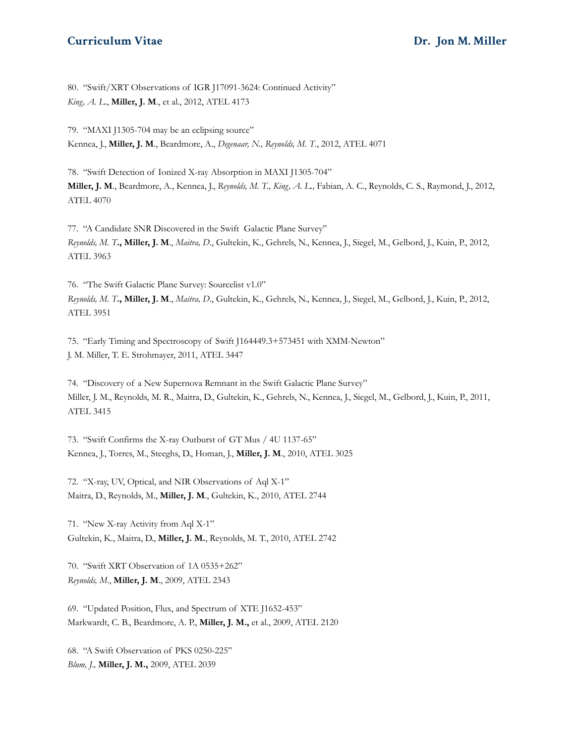80. "Swift/XRT Observations of IGR J17091-3624: Continued Activity" *King, A. L*., **Miller, J. M**., et al., 2012, ATEL 4173

79. "MAXI J1305-704 may be an eclipsing source" Kennea, J., **Miller, J. M**., Beardmore, A., *Degenaar, N., Reynolds, M. T*., 2012, ATEL 4071

78. "Swift Detection of Ionized X-ray Absorption in MAXI J1305-704" **Miller, J. M**., Beardmore, A., Kennea, J., *Reynolds, M. T., King, A. L.,* Fabian, A. C., Reynolds, C. S., Raymond, J., 2012, ATEL 4070

77. "A Candidate SNR Discovered in the Swift Galactic Plane Survey" *Reynolds, M. T***., Miller, J. M**., *Maitra, D*., Gultekin, K., Gehrels, N., Kennea, J., Siegel, M., Gelbord, J., Kuin, P., 2012, ATEL 3963

76. "The Swift Galactic Plane Survey: Sourcelist v1.0" *Reynolds, M. T***., Miller, J. M**., *Maitra, D*., Gultekin, K., Gehrels, N., Kennea, J., Siegel, M., Gelbord, J., Kuin, P., 2012, ATEL 3951

75. "Early Timing and Spectroscopy of Swift J164449.3+573451 with XMM-Newton" J. M. Miller, T. E. Strohmayer, 2011, ATEL 3447

74. "Discovery of a New Supernova Remnant in the Swift Galactic Plane Survey" Miller, J. M., Reynolds, M. R., Maitra, D., Gultekin, K., Gehrels, N., Kennea, J., Siegel, M., Gelbord, J., Kuin, P., 2011, ATEL 3415

73. "Swift Confirms the X-ray Outburst of GT Mus / 4U 1137-65" Kennea, J., Torres, M., Steeghs, D., Homan, J., **Miller, J. M**., 2010, ATEL 3025

72. "X-ray, UV, Optical, and NIR Observations of Aql X-1" Maitra, D., Reynolds, M., **Miller, J. M**., Gultekin, K., 2010, ATEL 2744

71. "New X-ray Activity from Aql X-1" Gultekin, K., Maitra, D., **Miller, J. M.**, Reynolds, M. T., 2010, ATEL 2742

70. "Swift XRT Observation of 1A 0535+262" *Reynolds, M*., **Miller, J. M**., 2009, ATEL 2343

69. "Updated Position, Flux, and Spectrum of XTE J1652-453" Markwardt, C. B., Beardmore, A. P., **Miller, J. M.,** et al., 2009, ATEL 2120

68. "A Swift Observation of PKS 0250-225" *Blum, J.,* **Miller, J. M.,** 2009, ATEL 2039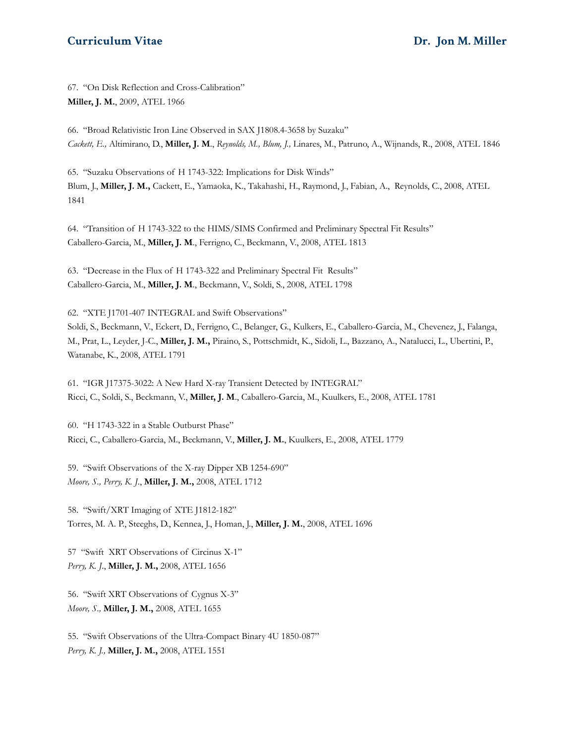67. "On Disk Reflection and Cross-Calibration" **Miller, J. M.**, 2009, ATEL 1966

66. "Broad Relativistic Iron Line Observed in SAX J1808.4-3658 by Suzaku" *Cackett, E.,* Altimirano, D., **Miller, J. M**., *Reynolds, M., Blum, J.,* Linares, M., Patruno, A., Wijnands, R., 2008, ATEL 1846

65. "Suzaku Observations of H 1743-322: Implications for Disk Winds" Blum, J., **Miller, J. M.,** Cackett, E., Yamaoka, K., Takahashi, H., Raymond, J., Fabian, A., Reynolds, C., 2008, ATEL 1841

64. "Transition of H 1743-322 to the HIMS/SIMS Confirmed and Preliminary Spectral Fit Results" Caballero-Garcia, M., **Miller, J. M**., Ferrigno, C., Beckmann, V., 2008, ATEL 1813

63. "Decrease in the Flux of H 1743-322 and Preliminary Spectral Fit Results" Caballero-Garcia, M., **Miller, J. M**., Beckmann, V., Soldi, S., 2008, ATEL 1798

62. "XTE J1701-407 INTEGRAL and Swift Observations"

Soldi, S., Beckmann, V., Eckert, D., Ferrigno, C., Belanger, G., Kulkers, E., Caballero-Garcia, M., Chevenez, J., Falanga, M., Prat, L., Leyder, J-C., **Miller, J. M.,** Piraino, S., Pottschmidt, K., Sidoli, L., Bazzano, A., Natalucci, L., Ubertini, P., Watanabe, K., 2008, ATEL 1791

61. "IGR J17375-3022: A New Hard X-ray Transient Detected by INTEGRAL" Ricci, C., Soldi, S., Beckmann, V., **Miller, J. M**., Caballero-Garcia, M., Kuulkers, E., 2008, ATEL 1781

60. "H 1743-322 in a Stable Outburst Phase" Ricci, C., Caballero-Garcia, M., Beckmann, V., **Miller, J. M.**, Kuulkers, E., 2008, ATEL 1779

59. "Swift Observations of the X-ray Dipper XB 1254-690" *Moore, S., Perry, K. J*., **Miller, J. M.,** 2008, ATEL 1712

58. "Swift/XRT Imaging of XTE J1812-182" Torres, M. A. P., Steeghs, D., Kennea, J., Homan, J., **Miller, J. M.**, 2008, ATEL 1696

57 "Swift XRT Observations of Circinus X-1" *Perry, K. J*., **Miller, J. M.,** 2008, ATEL 1656

56. "Swift XRT Observations of Cygnus X-3" *Moore, S.,* **Miller, J. M.,** 2008, ATEL 1655

55. "Swift Observations of the Ultra-Compact Binary 4U 1850-087" *Perry, K. J.,* **Miller, J. M.,** 2008, ATEL 1551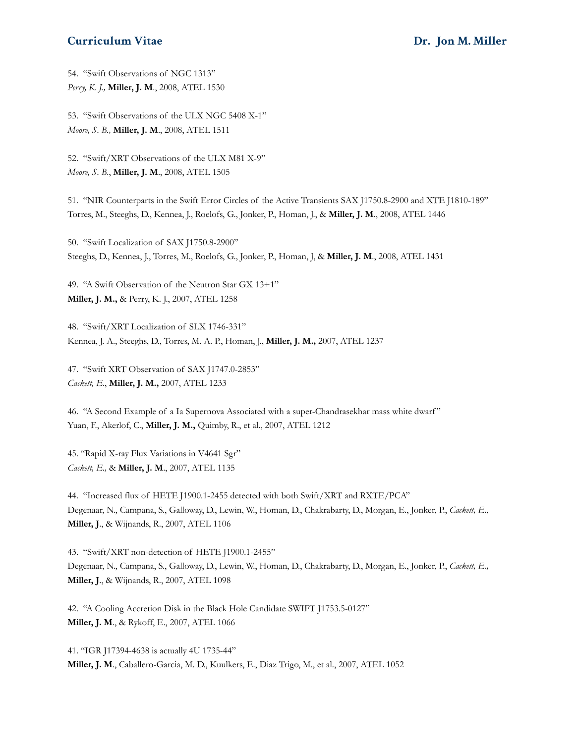54. "Swift Observations of NGC 1313" *Perry, K. J.,* **Miller, J. M**., 2008, ATEL 1530

53. "Swift Observations of the ULX NGC 5408 X-1" *Moore, S. B.,* **Miller, J. M**., 2008, ATEL 1511

52. "Swift/XRT Observations of the ULX M81 X-9" *Moore, S. B*., **Miller, J. M**., 2008, ATEL 1505

51. "NIR Counterparts in the Swift Error Circles of the Active Transients SAX J1750.8-2900 and XTE J1810-189" Torres, M., Steeghs, D., Kennea, J., Roelofs, G., Jonker, P., Homan, J., & **Miller, J. M**., 2008, ATEL 1446

50. "Swift Localization of SAX J1750.8-2900" Steeghs, D., Kennea, J., Torres, M., Roelofs, G., Jonker, P., Homan, J, & **Miller, J. M**., 2008, ATEL 1431

49. "A Swift Observation of the Neutron Star GX 13+1" **Miller, J. M.,** & Perry, K. J., 2007, ATEL 1258

48. "Swift/XRT Localization of SLX 1746-331" Kennea, J. A., Steeghs, D., Torres, M. A. P., Homan, J., **Miller, J. M.,** 2007, ATEL 1237

47. "Swift XRT Observation of SAX J1747.0-2853" *Cackett, E*., **Miller, J. M.,** 2007, ATEL 1233

46. "A Second Example of a Ia Supernova Associated with a super-Chandrasekhar mass white dwarf " Yuan, F., Akerlof, C., **Miller, J. M.,** Quimby, R., et al., 2007, ATEL 1212

45. "Rapid X-ray Flux Variations in V4641 Sgr" *Cackett, E.,* & **Miller, J. M**., 2007, ATEL 1135

44. "Increased flux of HETE J1900.1-2455 detected with both Swift/XRT and RXTE/PCA" Degenaar, N., Campana, S., Galloway, D., Lewin, W., Homan, D., Chakrabarty, D., Morgan, E., Jonker, P., *Cackett, E*., **Miller, J**., & Wijnands, R., 2007, ATEL 1106

43. "Swift/XRT non-detection of HETE J1900.1-2455" Degenaar, N., Campana, S., Galloway, D., Lewin, W., Homan, D., Chakrabarty, D., Morgan, E., Jonker, P., *Cackett, E.,* **Miller, J**., & Wijnands, R., 2007, ATEL 1098

42. "A Cooling Accretion Disk in the Black Hole Candidate SWIFT J1753.5-0127" **Miller, J. M**., & Rykoff, E., 2007, ATEL 1066

41. "IGR J17394-4638 is actually 4U 1735-44" **Miller, J. M**., Caballero-Garcia, M. D., Kuulkers, E., Diaz Trigo, M., et al., 2007, ATEL 1052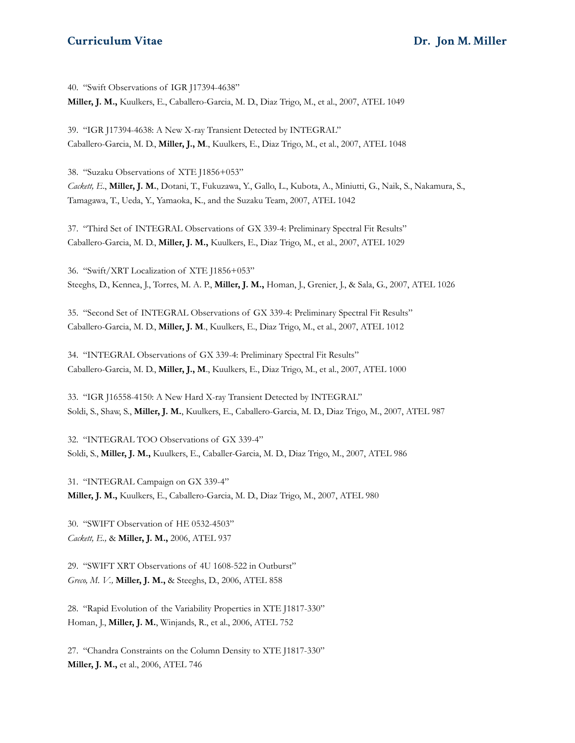40. "Swift Observations of IGR J17394-4638" **Miller, J. M.,** Kuulkers, E., Caballero-Garcia, M. D., Diaz Trigo, M., et al., 2007, ATEL 1049

39. "IGR J17394-4638: A New X-ray Transient Detected by INTEGRAL" Caballero-Garcia, M. D., **Miller, J., M**., Kuulkers, E., Diaz Trigo, M., et al., 2007, ATEL 1048

38. "Suzaku Observations of XTE J1856+053" *Cackett, E*., **Miller, J. M.**, Dotani, T., Fukuzawa, Y., Gallo, L., Kubota, A., Miniutti, G., Naik, S., Nakamura, S., Tamagawa, T., Ueda, Y., Yamaoka, K., and the Suzaku Team, 2007, ATEL 1042

37. "Third Set of INTEGRAL Observations of GX 339-4: Preliminary Spectral Fit Results" Caballero-Garcia, M. D., **Miller, J. M.,** Kuulkers, E., Diaz Trigo, M., et al., 2007, ATEL 1029

36. "Swift/XRT Localization of XTE J1856+053" Steeghs, D., Kennea, J., Torres, M. A. P., **Miller, J. M.,** Homan, J., Grenier, J., & Sala, G., 2007, ATEL 1026

35. "Second Set of INTEGRAL Observations of GX 339-4: Preliminary Spectral Fit Results" Caballero-Garcia, M. D., **Miller, J. M**., Kuulkers, E., Diaz Trigo, M., et al., 2007, ATEL 1012

34. "INTEGRAL Observations of GX 339-4: Preliminary Spectral Fit Results" Caballero-Garcia, M. D., **Miller, J., M**., Kuulkers, E., Diaz Trigo, M., et al., 2007, ATEL 1000

33. "IGR J16558-4150: A New Hard X-ray Transient Detected by INTEGRAL" Soldi, S., Shaw, S., **Miller, J. M.**, Kuulkers, E., Caballero-Garcia, M. D., Diaz Trigo, M., 2007, ATEL 987

32. "INTEGRAL TOO Observations of GX 339-4" Soldi, S., **Miller, J. M.,** Kuulkers, E., Caballer-Garcia, M. D., Diaz Trigo, M., 2007, ATEL 986

31. "INTEGRAL Campaign on GX 339-4" **Miller, J. M.,** Kuulkers, E., Caballero-Garcia, M. D., Diaz Trigo, M., 2007, ATEL 980

30. "SWIFT Observation of HE 0532-4503" *Cackett, E.,* & **Miller, J. M.,** 2006, ATEL 937

29. "SWIFT XRT Observations of 4U 1608-522 in Outburst" *Greco, M. V.,* **Miller, J. M.,** & Steeghs, D., 2006, ATEL 858

28. "Rapid Evolution of the Variability Properties in XTE J1817-330" Homan, J., **Miller, J. M.**, Winjands, R., et al., 2006, ATEL 752

27. "Chandra Constraints on the Column Density to XTE J1817-330" **Miller, J. M.,** et al., 2006, ATEL 746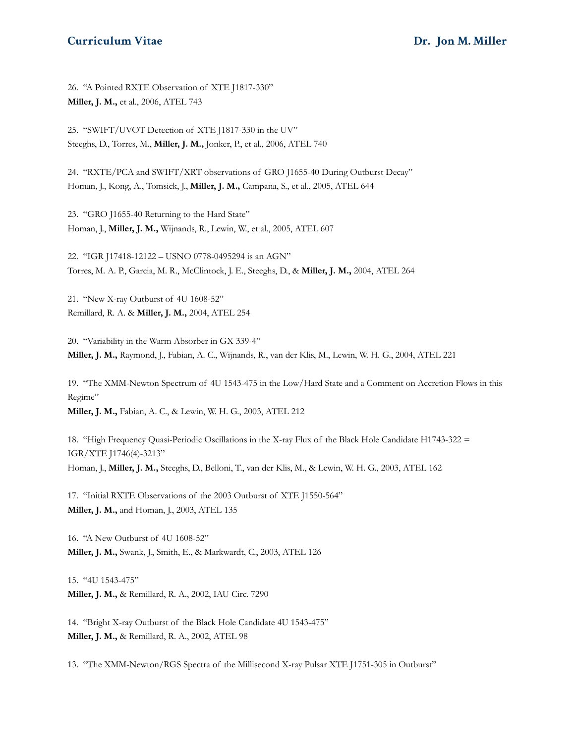26. "A Pointed RXTE Observation of XTE J1817-330" **Miller, J. M.,** et al., 2006, ATEL 743

25. "SWIFT/UVOT Detection of XTE J1817-330 in the UV" Steeghs, D., Torres, M., **Miller, J. M.,** Jonker, P., et al., 2006, ATEL 740

24. "RXTE/PCA and SWIFT/XRT observations of GRO J1655-40 During Outburst Decay" Homan, J., Kong, A., Tomsick, J., **Miller, J. M.,** Campana, S., et al., 2005, ATEL 644

23. "GRO J1655-40 Returning to the Hard State" Homan, J., **Miller, J. M.,** Wijnands, R., Lewin, W., et al., 2005, ATEL 607

22. "IGR J17418-12122 – USNO 0778-0495294 is an AGN" Torres, M. A. P., Garcia, M. R., McClintock, J. E., Steeghs, D., & **Miller, J. M.,** 2004, ATEL 264

21. "New X-ray Outburst of 4U 1608-52" Remillard, R. A. & **Miller, J. M.,** 2004, ATEL 254

20. "Variability in the Warm Absorber in GX 339-4" **Miller, J. M.,** Raymond, J., Fabian, A. C., Wijnands, R., van der Klis, M., Lewin, W. H. G., 2004, ATEL 221

19. "The XMM-Newton Spectrum of 4U 1543-475 in the Low/Hard State and a Comment on Accretion Flows in this Regime" **Miller, J. M.,** Fabian, A. C., & Lewin, W. H. G., 2003, ATEL 212

18. "High Frequency Quasi-Periodic Oscillations in the X-ray Flux of the Black Hole Candidate H1743-322 = IGR/XTE J1746(4)-3213" Homan, J., **Miller, J. M.,** Steeghs, D., Belloni, T., van der Klis, M., & Lewin, W. H. G., 2003, ATEL 162

17. "Initial RXTE Observations of the 2003 Outburst of XTE J1550-564" **Miller, J. M.,** and Homan, J., 2003, ATEL 135

16. "A New Outburst of 4U 1608-52" **Miller, J. M.,** Swank, J., Smith, E., & Markwardt, C., 2003, ATEL 126

15. "4U 1543-475" **Miller, J. M.,** & Remillard, R. A., 2002, IAU Circ. 7290

14. "Bright X-ray Outburst of the Black Hole Candidate 4U 1543-475" **Miller, J. M.,** & Remillard, R. A., 2002, ATEL 98

13. "The XMM-Newton/RGS Spectra of the Millisecond X-ray Pulsar XTE J1751-305 in Outburst"